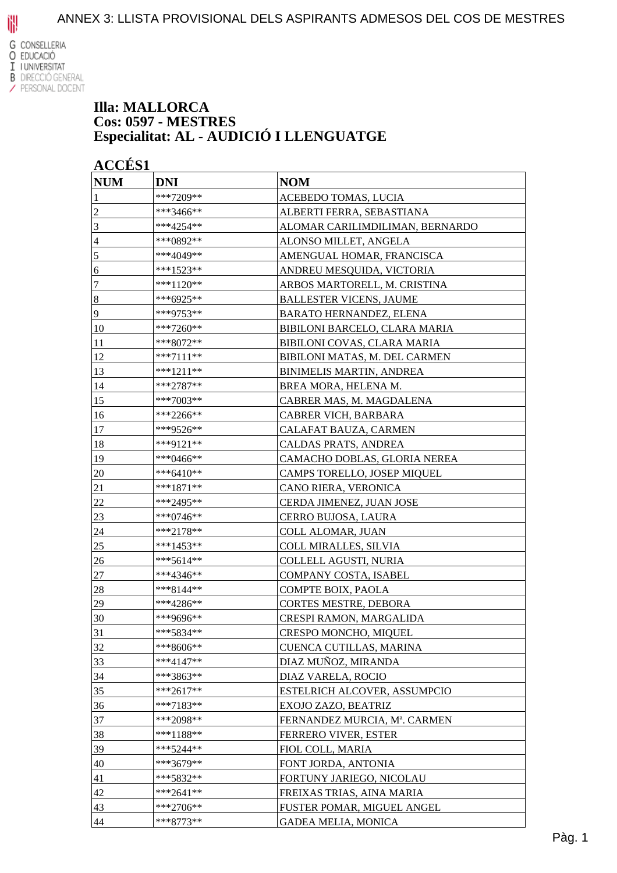

#### **Illa: MALLORCA Cos: 0597 - MESTRES Especialitat: AL - AUDICIÓ I LLENGUATGE**

| <b>NUM</b>     | <b>DNI</b>  | <b>NOM</b>                      |
|----------------|-------------|---------------------------------|
|                | ***7209**   | ACEBEDO TOMAS, LUCIA            |
| $\overline{c}$ | ***3466**   | ALBERTI FERRA, SEBASTIANA       |
| 3              | ***4254**   | ALOMAR CARILIMDILIMAN, BERNARDO |
| $\overline{4}$ | ***0892**   | ALONSO MILLET, ANGELA           |
| 5              | ***4049**   | AMENGUAL HOMAR, FRANCISCA       |
| 6              | ***1523**   | ANDREU MESQUIDA, VICTORIA       |
| 7              | ***1120**   | ARBOS MARTORELL, M. CRISTINA    |
| $\sqrt{8}$     | ***6925**   | <b>BALLESTER VICENS, JAUME</b>  |
| $\overline{9}$ | ***9753**   | <b>BARATO HERNANDEZ, ELENA</b>  |
| 10             | ***7260**   | BIBILONI BARCELO, CLARA MARIA   |
| 11             | ***8072**   | BIBILONI COVAS, CLARA MARIA     |
| 12             | $***7111**$ | BIBILONI MATAS, M. DEL CARMEN   |
| 13             | ***1211**   | <b>BINIMELIS MARTIN, ANDREA</b> |
| 14             | ***2787**   | BREA MORA, HELENA M.            |
| 15             | ***7003**   | CABRER MAS, M. MAGDALENA        |
| 16             | ***2266**   | CABRER VICH, BARBARA            |
| 17             | ***9526**   | <b>CALAFAT BAUZA, CARMEN</b>    |
| 18             | ***9121**   | CALDAS PRATS, ANDREA            |
| 19             | ***0466**   | CAMACHO DOBLAS, GLORIA NEREA    |
| 20             | ***6410**   | CAMPS TORELLO, JOSEP MIQUEL     |
| 21             | ***1871**   | CANO RIERA, VERONICA            |
| 22             | ***2495**   | CERDA JIMENEZ, JUAN JOSE        |
| 23             | ***0746**   | <b>CERRO BUJOSA, LAURA</b>      |
| 24             | ***2178**   | COLL ALOMAR, JUAN               |
| <u>25</u>      | ***1453**   | COLL MIRALLES, SILVIA           |
| 26             | ***5614**   | COLLELL AGUSTI, NURIA           |
| 27             | ***4346**   | COMPANY COSTA, ISABEL           |
| 28             | ***8144**   | COMPTE BOIX, PAOLA              |
| 29             | ***4286**   | CORTES MESTRE, DEBORA           |
| 30             | ***9696**   | CRESPI RAMON, MARGALIDA         |
| 31             | ***5834**   | CRESPO MONCHO, MIQUEL           |
| 32             | ***8606**   | CUENCA CUTILLAS, MARINA         |
| 33             | $***4147**$ | DIAZ MUÑOZ, MIRANDA             |
| 34             | ***3863**   | DIAZ VARELA, ROCIO              |
| 35             | ***2617**   | ESTELRICH ALCOVER, ASSUMPCIO    |
| 36             | ***7183**   | EXOJO ZAZO, BEATRIZ             |
| 37             | ***2098**   | FERNANDEZ MURCIA, Mª. CARMEN    |
| 38             | ***1188**   | FERRERO VIVER, ESTER            |
| 39             | ***5244**   | FIOL COLL, MARIA                |
| 40             | ***3679**   | FONT JORDA, ANTONIA             |
| 41             | ***5832**   | FORTUNY JARIEGO, NICOLAU        |
| 42             | ***2641**   | FREIXAS TRIAS, AINA MARIA       |
| 43             | ***2706**   | FUSTER POMAR, MIGUEL ANGEL      |
| 44             | ***8773**   | <b>GADEA MELIA, MONICA</b>      |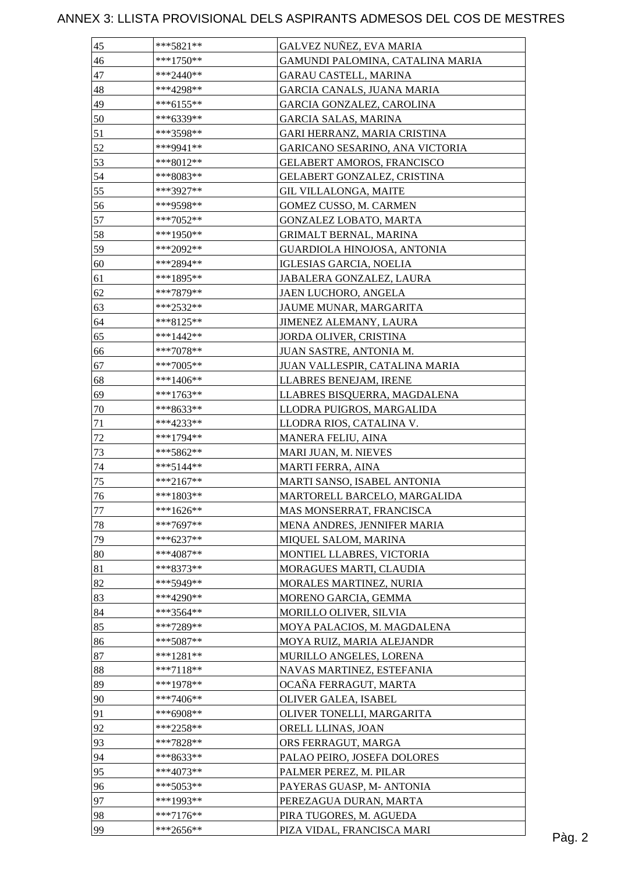| 45 | ***5821**   | GALVEZ NUÑEZ, EVA MARIA          |        |
|----|-------------|----------------------------------|--------|
| 46 | $***1750**$ | GAMUNDI PALOMINA, CATALINA MARIA |        |
| 47 | ***2440**   | <b>GARAU CASTELL, MARINA</b>     |        |
| 48 | ***4298**   | GARCIA CANALS, JUANA MARIA       |        |
| 49 | $***6155**$ | GARCIA GONZALEZ, CAROLINA        |        |
| 50 | ***6339**   | <b>GARCIA SALAS, MARINA</b>      |        |
| 51 | ***3598**   | GARI HERRANZ, MARIA CRISTINA     |        |
| 52 | ***9941**   | GARICANO SESARINO, ANA VICTORIA  |        |
| 53 | ***8012**   | GELABERT AMOROS, FRANCISCO       |        |
| 54 | ***8083**   | GELABERT GONZALEZ, CRISTINA      |        |
| 55 | ***3927**   | <b>GIL VILLALONGA, MAITE</b>     |        |
| 56 | ***9598**   | GOMEZ CUSSO, M. CARMEN           |        |
| 57 | ***7052**   | GONZALEZ LOBATO, MARTA           |        |
| 58 | ***1950**   | GRIMALT BERNAL, MARINA           |        |
| 59 | ***2092**   | GUARDIOLA HINOJOSA, ANTONIA      |        |
| 60 | ***2894**   | IGLESIAS GARCIA, NOELIA          |        |
| 61 | ***1895**   | JABALERA GONZALEZ, LAURA         |        |
| 62 | ***7879**   | JAEN LUCHORO, ANGELA             |        |
| 63 | ***2532**   | JAUME MUNAR, MARGARITA           |        |
| 64 | ***8125**   | JIMENEZ ALEMANY, LAURA           |        |
| 65 | $***1442**$ | JORDA OLIVER, CRISTINA           |        |
| 66 | $***7078**$ | JUAN SASTRE, ANTONIA M.          |        |
| 67 | ***7005**   | JUAN VALLESPIR, CATALINA MARIA   |        |
| 68 | ***1406**   | LLABRES BENEJAM, IRENE           |        |
|    |             |                                  |        |
| 69 | ***1763**   | LLABRES BISQUERRA, MAGDALENA     |        |
| 70 | ***8633**   | LLODRA PUIGROS, MARGALIDA        |        |
| 71 | ***4233**   | LLODRA RIOS, CATALINA V.         |        |
| 72 | ***1794**   | MANERA FELIU, AINA               |        |
| 73 | ***5862**   | MARI JUAN, M. NIEVES             |        |
| 74 | $***5144**$ | <b>MARTI FERRA, AINA</b>         |        |
| 75 | $***2167**$ | MARTI SANSO, ISABEL ANTONIA      |        |
| 76 | $***1803**$ | MARTORELL BARCELO, MARGALIDA     |        |
| 77 | $***1626**$ | MAS MONSERRAT, FRANCISCA         |        |
| 78 | ***7697**   | MENA ANDRES, JENNIFER MARIA      |        |
| 79 | ***6237**   | MIQUEL SALOM, MARINA             |        |
| 80 | $***4087**$ | MONTIEL LLABRES, VICTORIA        |        |
| 81 | ***8373**   | MORAGUES MARTI, CLAUDIA          |        |
| 82 | ***5949**   | MORALES MARTINEZ, NURIA          |        |
| 83 | ***4290**   | MORENO GARCIA, GEMMA             |        |
| 84 | ***3564**   | MORILLO OLIVER, SILVIA           |        |
| 85 | ***7289**   | MOYA PALACIOS, M. MAGDALENA      |        |
| 86 | $***5087**$ | MOYA RUIZ, MARIA ALEJANDR        |        |
| 87 | $***1281**$ | MURILLO ANGELES, LORENA          |        |
| 88 | $***7118**$ | NAVAS MARTINEZ, ESTEFANIA        |        |
| 89 | ***1978**   | OCAÑA FERRAGUT, MARTA            |        |
| 90 | ***7406**   | OLIVER GALEA, ISABEL             |        |
| 91 | ***6908**   | OLIVER TONELLI, MARGARITA        |        |
| 92 | $***2258**$ | ORELL LLINAS, JOAN               |        |
| 93 | ***7828**   | ORS FERRAGUT, MARGA              |        |
| 94 | ***8633**   | PALAO PEIRO, JOSEFA DOLORES      |        |
| 95 | ***4073**   | PALMER PEREZ, M. PILAR           |        |
| 96 | ***5053**   | PAYERAS GUASP, M- ANTONIA        |        |
| 97 | ***1993**   | PEREZAGUA DURAN, MARTA           |        |
| 98 | $***7176**$ | PIRA TUGORES, M. AGUEDA          |        |
| 99 | $***2656**$ | PIZA VIDAL, FRANCISCA MARI       | Pàg. 2 |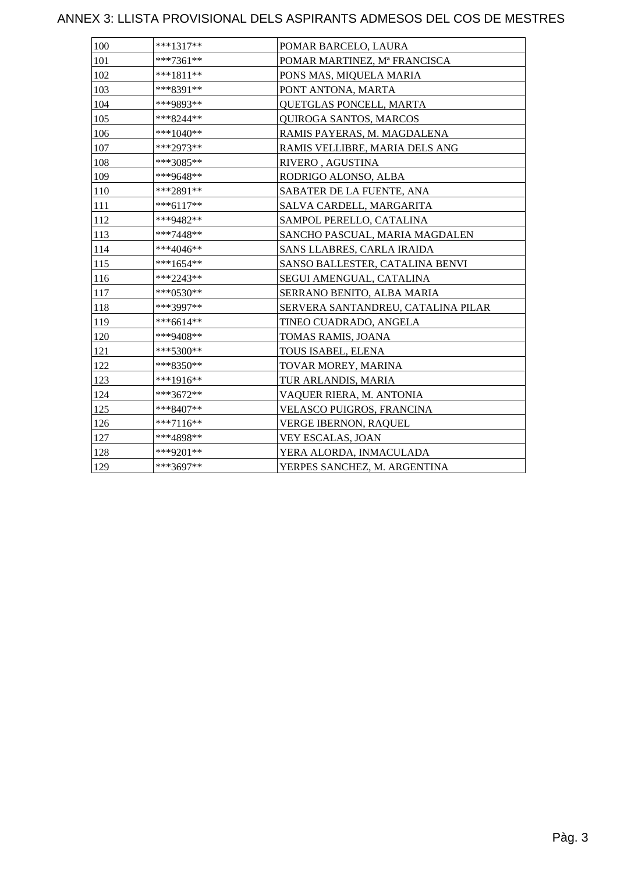| 100 | $***1317**$ | POMAR BARCELO, LAURA               |
|-----|-------------|------------------------------------|
| 101 | ***7361**   | POMAR MARTINEZ, Mª FRANCISCA       |
| 102 | $***1811**$ | PONS MAS, MIQUELA MARIA            |
| 103 | ***8391**   | PONT ANTONA, MARTA                 |
| 104 | ***9893**   | QUETGLAS PONCELL, MARTA            |
| 105 | ***8244**   | <b>QUIROGA SANTOS, MARCOS</b>      |
| 106 | ***1040**   | RAMIS PAYERAS, M. MAGDALENA        |
| 107 | ***2973**   | RAMIS VELLIBRE, MARIA DELS ANG     |
| 108 | ***3085**   | RIVERO, AGUSTINA                   |
| 109 | ***9648**   | RODRIGO ALONSO, ALBA               |
| 110 | ***2891**   | SABATER DE LA FUENTE, ANA          |
| 111 | ***6117**   | SALVA CARDELL, MARGARITA           |
| 112 | ***9482**   | SAMPOL PERELLO, CATALINA           |
| 113 | $***7448**$ | SANCHO PASCUAL, MARIA MAGDALEN     |
| 114 | ***4046**   | SANS LLABRES, CARLA IRAIDA         |
| 115 | $***1654**$ | SANSO BALLESTER, CATALINA BENVI    |
| 116 | ***2243**   | SEGUI AMENGUAL, CATALINA           |
| 117 | ***0530**   | SERRANO BENITO, ALBA MARIA         |
| 118 | ***3997**   | SERVERA SANTANDREU, CATALINA PILAR |
| 119 | ***6614**   | TINEO CUADRADO, ANGELA             |
| 120 | ***9408**   | TOMAS RAMIS, JOANA                 |
| 121 | $***5300**$ | TOUS ISABEL, ELENA                 |
| 122 | ***8350**   | TOVAR MOREY, MARINA                |
| 123 | ***1916**   | TUR ARLANDIS, MARIA                |
| 124 | ***3672**   | VAQUER RIERA, M. ANTONIA           |
| 125 | ***8407**   | VELASCO PUIGROS, FRANCINA          |
| 126 | $***7116**$ | VERGE IBERNON, RAQUEL              |
| 127 | ***4898**   | VEY ESCALAS, JOAN                  |
| 128 | ***9201**   | YERA ALORDA, INMACULADA            |
| 129 | $***3697**$ | YERPES SANCHEZ, M. ARGENTINA       |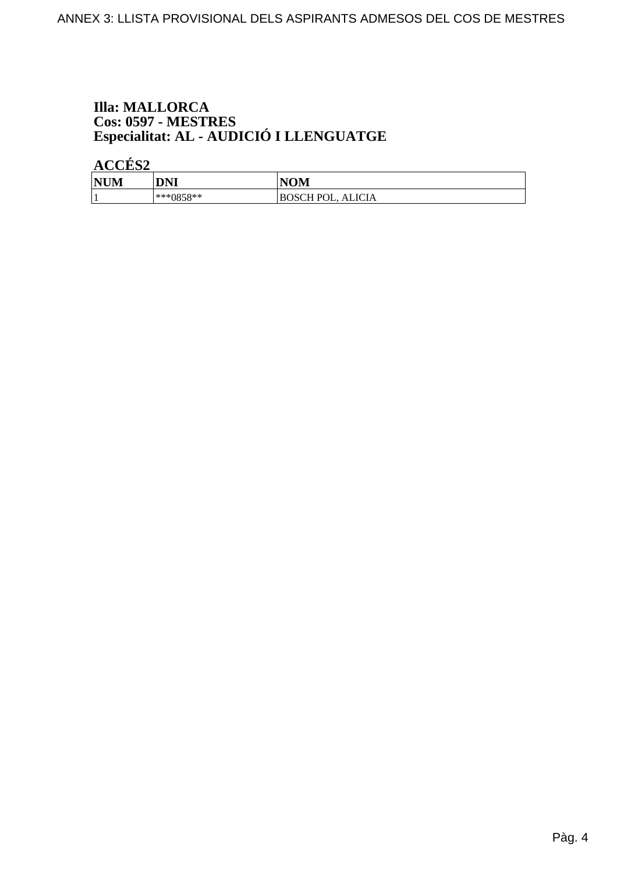# **Illa: MALLORCA** Cos: 0597 - MESTRES<br>Especialitat: AL - AUDICIÓ I LLENGUATGE

ACCÉS<sub>2</sub>

| <b>NUM</b> | <b>DNI</b>      | <b>NOM</b>                  |
|------------|-----------------|-----------------------------|
|            | $*^{***}0858**$ | <b>ALICIA</b><br>BOSCH POL. |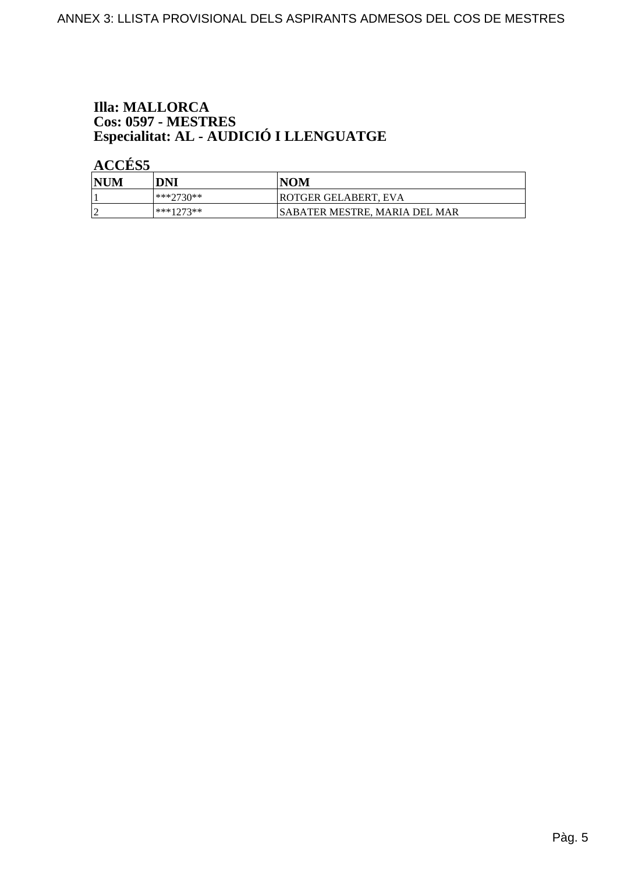# **Illa: MALLORCA** Cos: 0597 - MESTRES<br>Especialitat: AL - AUDICIÓ I LLENGUATGE

ACCÉS 5

| <b>NUM</b> | DNI       | <b>NOM</b>                           |
|------------|-----------|--------------------------------------|
|            | ***?730** | <b>ROTGER GELABERT, EVA</b>          |
|            | ***1273** | <b>SABATER MESTRE, MARIA DEL MAR</b> |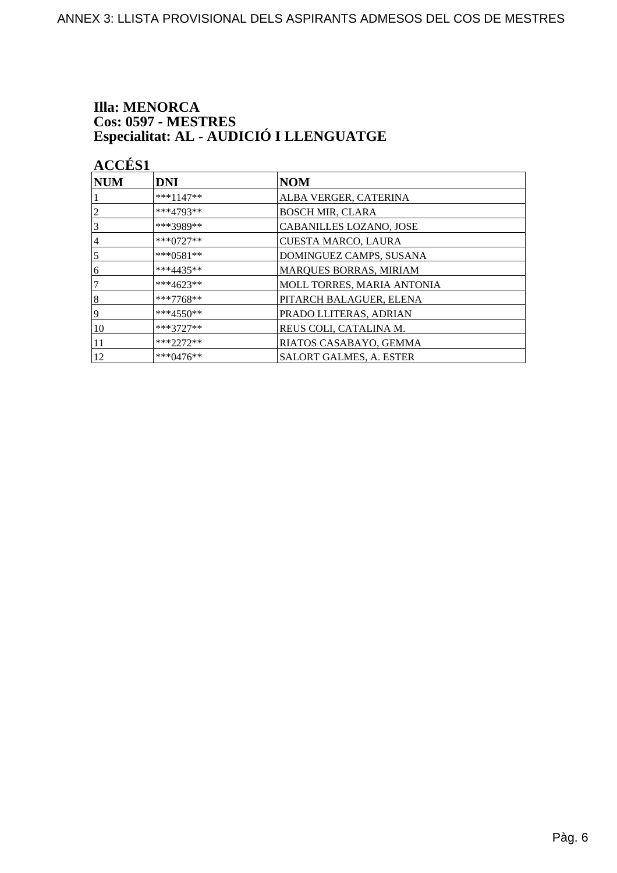# **Illa: MENORCA** Cos: 0597 - MESTRES<br>Especialitat: AL - AUDICIÓ I LLENGUATGE

**ACCÉS 1** 

| NUM            | DNI           | <b>NOM</b>                     |
|----------------|---------------|--------------------------------|
|                | $***1147**$   | ALBA VERGER, CATERINA          |
| $\overline{c}$ | $***4793**$   | <b>BOSCH MIR, CLARA</b>        |
| 3              | ***3989**     | CABANILLES LOZANO, JOSE        |
| 4              | $***0727**$   | <b>CUESTA MARCO, LAURA</b>     |
| $\overline{5}$ | $***0581**$   | DOMINGUEZ CAMPS, SUSANA        |
| 16             | $***4435**$   | MARQUES BORRAS, MIRIAM         |
| 7              | ***4623**     | MOLL TORRES, MARIA ANTONIA     |
| 8              | ***7768**     | PITARCH BALAGUER, ELENA        |
| 19             | $***4550**$   | PRADO LLITERAS, ADRIAN         |
| 10             | $***3727**$   | REUS COLI, CATALINA M.         |
| 11             | $***2272**$   | RIATOS CASABAYO, GEMMA         |
| 12             | *** $0476$ ** | <b>SALORT GALMES, A. ESTER</b> |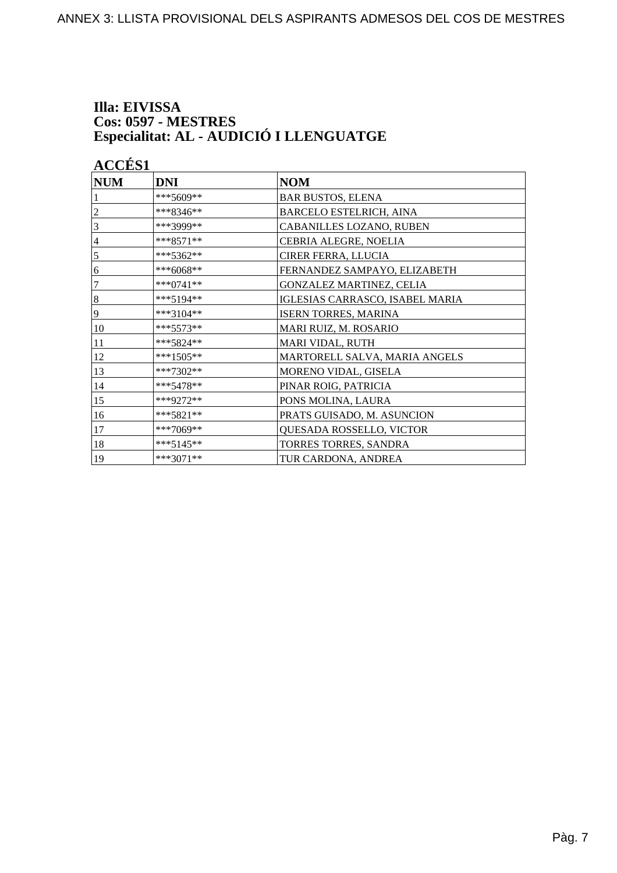#### Illa: EIVISSA Cos: 0597 - MESTRES Especialitat: AL - AUDICIÓ I LLENGUATGE

**ACCÉS 1 NUM DNI NOM** \*\*\*5609\*\* **BAR BUSTOS, ELENA**  $***8346**$  $\overline{2}$ **BARCELO ESTELRICH, AINA**  $\overline{3}$ \*\*\*3999\*\* **CABANILLES LOZANO, RUBEN**  $\overline{4}$  $***8571**$ CEBRIA ALEGRE, NOELIA  $\overline{5}$ \*\*\*5362\*\* CIRER FERRA, LLUCIA  $\overline{6}$  $***6068**$ FERNANDEZ SAMPAYO, ELIZABETH  $\overline{7}$ \*\*\*0741\*\* **GONZALEZ MARTINEZ, CELIA** 8  $***5194**$ **IGLESIAS CARRASCO, ISABEL MARIA**  $\overline{9}$ \*\*\*3104\*\* **ISERN TORRES, MARINA** 10  $***5573**$ **MARI RUIZ, M. ROSARIO** 11 \*\*\*5824\*\* **MARI VIDAL, RUTH** 12 \*\*\*1505\*\* MARTORELL SALVA, MARIA ANGELS \*\*\*7302\*\* 13 MORENO VIDAL, GISELA  $14$ \*\*\*5478\*\* PINAR ROIG, PATRICIA 15 \*\*\*9272\*\* PONS MOLINA, LAURA 16 \*\*\*5821\*\* PRATS GUISADO, M. ASUNCION 17  $***7069**$ QUESADA ROSSELLO, VICTOR 18 \*\*\*5145\*\* TORRES TORRES, SANDRA 19  $***3071**$ TUR CARDONA, ANDREA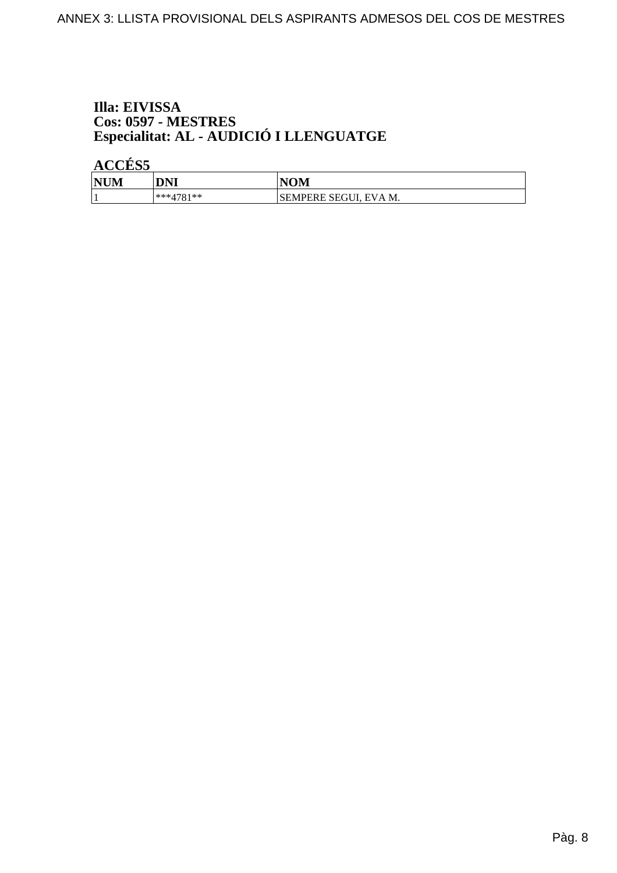# Illa: EIVISSA Cos: 0597 - MESTRES<br>Especialitat: AL - AUDICIÓ I LLENGUATGE

**ACCÉS 5** 

| <b>NUM</b> | <b>DNI</b>  | <b>NOM</b>            |
|------------|-------------|-----------------------|
|            | $***4781**$ | SEMPERE SEGUI, EVA M. |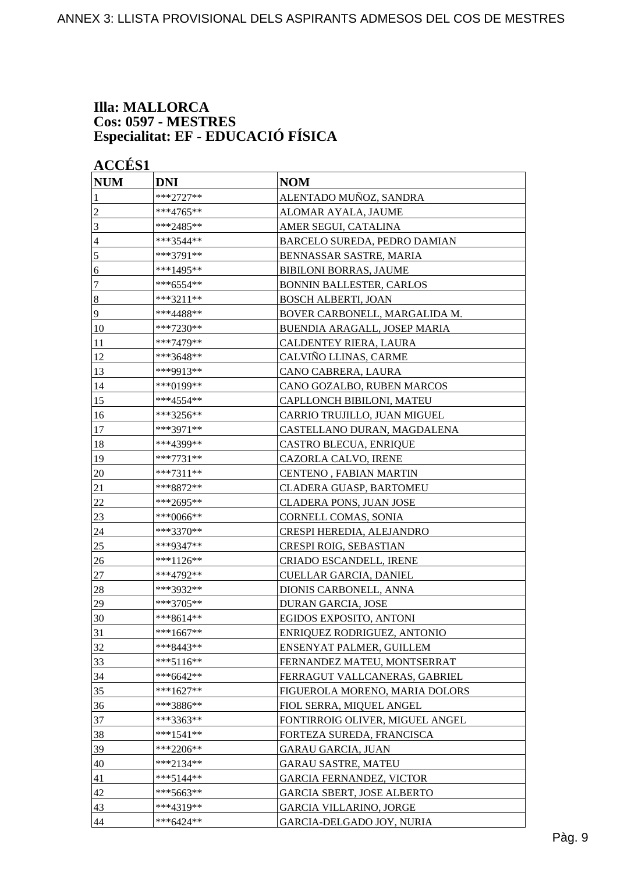#### **Illa: MALLORCA Cos: 0597 - MESTRES Especialitat: EF - EDUCACIÓ FÍSICA**

| <b>NUM</b>       | <b>DNI</b>  | <b>NOM</b>                        |
|------------------|-------------|-----------------------------------|
| 1                | ***2727**   | ALENTADO MUÑOZ, SANDRA            |
| $\overline{c}$   | ***4765**   | ALOMAR AYALA, JAUME               |
| 3                | ***2485**   | AMER SEGUI, CATALINA              |
| 4                | ***3544**   | BARCELO SUREDA, PEDRO DAMIAN      |
| 5                | ***3791**   | BENNASSAR SASTRE, MARIA           |
| 6                | ***1495**   | <b>BIBILONI BORRAS, JAUME</b>     |
| 7                | ***6554**   | <b>BONNIN BALLESTER, CARLOS</b>   |
| $\boldsymbol{8}$ | ***3211**   | <b>BOSCH ALBERTI, JOAN</b>        |
| 9                | ***4488**   | BOVER CARBONELL, MARGALIDA M.     |
| 10               | ***7230**   | BUENDIA ARAGALL, JOSEP MARIA      |
| 11               | ***7479**   | CALDENTEY RIERA, LAURA            |
| 12               | ***3648**   | CALVIÑO LLINAS, CARME             |
| 13               | ***9913**   | CANO CABRERA, LAURA               |
| 14               | ***0199**   | CANO GOZALBO, RUBEN MARCOS        |
| 15               | ***4554**   | CAPLLONCH BIBILONI, MATEU         |
| 16               | ***3256**   | CARRIO TRUJILLO, JUAN MIGUEL      |
| 17               | ***3971**   | CASTELLANO DURAN, MAGDALENA       |
| 18               | ***4399**   | CASTRO BLECUA, ENRIQUE            |
| 19               | ***7731**   | CAZORLA CALVO, IRENE              |
| 20               | ***7311**   | CENTENO, FABIAN MARTIN            |
| 21               | ***8872**   | <b>CLADERA GUASP, BARTOMEU</b>    |
| 22               | ***2695**   | CLADERA PONS, JUAN JOSE           |
| 23               | ***0066**   | <b>CORNELL COMAS, SONIA</b>       |
| 24               | ***3370**   | CRESPI HEREDIA, ALEJANDRO         |
| 25               | ***9347**   | CRESPI ROIG, SEBASTIAN            |
| 26               | $***1126**$ | <b>CRIADO ESCANDELL, IRENE</b>    |
| $27\,$           | ***4792**   | CUELLAR GARCIA, DANIEL            |
| 28               | ***3932**   | DIONIS CARBONELL, ANNA            |
| 29               | ***3705**   | DURAN GARCIA, JOSE                |
| 30               | ***8614**   | EGIDOS EXPOSITO. ANTONI           |
| 31               | ***1667**   | ENRIQUEZ RODRIGUEZ, ANTONIO       |
| 32               | ***8443**   | ENSENYAT PALMER, GUILLEM          |
| 33               | $***5116**$ | FERNANDEZ MATEU, MONTSERRAT       |
| 34               | $***6642**$ | FERRAGUT VALLCANERAS, GABRIEL     |
| 35               | $***1627**$ | FIGUEROLA MORENO, MARIA DOLORS    |
| 36               | ***3886**   | FIOL SERRA, MIQUEL ANGEL          |
| 37               | ***3363**   | FONTIRROIG OLIVER, MIGUEL ANGEL   |
| 38               | $***1541**$ | FORTEZA SUREDA, FRANCISCA         |
| 39               | ***2206**   | <b>GARAU GARCIA, JUAN</b>         |
| 40               | ***2134**   | <b>GARAU SASTRE, MATEU</b>        |
| 41               | ***5144**   | <b>GARCIA FERNANDEZ, VICTOR</b>   |
| 42               | ***5663**   | <b>GARCIA SBERT, JOSE ALBERTO</b> |
| 43               | $***4319**$ | <b>GARCIA VILLARINO, JORGE</b>    |
| 44               | ***6424**   | GARCIA-DELGADO JOY, NURIA         |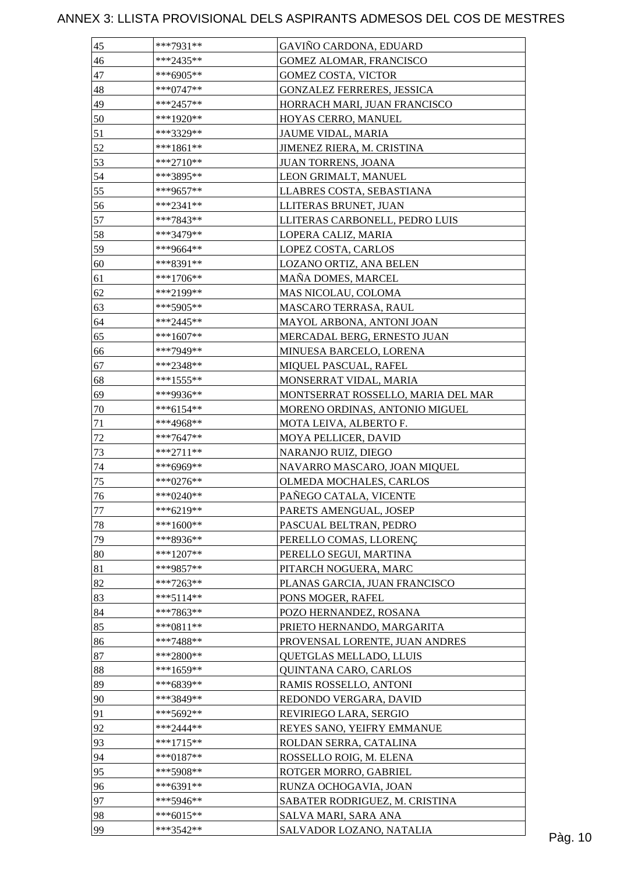| 45 | ***7931**    | GAVIÑO CARDONA, EDUARD             |  |
|----|--------------|------------------------------------|--|
| 46 | $***2435**$  | <b>GOMEZ ALOMAR, FRANCISCO</b>     |  |
| 47 | ***6905**    | <b>GOMEZ COSTA, VICTOR</b>         |  |
| 48 | $***0747**$  | <b>GONZALEZ FERRERES, JESSICA</b>  |  |
| 49 | $***2457**$  | HORRACH MARI, JUAN FRANCISCO       |  |
| 50 | ***1920**    | HOYAS CERRO, MANUEL                |  |
| 51 | ***3329**    | JAUME VIDAL, MARIA                 |  |
| 52 | $***1861**$  | JIMENEZ RIERA, M. CRISTINA         |  |
| 53 | $***2710**$  | JUAN TORRENS, JOANA                |  |
| 54 | ***3895**    | LEON GRIMALT, MANUEL               |  |
| 55 | ***9657**    | LLABRES COSTA, SEBASTIANA          |  |
| 56 | ***2341**    | LLITERAS BRUNET, JUAN              |  |
| 57 | ***7843**    | LLITERAS CARBONELL, PEDRO LUIS     |  |
| 58 | ***3479**    | LOPERA CALIZ, MARIA                |  |
| 59 | ***9664**    | LOPEZ COSTA, CARLOS                |  |
| 60 | ***8391**    | LOZANO ORTIZ, ANA BELEN            |  |
| 61 | ***1706**    | MAÑA DOMES, MARCEL                 |  |
| 62 | ***2199**    | MAS NICOLAU, COLOMA                |  |
| 63 | ***5905**    | MASCARO TERRASA, RAUL              |  |
| 64 | $***2445**$  | MAYOL ARBONA, ANTONI JOAN          |  |
| 65 | ***1607**    | MERCADAL BERG, ERNESTO JUAN        |  |
| 66 | ***7949**    | MINUESA BARCELO, LORENA            |  |
|    |              |                                    |  |
| 67 | ***2348**    | MIQUEL PASCUAL, RAFEL              |  |
| 68 | $***1555***$ | MONSERRAT VIDAL, MARIA             |  |
| 69 | ***9936**    | MONTSERRAT ROSSELLO, MARIA DEL MAR |  |
| 70 | $***6154**$  | MORENO ORDINAS, ANTONIO MIGUEL     |  |
| 71 | ***4968**    | MOTA LEIVA, ALBERTO F.             |  |
| 72 | $***7647**$  | MOYA PELLICER, DAVID               |  |
| 73 | ***2711**    | NARANJO RUIZ, DIEGO                |  |
| 74 | ***6969**    | NAVARRO MASCARO, JOAN MIQUEL       |  |
| 75 | $***0276**$  | OLMEDA MOCHALES, CARLOS            |  |
| 76 | ***0240**    | PAÑEGO CATALA, VICENTE             |  |
| 77 | ***6219**    | PARETS AMENGUAL, JOSEP             |  |
| 78 | $***1600**$  | PASCUAL BELTRAN, PEDRO             |  |
| 79 | ***8936**    | PERELLO COMAS, LLORENÇ             |  |
| 80 | $***1207**$  | PERELLO SEGUI, MARTINA             |  |
| 81 | ***9857**    | PITARCH NOGUERA, MARC              |  |
| 82 | $***7263**$  | PLANAS GARCIA, JUAN FRANCISCO      |  |
| 83 | $***5114**$  | PONS MOGER, RAFEL                  |  |
| 84 | ***7863**    | POZO HERNANDEZ, ROSANA             |  |
| 85 | ***0811**    | PRIETO HERNANDO, MARGARITA         |  |
| 86 | $***7488**$  | PROVENSAL LORENTE, JUAN ANDRES     |  |
| 87 | $***2800**$  | QUETGLAS MELLADO, LLUIS            |  |
| 88 | $***1659**$  | QUINTANA CARO, CARLOS              |  |
| 89 | ***6839**    | RAMIS ROSSELLO, ANTONI             |  |
| 90 | ***3849**    | REDONDO VERGARA, DAVID             |  |
| 91 | ***5692**    | REVIRIEGO LARA, SERGIO             |  |
| 92 | $***2444**$  | REYES SANO, YEIFRY EMMANUE         |  |
| 93 | $***1715**$  | ROLDAN SERRA, CATALINA             |  |
| 94 | $***0187**$  | ROSSELLO ROIG, M. ELENA            |  |
| 95 | $***5908**$  | ROTGER MORRO, GABRIEL              |  |
| 96 | $***6391**$  | RUNZA OCHOGAVIA, JOAN              |  |
| 97 | ***5946**    | SABATER RODRIGUEZ, M. CRISTINA     |  |
| 98 | $***6015**$  | SALVA MARI, SARA ANA               |  |
| 99 | ***3542**    | SALVADOR LOZANO, NATALIA           |  |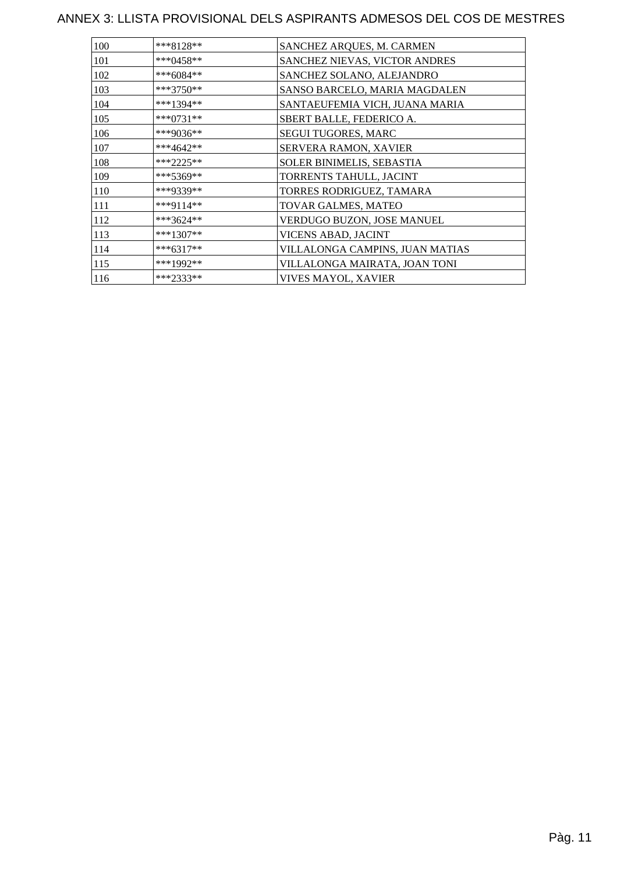| 100 | ***8128**   | SANCHEZ ARQUES, M. CARMEN        |
|-----|-------------|----------------------------------|
| 101 | ***0458**   | SANCHEZ NIEVAS, VICTOR ANDRES    |
| 102 | $***6084**$ | SANCHEZ SOLANO, ALEJANDRO        |
| 103 | ***3750**   | SANSO BARCELO, MARIA MAGDALEN    |
| 104 | ***1394**   | SANTAEUFEMIA VICH, JUANA MARIA   |
| 105 | ***0731**   | SBERT BALLE, FEDERICO A.         |
| 106 | ***9036**   | SEGUI TUGORES, MARC              |
| 107 | ***4642**   | <b>SERVERA RAMON, XAVIER</b>     |
| 108 | $***2225**$ | <b>SOLER BINIMELIS, SEBASTIA</b> |
| 109 | ***5369**   | TORRENTS TAHULL, JACINT          |
| 110 | ***9339**   | TORRES RODRIGUEZ, TAMARA         |
| 111 | ***9114**   | TOVAR GALMES, MATEO              |
| 112 | ***3624**   | VERDUGO BUZON, JOSE MANUEL       |
| 113 | ***1307**   | VICENS ABAD, JACINT              |
| 114 | ***6317**   | VILLALONGA CAMPINS, JUAN MATIAS  |
| 115 | ***1992**   | VILLALONGA MAIRATA, JOAN TONI    |
| 116 | ***2333**   | VIVES MAYOL, XAVIER              |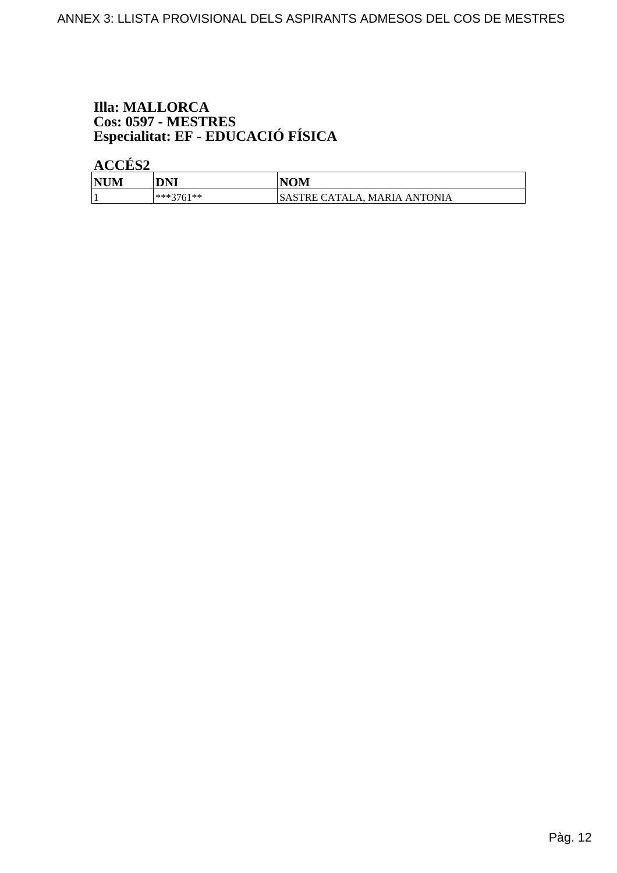# **Illa: MALLORCA** Cos: 0597 - MESTRES<br>Especialitat: EF - EDUCACIÓ FÍSICA

ACCÉS<sub>2</sub>

| <b>NUM</b><br>$\mathbf{1}$ | <b>DNI</b>        | <b>IOM</b>                                       |
|----------------------------|-------------------|--------------------------------------------------|
|                            | $***3761**$<br>υı | \STRE CATALA<br>ANTONIA<br>$A_{\Delta}$<br>MARIA |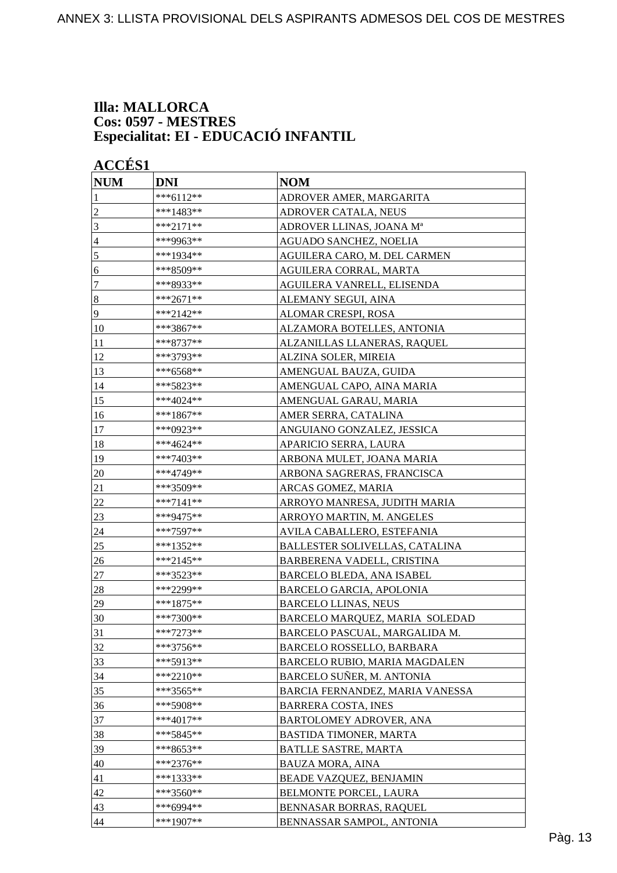#### **Illa: MALLORCA Cos: 0597 - MESTRES Especialitat: EI - EDUCACIÓ INFANTIL**

| <b>ACCÉS 1</b><br><b>NUM</b> | <b>DNI</b>  | <b>NOM</b>                      |
|------------------------------|-------------|---------------------------------|
| 1                            | ***6112**   | ADROVER AMER, MARGARITA         |
| $\overline{c}$               | ***1483**   | ADROVER CATALA, NEUS            |
| 3                            | ***2171**   | ADROVER LLINAS, JOANA Mª        |
| 4                            | ***9963**   | AGUADO SANCHEZ, NOELIA          |
| 5                            | ***1934**   | AGUILERA CARO, M. DEL CARMEN    |
| 6                            | ***8509**   | AGUILERA CORRAL, MARTA          |
| 7                            | ***8933**   | AGUILERA VANRELL, ELISENDA      |
| $\boldsymbol{8}$             | ***2671**   | ALEMANY SEGUI, AINA             |
| 9                            | ***2142**   | ALOMAR CRESPI, ROSA             |
| 10                           | ***3867**   | ALZAMORA BOTELLES, ANTONIA      |
| 11                           | ***8737**   | ALZANILLAS LLANERAS, RAQUEL     |
| 12                           | ***3793**   | ALZINA SOLER, MIREIA            |
| 13                           | ***6568**   | AMENGUAL BAUZA, GUIDA           |
| 14                           | ***5823**   | AMENGUAL CAPO, AINA MARIA       |
| 15                           | ***4024**   | AMENGUAL GARAU, MARIA           |
| 16                           | ***1867**   | AMER SERRA, CATALINA            |
| 17                           | ***0923**   | ANGUIANO GONZALEZ, JESSICA      |
| 18                           | ***4624**   | APARICIO SERRA, LAURA           |
| 19                           | ***7403**   | ARBONA MULET, JOANA MARIA       |
| 20                           | ***4749**   | ARBONA SAGRERAS, FRANCISCA      |
| 21                           | ***3509**   | ARCAS GOMEZ, MARIA              |
| 22                           | ***7141**   | ARROYO MANRESA, JUDITH MARIA    |
| 23                           | ***9475**   | ARROYO MARTIN, M. ANGELES       |
| 24                           | ***7597**   | AVILA CABALLERO, ESTEFANIA      |
| 25                           | ***1352**   | BALLESTER SOLIVELLAS, CATALINA  |
| 26                           | ***2145**   | BARBERENA VADELL, CRISTINA      |
| 27                           | ***3523**   | BARCELO BLEDA, ANA ISABEL       |
| 28                           | ***2299**   | <b>BARCELO GARCIA, APOLONIA</b> |
| 29                           | ***1875**   | <b>BARCELO LLINAS, NEUS</b>     |
| 30                           | ***7300**   | BARCELO MARQUEZ, MARIA SOLEDAD  |
| 31                           | $***7273**$ | BARCELO PASCUAL, MARGALIDA M.   |
| 32                           | $***3756**$ | BARCELO ROSSELLO, BARBARA       |
| 33                           | $***5913**$ | BARCELO RUBIO, MARIA MAGDALEN   |
| 34                           | $***2210**$ | BARCELO SUÑER, M. ANTONIA       |
| 35                           | ***3565**   | BARCIA FERNANDEZ, MARIA VANESSA |
| 36                           | $***5908**$ | <b>BARRERA COSTA, INES</b>      |
| 37                           | ***4017**   | BARTOLOMEY ADROVER, ANA         |
| 38                           | ***5845**   | BASTIDA TIMONER, MARTA          |
| 39                           | ***8653**   | <b>BATLLE SASTRE, MARTA</b>     |
| 40                           | ***2376**   | <b>BAUZA MORA, AINA</b>         |
| 41                           | ***1333**   | BEADE VAZQUEZ, BENJAMIN         |
| 42                           | ***3560**   | <b>BELMONTE PORCEL, LAURA</b>   |
| 43                           | $***6994**$ | BENNASAR BORRAS, RAQUEL         |
| 44                           | $***1907**$ | BENNASSAR SAMPOL, ANTONIA       |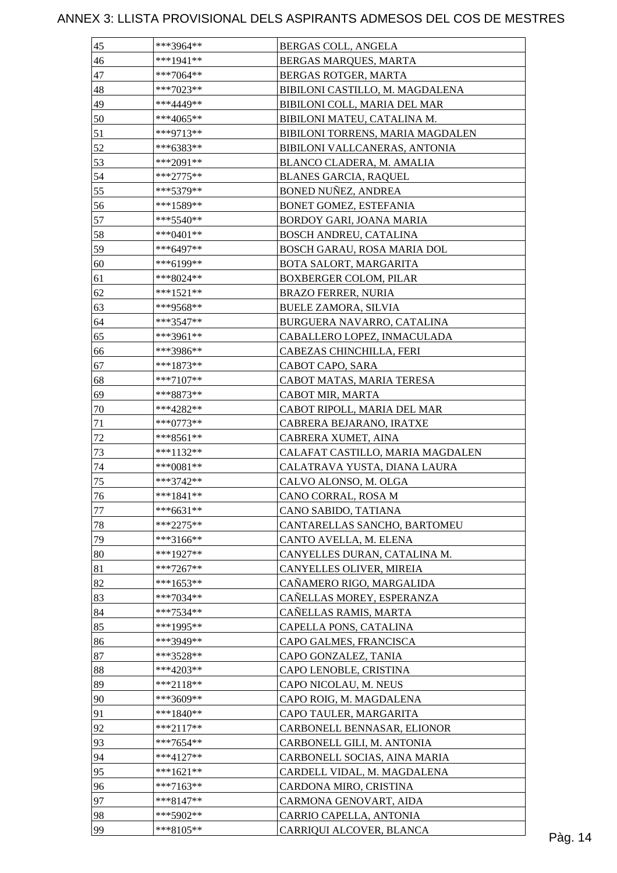| 45       | ***3964**   | BERGAS COLL, ANGELA              |         |
|----------|-------------|----------------------------------|---------|
| 46       | $***1941**$ | BERGAS MARQUES, MARTA            |         |
| 47       | $***7064**$ | BERGAS ROTGER, MARTA             |         |
| 48       | ***7023**   | BIBILONI CASTILLO, M. MAGDALENA  |         |
| 49       | ***4449**   | BIBILONI COLL, MARIA DEL MAR     |         |
| 50       | ***4065**   | BIBILONI MATEU, CATALINA M.      |         |
| 51       | ***9713**   | BIBILONI TORRENS, MARIA MAGDALEN |         |
| 52       | ***6383**   | BIBILONI VALLCANERAS, ANTONIA    |         |
| 53       | ***2091**   | BLANCO CLADERA, M. AMALIA        |         |
| 54       | $***2775**$ | <b>BLANES GARCIA, RAQUEL</b>     |         |
| 55       | ***5379**   | <b>BONED NUÑEZ, ANDREA</b>       |         |
| 56       | ***1589**   | BONET GOMEZ, ESTEFANIA           |         |
| 57       | ***5540**   | BORDOY GARI, JOANA MARIA         |         |
| 58       | $***0401**$ | BOSCH ANDREU, CATALINA           |         |
| 59       | ***6497**   | BOSCH GARAU, ROSA MARIA DOL      |         |
| 60       | ***6199**   | BOTA SALORT, MARGARITA           |         |
| 61       | ***8024**   | <b>BOXBERGER COLOM, PILAR</b>    |         |
| 62       | ***1521**   | <b>BRAZO FERRER, NURIA</b>       |         |
| 63       | ***9568**   | <b>BUELE ZAMORA, SILVIA</b>      |         |
| 64       | $***3547**$ | BURGUERA NAVARRO, CATALINA       |         |
| 65       | ***3961**   | CABALLERO LOPEZ, INMACULADA      |         |
| 66       | ***3986**   | CABEZAS CHINCHILLA, FERI         |         |
| 67       | $***1873**$ | CABOT CAPO, SARA                 |         |
| 68       | ***7107**   | CABOT MATAS, MARIA TERESA        |         |
| 69       | ***8873**   | CABOT MIR, MARTA                 |         |
|          | ***4282**   | CABOT RIPOLL, MARIA DEL MAR      |         |
| 70       | $***0773**$ |                                  |         |
| 71<br>72 |             | CABRERA BEJARANO, IRATXE         |         |
|          | $***8561**$ | CABRERA XUMET, AINA              |         |
| 73       | ***1132**   | CALAFAT CASTILLO, MARIA MAGDALEN |         |
| 74       | ***0081**   | CALATRAVA YUSTA, DIANA LAURA     |         |
| 75       | $***3742**$ | CALVO ALONSO, M. OLGA            |         |
| 76       | $***1841**$ | CANO CORRAL, ROSA M              |         |
| $77\,$   | $***6631**$ | CANO SABIDO, TATIANA             |         |
| 78       | $***2275**$ | CANTARELLAS SANCHO, BARTOMEU     |         |
| 79       | ***3166**   | CANTO AVELLA, M. ELENA           |         |
| 80       | ***1927**   | CANYELLES DURAN, CATALINA M.     |         |
| 81       | $***7267**$ | CANYELLES OLIVER, MIREIA         |         |
| 82       | ***1653**   | CAÑAMERO RIGO, MARGALIDA         |         |
| 83       | ***7034**   | CAÑELLAS MOREY, ESPERANZA        |         |
| 84       | $***7534**$ | CAÑELLAS RAMIS, MARTA            |         |
| 85       | ***1995**   | CAPELLA PONS, CATALINA           |         |
| 86       | ***3949**   | CAPO GALMES, FRANCISCA           |         |
| 87       | ***3528**   | CAPO GONZALEZ, TANIA             |         |
| 88       | $***4203**$ | CAPO LENOBLE, CRISTINA           |         |
| 89       | ***2118**   | CAPO NICOLAU, M. NEUS            |         |
| 90       | ***3609**   | CAPO ROIG, M. MAGDALENA          |         |
| 91       | $***1840**$ | CAPO TAULER, MARGARITA           |         |
| 92       | $***2117**$ | CARBONELL BENNASAR, ELIONOR      |         |
| 93       | $***7654**$ | CARBONELL GILI, M. ANTONIA       |         |
| 94       | $***4127**$ | CARBONELL SOCIAS, AINA MARIA     |         |
| 95       | ***1621**   | CARDELL VIDAL, M. MAGDALENA      |         |
| 96       | $***7163**$ | CARDONA MIRO, CRISTINA           |         |
| 97       | $***8147**$ | CARMONA GENOVART, AIDA           |         |
| 98       | ***5902**   | CARRIO CAPELLA, ANTONIA          |         |
| 99       | ***8105**   | CARRIQUI ALCOVER, BLANCA         | Pàg. 14 |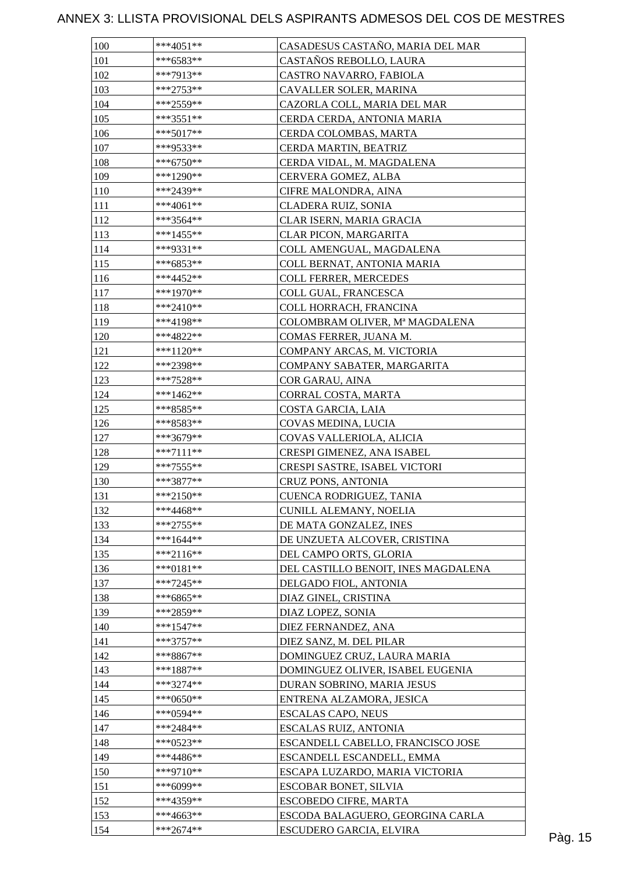| 100 | $***4051**$ | CASADESUS CASTAÑO, MARIA DEL MAR    |         |
|-----|-------------|-------------------------------------|---------|
| 101 | $***6583**$ | CASTAÑOS REBOLLO, LAURA             |         |
| 102 | ***7913**   | CASTRO NAVARRO, FABIOLA             |         |
| 103 | ***2753**   | CAVALLER SOLER, MARINA              |         |
| 104 | ***2559**   | CAZORLA COLL, MARIA DEL MAR         |         |
| 105 | $***3551**$ | CERDA CERDA, ANTONIA MARIA          |         |
| 106 | ***5017**   | CERDA COLOMBAS, MARTA               |         |
| 107 | ***9533**   | CERDA MARTIN, BEATRIZ               |         |
| 108 | $***6750**$ | CERDA VIDAL, M. MAGDALENA           |         |
| 109 | ***1290**   | CERVERA GOMEZ, ALBA                 |         |
| 110 | ***2439**   | CIFRE MALONDRA, AINA                |         |
| 111 | $***4061**$ | CLADERA RUIZ, SONIA                 |         |
| 112 | ***3564**   | CLAR ISERN, MARIA GRACIA            |         |
| 113 | $***1455**$ | CLAR PICON, MARGARITA               |         |
| 114 | ***9331**   | COLL AMENGUAL, MAGDALENA            |         |
| 115 | ***6853**   | COLL BERNAT, ANTONIA MARIA          |         |
| 116 | ***4452**   | <b>COLL FERRER, MERCEDES</b>        |         |
| 117 | ***1970**   | COLL GUAL, FRANCESCA                |         |
| 118 | ***2410**   | COLL HORRACH, FRANCINA              |         |
| 119 | ***4198**   | COLOMBRAM OLIVER, Mª MAGDALENA      |         |
| 120 | ***4822**   | COMAS FERRER, JUANA M.              |         |
| 121 | ***1120**   | COMPANY ARCAS, M. VICTORIA          |         |
| 122 | ***2398**   |                                     |         |
|     |             | COMPANY SABATER, MARGARITA          |         |
| 123 | ***7528**   | COR GARAU, AINA                     |         |
| 124 | ***1462**   | CORRAL COSTA, MARTA                 |         |
| 125 | ***8585**   | COSTA GARCIA, LAIA                  |         |
| 126 | ***8583**   | COVAS MEDINA, LUCIA                 |         |
| 127 | ***3679**   | COVAS VALLERIOLA, ALICIA            |         |
| 128 | $***7111**$ | CRESPI GIMENEZ, ANA ISABEL          |         |
| 129 | $***7555**$ | CRESPI SASTRE, ISABEL VICTORI       |         |
| 130 | ***3877**   | CRUZ PONS, ANTONIA                  |         |
| 131 | ***2150**   | CUENCA RODRIGUEZ, TANIA             |         |
| 132 | $***4468**$ | CUNILL ALEMANY, NOELIA              |         |
| 133 | ***2755**   | DE MATA GONZALEZ, INES              |         |
| 134 | $***1644**$ | DE UNZUETA ALCOVER, CRISTINA        |         |
| 135 | ***2116**   | DEL CAMPO ORTS, GLORIA              |         |
| 136 | ***0181**   | DEL CASTILLO BENOIT, INES MAGDALENA |         |
| 137 | $***7245**$ | DELGADO FIOL, ANTONIA               |         |
| 138 | ***6865**   | DIAZ GINEL, CRISTINA                |         |
| 139 | ***2859**   | DIAZ LOPEZ, SONIA                   |         |
| 140 | $***1547**$ | DIEZ FERNANDEZ, ANA                 |         |
| 141 | ***3757**   | DIEZ SANZ, M. DEL PILAR             |         |
| 142 | ***8867**   | DOMINGUEZ CRUZ, LAURA MARIA         |         |
| 143 | $***1887**$ | DOMINGUEZ OLIVER, ISABEL EUGENIA    |         |
| 144 | ***3274**   | DURAN SOBRINO, MARIA JESUS          |         |
| 145 | ***0650**   | ENTRENA ALZAMORA, JESICA            |         |
| 146 | ***0594**   | <b>ESCALAS CAPO, NEUS</b>           |         |
| 147 | ***2484**   | ESCALAS RUIZ, ANTONIA               |         |
| 148 | ***0523**   | ESCANDELL CABELLO, FRANCISCO JOSE   |         |
| 149 | $***4486**$ | ESCANDELL ESCANDELL, EMMA           |         |
| 150 | ***9710**   | ESCAPA LUZARDO, MARIA VICTORIA      |         |
| 151 | ***6099**   | ESCOBAR BONET, SILVIA               |         |
| 152 | ***4359**   | <b>ESCOBEDO CIFRE, MARTA</b>        |         |
| 153 | ***4663**   | ESCODA BALAGUERO, GEORGINA CARLA    |         |
| 154 | $***2674**$ | ESCUDERO GARCIA, ELVIRA             | Pàg. 15 |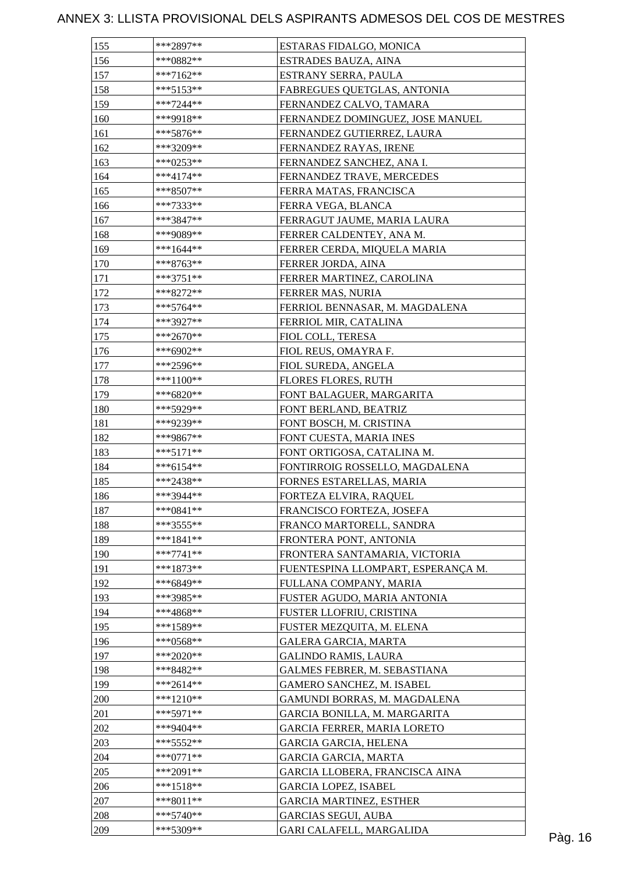| 155 | ***2897**   | ESTARAS FIDALGO, MONICA            |         |
|-----|-------------|------------------------------------|---------|
| 156 | ***0882**   | ESTRADES BAUZA, AINA               |         |
| 157 | ***7162**   | ESTRANY SERRA, PAULA               |         |
| 158 | ***5153**   | FABREGUES QUETGLAS, ANTONIA        |         |
| 159 | $***7244**$ | FERNANDEZ CALVO, TAMARA            |         |
| 160 | ***9918**   | FERNANDEZ DOMINGUEZ, JOSE MANUEL   |         |
| 161 | ***5876**   | FERNANDEZ GUTIERREZ, LAURA         |         |
| 162 | ***3209**   | FERNANDEZ RAYAS, IRENE             |         |
| 163 | ***0253**   | FERNANDEZ SANCHEZ, ANA I.          |         |
| 164 | $***4174**$ | FERNANDEZ TRAVE, MERCEDES          |         |
| 165 | ***8507**   | FERRA MATAS, FRANCISCA             |         |
| 166 | ***7333**   | FERRA VEGA, BLANCA                 |         |
| 167 | ***3847**   | FERRAGUT JAUME, MARIA LAURA        |         |
| 168 | ***9089**   | FERRER CALDENTEY, ANA M.           |         |
| 169 | ***1644**   | FERRER CERDA, MIQUELA MARIA        |         |
| 170 | ***8763**   | FERRER JORDA, AINA                 |         |
| 171 | $***3751**$ | FERRER MARTINEZ, CAROLINA          |         |
| 172 | ***8272**   | FERRER MAS, NURIA                  |         |
| 173 | $***5764**$ | FERRIOL BENNASAR, M. MAGDALENA     |         |
| 174 | ***3927**   | FERRIOL MIR, CATALINA              |         |
| 175 | $***2670**$ | FIOL COLL, TERESA                  |         |
| 176 | ***6902**   | FIOL REUS, OMAYRA F.               |         |
| 177 | ***2596**   | FIOL SUREDA, ANGELA                |         |
|     |             |                                    |         |
| 178 | ***1100**   | <b>FLORES FLORES, RUTH</b>         |         |
| 179 | ***6820**   | FONT BALAGUER, MARGARITA           |         |
| 180 | ***5929**   | FONT BERLAND, BEATRIZ              |         |
| 181 | ***9239**   | FONT BOSCH, M. CRISTINA            |         |
| 182 | ***9867**   | FONT CUESTA, MARIA INES            |         |
| 183 | $***5171**$ | FONT ORTIGOSA, CATALINA M.         |         |
| 184 | $***6154**$ | FONTIRROIG ROSSELLO, MAGDALENA     |         |
| 185 | ***2438**   | FORNES ESTARELLAS, MARIA           |         |
| 186 | ***3944**   | FORTEZA ELVIRA, RAQUEL             |         |
| 187 | $***0841**$ | FRANCISCO FORTEZA, JOSEFA          |         |
| 188 | ***3555**   | FRANCO MARTORELL, SANDRA           |         |
| 189 | $***1841**$ | FRONTERA PONT, ANTONIA             |         |
| 190 | $***7741**$ | FRONTERA SANTAMARIA, VICTORIA      |         |
| 191 | $***1873**$ | FUENTESPINA LLOMPART, ESPERANÇA M. |         |
| 192 | ***6849**   | FULLANA COMPANY, MARIA             |         |
| 193 | ***3985**   | FUSTER AGUDO, MARIA ANTONIA        |         |
| 194 | ***4868**   | FUSTER LLOFRIU, CRISTINA           |         |
| 195 | ***1589**   | FUSTER MEZQUITA, M. ELENA          |         |
| 196 | ***0568**   | <b>GALERA GARCIA, MARTA</b>        |         |
| 197 | $***2020**$ | <b>GALINDO RAMIS, LAURA</b>        |         |
| 198 | ***8482**   | GALMES FEBRER, M. SEBASTIANA       |         |
| 199 | ***2614**   | GAMERO SANCHEZ, M. ISABEL          |         |
| 200 | ***1210**   | GAMUNDI BORRAS, M. MAGDALENA       |         |
| 201 | $***5971**$ | GARCIA BONILLA, M. MARGARITA       |         |
| 202 | ***9404**   | GARCIA FERRER, MARIA LORETO        |         |
| 203 | ***5552**   | <b>GARCIA GARCIA, HELENA</b>       |         |
| 204 | $***0771**$ | <b>GARCIA GARCIA, MARTA</b>        |         |
| 205 | ***2091**   | GARCIA LLOBERA, FRANCISCA AINA     |         |
| 206 | ***1518**   | <b>GARCIA LOPEZ, ISABEL</b>        |         |
| 207 | $***8011**$ | <b>GARCIA MARTINEZ, ESTHER</b>     |         |
| 208 | $***5740**$ | <b>GARCIAS SEGUI, AUBA</b>         |         |
| 209 | ***5309**   | GARI CALAFELL, MARGALIDA           | Pàg. 16 |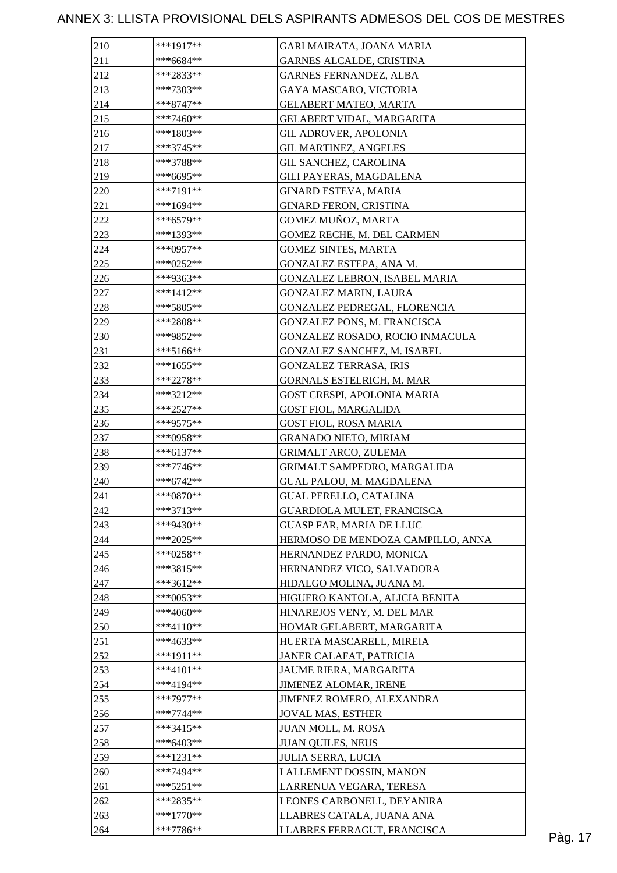| 210 | ***1917**   | GARI MAIRATA, JOANA MARIA         |         |
|-----|-------------|-----------------------------------|---------|
| 211 | $***6684**$ | GARNES ALCALDE, CRISTINA          |         |
| 212 | ***2833**   | <b>GARNES FERNANDEZ, ALBA</b>     |         |
| 213 | $***7303**$ | GAYA MASCARO, VICTORIA            |         |
| 214 | ***8747**   | <b>GELABERT MATEO, MARTA</b>      |         |
| 215 | ***7460**   | GELABERT VIDAL, MARGARITA         |         |
| 216 | ***1803**   | <b>GIL ADROVER, APOLONIA</b>      |         |
| 217 | $***3745**$ | <b>GIL MARTINEZ, ANGELES</b>      |         |
| 218 | ***3788**   | <b>GIL SANCHEZ, CAROLINA</b>      |         |
| 219 | ***6695**   | GILI PAYERAS, MAGDALENA           |         |
| 220 | ***7191**   | <b>GINARD ESTEVA, MARIA</b>       |         |
| 221 | ***1694**   | <b>GINARD FERON, CRISTINA</b>     |         |
| 222 | ***6579**   | GOMEZ MUÑOZ, MARTA                |         |
| 223 | ***1393**   | GOMEZ RECHE, M. DEL CARMEN        |         |
| 224 | ***0957**   | <b>GOMEZ SINTES, MARTA</b>        |         |
| 225 | ***0252**   | GONZALEZ ESTEPA, ANA M.           |         |
| 226 | ***9363**   | GONZALEZ LEBRON, ISABEL MARIA     |         |
| 227 | $***1412**$ | <b>GONZALEZ MARIN, LAURA</b>      |         |
| 228 | ***5805**   | GONZALEZ PEDREGAL, FLORENCIA      |         |
| 229 | $***2808**$ | GONZALEZ PONS, M. FRANCISCA       |         |
| 230 | ***9852**   | GONZALEZ ROSADO, ROCIO INMACULA   |         |
| 231 |             |                                   |         |
|     | $***5166**$ | GONZALEZ SANCHEZ, M. ISABEL       |         |
| 232 | $***1655**$ | <b>GONZALEZ TERRASA, IRIS</b>     |         |
| 233 | ***2278**   | <b>GORNALS ESTELRICH, M. MAR</b>  |         |
| 234 | ***3212**   | GOST CRESPI, APOLONIA MARIA       |         |
| 235 | $***2527**$ | <b>GOST FIOL, MARGALIDA</b>       |         |
| 236 | ***9575**   | <b>GOST FIOL, ROSA MARIA</b>      |         |
| 237 | ***0958**   | <b>GRANADO NIETO, MIRIAM</b>      |         |
| 238 | $***6137**$ | <b>GRIMALT ARCO, ZULEMA</b>       |         |
| 239 | ***7746**   | GRIMALT SAMPEDRO, MARGALIDA       |         |
| 240 | $***6742**$ | GUAL PALOU, M. MAGDALENA          |         |
| 241 | $***0870**$ | <b>GUAL PERELLO, CATALINA</b>     |         |
| 242 | ***3713**   | GUARDIOLA MULET, FRANCISCA        |         |
| 243 | ***9430**   | <b>GUASP FAR, MARIA DE LLUC</b>   |         |
| 244 | $***2025**$ | HERMOSO DE MENDOZA CAMPILLO, ANNA |         |
| 245 | ***0258**   | HERNANDEZ PARDO, MONICA           |         |
| 246 | ***3815**   | HERNANDEZ VICO, SALVADORA         |         |
| 247 | $***3612**$ | HIDALGO MOLINA, JUANA M.          |         |
| 248 | ***0053**   | HIGUERO KANTOLA, ALICIA BENITA    |         |
| 249 | $***4060**$ | HINAREJOS VENY, M. DEL MAR        |         |
| 250 | $***4110**$ | HOMAR GELABERT, MARGARITA         |         |
| 251 | ***4633**   | HUERTA MASCARELL, MIREIA          |         |
| 252 | $***1911**$ | JANER CALAFAT, PATRICIA           |         |
| 253 | $***4101**$ | JAUME RIERA, MARGARITA            |         |
| 254 | ***4194**   | JIMENEZ ALOMAR, IRENE             |         |
| 255 | $***7977**$ | JIMENEZ ROMERO, ALEXANDRA         |         |
| 256 | $***7744**$ | <b>JOVAL MAS, ESTHER</b>          |         |
| 257 | ***3415**   | JUAN MOLL, M. ROSA                |         |
| 258 | $***6403**$ | <b>JUAN QUILES, NEUS</b>          |         |
| 259 | $***1231**$ | <b>JULIA SERRA, LUCIA</b>         |         |
| 260 | ***7494**   | LALLEMENT DOSSIN, MANON           |         |
| 261 | $***5251**$ | LARRENUA VEGARA, TERESA           |         |
| 262 | ***2835**   | LEONES CARBONELL, DEYANIRA        |         |
| 263 | $***1770**$ | LLABRES CATALA, JUANA ANA         |         |
| 264 | ***7786**   | LLABRES FERRAGUT, FRANCISCA       | Pàg. 17 |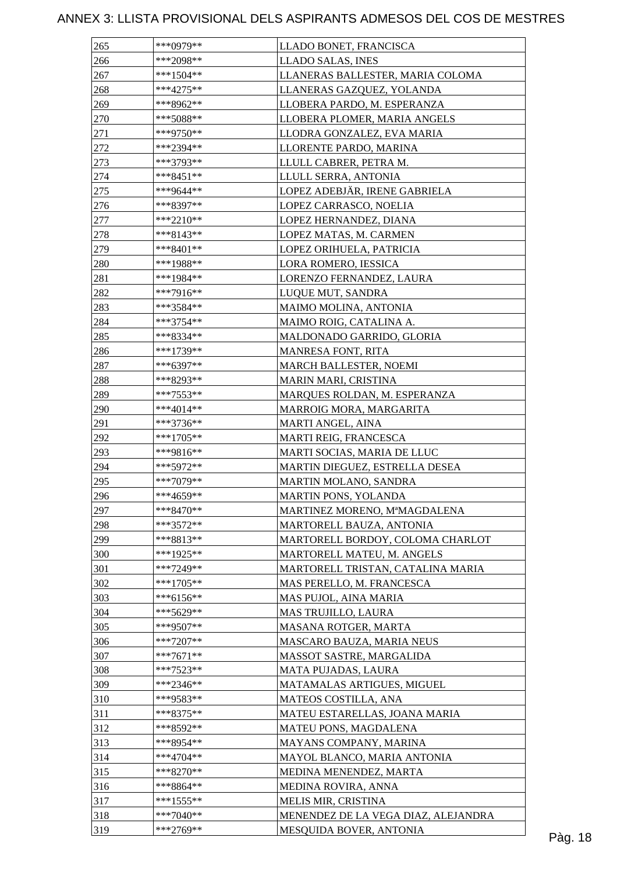| 265 | ***0979**    | LLADO BONET, FRANCISCA              |  |
|-----|--------------|-------------------------------------|--|
| 266 | ***2098**    | LLADO SALAS, INES                   |  |
| 267 | $***1504**$  | LLANERAS BALLESTER, MARIA COLOMA    |  |
| 268 | $***4275**$  | LLANERAS GAZQUEZ, YOLANDA           |  |
| 269 | ***8962**    | LLOBERA PARDO, M. ESPERANZA         |  |
| 270 | $***5088**$  | LLOBERA PLOMER, MARIA ANGELS        |  |
| 271 | ***9750**    | LLODRA GONZALEZ, EVA MARIA          |  |
| 272 | ***2394**    | LLORENTE PARDO, MARINA              |  |
| 273 | ***3793**    | LLULL CABRER, PETRA M.              |  |
| 274 | $***8451**$  | LLULL SERRA, ANTONIA                |  |
| 275 | ***9644**    | LOPEZ ADEBJÄR, IRENE GABRIELA       |  |
| 276 | ***8397**    | LOPEZ CARRASCO, NOELIA              |  |
| 277 | $***2210**$  | LOPEZ HERNANDEZ, DIANA              |  |
| 278 | $***8143**$  | LOPEZ MATAS, M. CARMEN              |  |
| 279 | $***8401**$  | LOPEZ ORIHUELA, PATRICIA            |  |
| 280 | $***1988**$  | LORA ROMERO, IESSICA                |  |
| 281 | $***1984**$  | LORENZO FERNANDEZ, LAURA            |  |
| 282 | $***7916**$  | LUQUE MUT, SANDRA                   |  |
| 283 | ***3584**    | MAIMO MOLINA, ANTONIA               |  |
| 284 | ***3754**    | MAIMO ROIG, CATALINA A.             |  |
| 285 | ***8334**    | MALDONADO GARRIDO, GLORIA           |  |
| 286 | ***1739**    | <b>MANRESA FONT, RITA</b>           |  |
|     |              |                                     |  |
| 287 | ***6397**    | MARCH BALLESTER, NOEMI              |  |
| 288 | ***8293**    | MARIN MARI, CRISTINA                |  |
| 289 | ***7553**    | MARQUES ROLDAN, M. ESPERANZA        |  |
| 290 | ***4014**    | MARROIG MORA, MARGARITA             |  |
| 291 | ***3736**    | MARTI ANGEL, AINA                   |  |
| 292 | $***1705**$  | MARTI REIG, FRANCESCA               |  |
| 293 | ***9816**    | MARTI SOCIAS, MARIA DE LLUC         |  |
| 294 | ***5972**    | MARTIN DIEGUEZ, ESTRELLA DESEA      |  |
| 295 | ***7079**    | MARTIN MOLANO, SANDRA               |  |
| 296 | $***4659**$  | MARTIN PONS, YOLANDA                |  |
| 297 | $***8470**$  | MARTINEZ MORENO, MªMAGDALENA        |  |
| 298 | $***3572**$  | MARTORELL BAUZA, ANTONIA            |  |
| 299 | ***8813**    | MARTORELL BORDOY, COLOMA CHARLOT    |  |
| 300 | ***1925**    | MARTORELL MATEU, M. ANGELS          |  |
| 301 | ***7249**    | MARTORELL TRISTAN, CATALINA MARIA   |  |
| 302 | $***1705**$  | MAS PERELLO, M. FRANCESCA           |  |
| 303 | ***6156**    | MAS PUJOL, AINA MARIA               |  |
| 304 | ***5629**    | <b>MAS TRUJILLO, LAURA</b>          |  |
| 305 | ***9507**    | MASANA ROTGER, MARTA                |  |
| 306 | $***7207**$  | MASCARO BAUZA, MARIA NEUS           |  |
| 307 | $***7671**$  | MASSOT SASTRE, MARGALIDA            |  |
| 308 | $***7523**$  | MATA PUJADAS, LAURA                 |  |
| 309 | ***2346**    | MATAMALAS ARTIGUES, MIGUEL          |  |
| 310 | ***9583**    | MATEOS COSTILLA, ANA                |  |
| 311 | ***8375**    | MATEU ESTARELLAS, JOANA MARIA       |  |
| 312 | ***8592**    | MATEU PONS, MAGDALENA               |  |
| 313 | ***8954**    | MAYANS COMPANY, MARINA              |  |
| 314 | $***4704**$  | MAYOL BLANCO, MARIA ANTONIA         |  |
| 315 | $***8270**$  | MEDINA MENENDEZ, MARTA              |  |
| 316 | ***8864**    | MEDINA ROVIRA, ANNA                 |  |
| 317 | $***1555***$ | MELIS MIR, CRISTINA                 |  |
|     |              |                                     |  |
| 318 | $***7040**$  | MENENDEZ DE LA VEGA DIAZ, ALEJANDRA |  |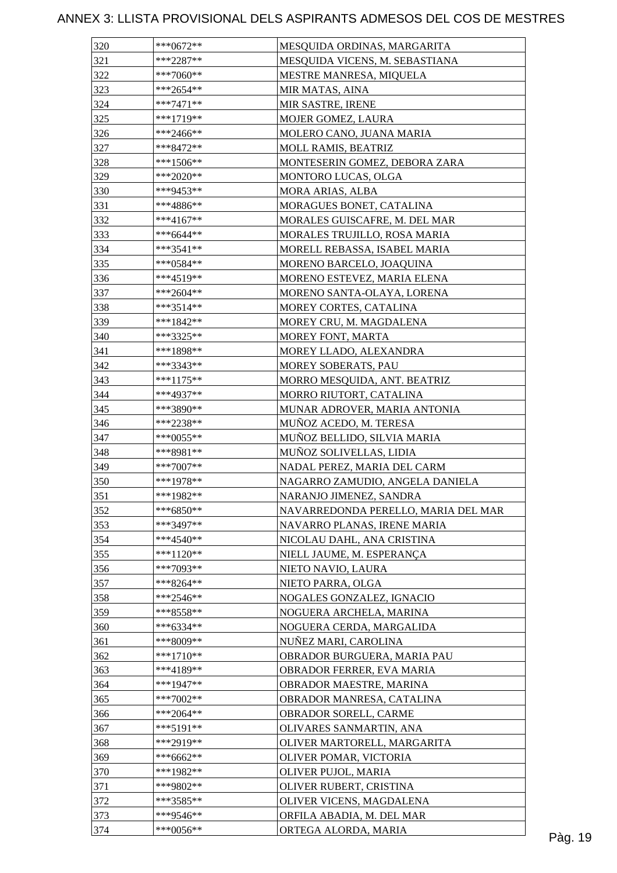| 320 | ***0672**   | MESQUIDA ORDINAS, MARGARITA         |  |
|-----|-------------|-------------------------------------|--|
| 321 | $***2287**$ | MESQUIDA VICENS, M. SEBASTIANA      |  |
| 322 | ***7060**   | <b>MESTRE MANRESA, MIQUELA</b>      |  |
| 323 | ***2654**   | MIR MATAS, AINA                     |  |
| 324 | $***7471**$ | MIR SASTRE, IRENE                   |  |
| 325 | ***1719**   | <b>MOJER GOMEZ, LAURA</b>           |  |
| 326 | ***2466**   | MOLERO CANO, JUANA MARIA            |  |
| 327 | ***8472**   | MOLL RAMIS, BEATRIZ                 |  |
| 328 | $***1506**$ | MONTESERIN GOMEZ, DEBORA ZARA       |  |
| 329 | ***2020**   | MONTORO LUCAS, OLGA                 |  |
| 330 | ***9453**   | MORA ARIAS, ALBA                    |  |
| 331 | ***4886**   | MORAGUES BONET, CATALINA            |  |
| 332 | ***4167**   | MORALES GUISCAFRE, M. DEL MAR       |  |
| 333 | $***6644**$ | MORALES TRUJILLO, ROSA MARIA        |  |
| 334 | $***3541**$ | MORELL REBASSA, ISABEL MARIA        |  |
| 335 | ***0584**   | MORENO BARCELO, JOAQUINA            |  |
| 336 | ***4519**   | MORENO ESTEVEZ, MARIA ELENA         |  |
| 337 | $***2604**$ | MORENO SANTA-OLAYA, LORENA          |  |
| 338 | $***3514**$ | MOREY CORTES, CATALINA              |  |
| 339 | $***1842**$ | MOREY CRU, M. MAGDALENA             |  |
| 340 | ***3325**   | MOREY FONT, MARTA                   |  |
| 341 | ***1898**   |                                     |  |
|     | ***3343**   | MOREY LLADO, ALEXANDRA              |  |
| 342 |             | MOREY SOBERATS, PAU                 |  |
| 343 | ***1175**   | MORRO MESQUIDA, ANT. BEATRIZ        |  |
| 344 | ***4937**   | MORRO RIUTORT, CATALINA             |  |
| 345 | ***3890**   | MUNAR ADROVER, MARIA ANTONIA        |  |
| 346 | ***2238**   | MUÑOZ ACEDO, M. TERESA              |  |
| 347 | ***0055**   | MUÑOZ BELLIDO, SILVIA MARIA         |  |
| 348 | ***8981**   | MUÑOZ SOLIVELLAS, LIDIA             |  |
| 349 | $***7007**$ | NADAL PEREZ, MARIA DEL CARM         |  |
| 350 | $***1978**$ | NAGARRO ZAMUDIO, ANGELA DANIELA     |  |
| 351 | ***1982**   | NARANJO JIMENEZ, SANDRA             |  |
| 352 | ***6850**   | NAVARREDONDA PERELLO, MARIA DEL MAR |  |
| 353 | ***3497**   | NAVARRO PLANAS, IRENE MARIA         |  |
| 354 | $***4540**$ | NICOLAU DAHL, ANA CRISTINA          |  |
| 355 | ***1120**   | NIELL JAUME, M. ESPERANÇA           |  |
| 356 | $***7093**$ | NIETO NAVIO, LAURA                  |  |
| 357 | ***8264**   | NIETO PARRA, OLGA                   |  |
| 358 | ***2546**   | NOGALES GONZALEZ, IGNACIO           |  |
| 359 | ***8558**   | NOGUERA ARCHELA, MARINA             |  |
| 360 | ***6334**   | NOGUERA CERDA, MARGALIDA            |  |
| 361 | ***8009**   | NUÑEZ MARI, CAROLINA                |  |
| 362 | ***1710**   | OBRADOR BURGUERA, MARIA PAU         |  |
| 363 | ***4189**   | OBRADOR FERRER, EVA MARIA           |  |
| 364 | $***1947**$ | OBRADOR MAESTRE, MARINA             |  |
| 365 | $***7002**$ | OBRADOR MANRESA, CATALINA           |  |
| 366 | ***2064**   | OBRADOR SORELL, CARME               |  |
| 367 | $***5191**$ | OLIVARES SANMARTIN, ANA             |  |
| 368 | ***2919**   | OLIVER MARTORELL, MARGARITA         |  |
| 369 | $***6662**$ | OLIVER POMAR, VICTORIA              |  |
| 370 | ***1982**   | OLIVER PUJOL, MARIA                 |  |
| 371 | ***9802**   | OLIVER RUBERT, CRISTINA             |  |
| 372 | ***3585**   | OLIVER VICENS, MAGDALENA            |  |
| 373 | ***9546**   | ORFILA ABADIA, M. DEL MAR           |  |
| 374 | $***0056**$ | ORTEGA ALORDA, MARIA                |  |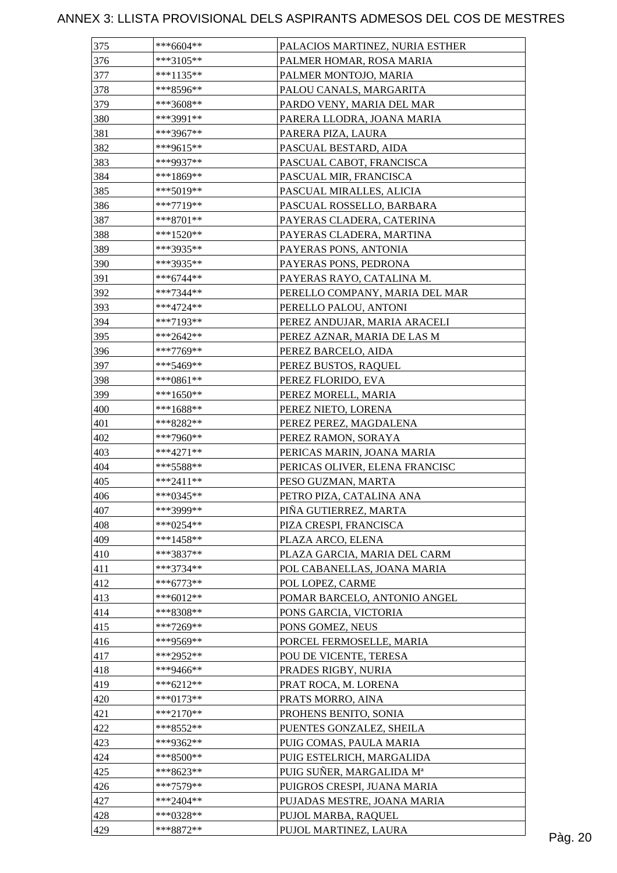| 375 | $***6604**$              | PALACIOS MARTINEZ, NURIA ESTHER |         |
|-----|--------------------------|---------------------------------|---------|
| 376 | $***3105**$              | PALMER HOMAR, ROSA MARIA        |         |
| 377 | ***1135**                | PALMER MONTOJO, MARIA           |         |
| 378 | ***8596**                | PALOU CANALS, MARGARITA         |         |
| 379 | ***3608**                | PARDO VENY, MARIA DEL MAR       |         |
| 380 | ***3991**                | PARERA LLODRA, JOANA MARIA      |         |
| 381 | ***3967**                | PARERA PIZA, LAURA              |         |
| 382 | ***9615**                | PASCUAL BESTARD, AIDA           |         |
| 383 | ***9937**                | PASCUAL CABOT, FRANCISCA        |         |
| 384 | $***1869**$              | PASCUAL MIR, FRANCISCA          |         |
| 385 | $***5019**$              | PASCUAL MIRALLES, ALICIA        |         |
| 386 | $***7719**$              | PASCUAL ROSSELLO, BARBARA       |         |
| 387 | $***8701**$              | PAYERAS CLADERA, CATERINA       |         |
| 388 | $***1520**$              | PAYERAS CLADERA, MARTINA        |         |
| 389 | ***3935**                | PAYERAS PONS, ANTONIA           |         |
| 390 | ***3935**                | PAYERAS PONS, PEDRONA           |         |
| 391 | $***6744**$              | PAYERAS RAYO, CATALINA M.       |         |
| 392 | $***7344**$              | PERELLO COMPANY, MARIA DEL MAR  |         |
| 393 | $***4724**$              | PERELLO PALOU, ANTONI           |         |
| 394 | $***7193**$              | PEREZ ANDUJAR, MARIA ARACELI    |         |
| 395 | $***2642**$              | PEREZ AZNAR, MARIA DE LAS M     |         |
| 396 | ***7769**                | PEREZ BARCELO, AIDA             |         |
| 397 | $***5469**$              | PEREZ BUSTOS, RAQUEL            |         |
|     |                          |                                 |         |
| 398 | ***0861**<br>$***1650**$ | PEREZ FLORIDO, EVA              |         |
| 399 |                          | PEREZ MORELL, MARIA             |         |
| 400 | ***1688**                | PEREZ NIETO, LORENA             |         |
| 401 | ***8282**                | PEREZ PEREZ, MAGDALENA          |         |
| 402 | ***7960**                | PEREZ RAMON, SORAYA             |         |
| 403 | $***4271**$              | PERICAS MARIN, JOANA MARIA      |         |
| 404 | $***5588**$              | PERICAS OLIVER, ELENA FRANCISC  |         |
| 405 | $***2411**$              | PESO GUZMAN, MARTA              |         |
| 406 | $***0345**$              | PETRO PIZA, CATALINA ANA        |         |
| 407 | ***3999**                | PIÑA GUTIERREZ, MARTA           |         |
| 408 | $***0254**$              | PIZA CRESPI, FRANCISCA          |         |
| 409 | $***1458**$              | PLAZA ARCO, ELENA               |         |
| 410 | ***3837**                | PLAZA GARCIA, MARIA DEL CARM    |         |
| 411 | ***3734**                | POL CABANELLAS, JOANA MARIA     |         |
| 412 | $***6773**$              | POL LOPEZ, CARME                |         |
| 413 | ***6012**                | POMAR BARCELO, ANTONIO ANGEL    |         |
| 414 | ***8308**                | PONS GARCIA, VICTORIA           |         |
| 415 | ***7269**                | PONS GOMEZ, NEUS                |         |
| 416 | ***9569**                | PORCEL FERMOSELLE, MARIA        |         |
| 417 | ***2952**                | POU DE VICENTE, TERESA          |         |
| 418 | ***9466**                | PRADES RIGBY, NURIA             |         |
| 419 | ***6212**                | PRAT ROCA, M. LORENA            |         |
| 420 | ***0173**                | PRATS MORRO, AINA               |         |
| 421 | ***2170**                | PROHENS BENITO, SONIA           |         |
| 422 | ***8552**                | PUENTES GONZALEZ, SHEILA        |         |
| 423 | ***9362**                | PUIG COMAS, PAULA MARIA         |         |
| 424 | $***8500**$              | PUIG ESTELRICH, MARGALIDA       |         |
| 425 | ***8623**                | PUIG SUÑER, MARGALIDA Mª        |         |
| 426 | ***7579**                | PUIGROS CRESPI, JUANA MARIA     |         |
| 427 | $***2404**$              | PUJADAS MESTRE, JOANA MARIA     |         |
| 428 | $***0328**$              | PUJOL MARBA, RAQUEL             |         |
| 429 | ***8872**                | PUJOL MARTINEZ, LAURA           | Pàg. 20 |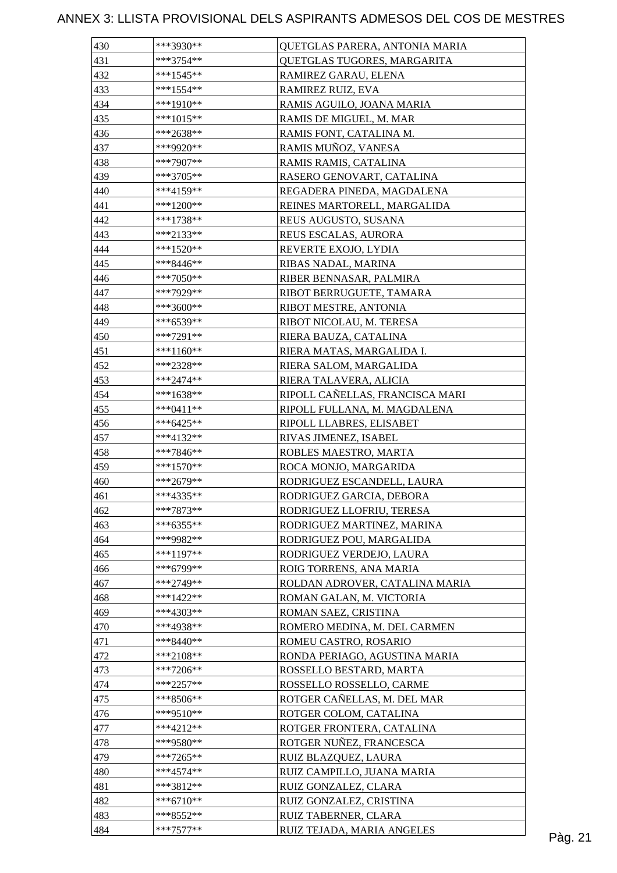| 430 | ***3930**              | <b>OUETGLAS PARERA, ANTONIA MARIA</b> |         |
|-----|------------------------|---------------------------------------|---------|
| 431 | ***3754**              | QUETGLAS TUGORES, MARGARITA           |         |
| 432 | $***1545**$            | RAMIREZ GARAU, ELENA                  |         |
| 433 | $***1554**$            | RAMIREZ RUIZ, EVA                     |         |
| 434 | ***1910**              | RAMIS AGUILO, JOANA MARIA             |         |
| 435 | $***1015**$            | RAMIS DE MIGUEL, M. MAR               |         |
| 436 | ***2638**              | RAMIS FONT, CATALINA M.               |         |
| 437 | ***9920**              | RAMIS MUÑOZ, VANESA                   |         |
| 438 | ***7907**              | RAMIS RAMIS, CATALINA                 |         |
| 439 | ***3705**              | RASERO GENOVART, CATALINA             |         |
| 440 | $***4159**$            | REGADERA PINEDA, MAGDALENA            |         |
| 441 | ***1200**              | REINES MARTORELL, MARGALIDA           |         |
| 442 | $***1738**$            | REUS AUGUSTO, SUSANA                  |         |
| 443 | $***2133**$            | REUS ESCALAS, AURORA                  |         |
| 444 | $***1520**$            | REVERTE EXOJO, LYDIA                  |         |
| 445 | ***8446**              | RIBAS NADAL, MARINA                   |         |
| 446 | $***7050**$            | RIBER BENNASAR, PALMIRA               |         |
| 447 | ***7929**              | RIBOT BERRUGUETE, TAMARA              |         |
| 448 | ***3600**              | RIBOT MESTRE, ANTONIA                 |         |
| 449 | ***6539**              | RIBOT NICOLAU, M. TERESA              |         |
| 450 | ***7291**              | RIERA BAUZA, CATALINA                 |         |
| 451 | ***1160**              | RIERA MATAS, MARGALIDA I.             |         |
| 452 | ***2328**              | RIERA SALOM, MARGALIDA                |         |
| 453 | $***2474**$            | RIERA TALAVERA, ALICIA                |         |
| 454 | ***1638**              | RIPOLL CAÑELLAS, FRANCISCA MARI       |         |
| 455 | $***0411**$            |                                       |         |
| 456 |                        | RIPOLL FULLANA, M. MAGDALENA          |         |
|     | ***6425**<br>***4132** | RIPOLL LLABRES, ELISABET              |         |
| 457 |                        | RIVAS JIMENEZ, ISABEL                 |         |
| 458 | ***7846**              | ROBLES MAESTRO, MARTA                 |         |
| 459 | ***1570**              | ROCA MONJO, MARGARIDA                 |         |
| 460 | ***2679**              | RODRIGUEZ ESCANDELL, LAURA            |         |
| 461 | ***4335**              | RODRIGUEZ GARCIA, DEBORA              |         |
| 462 | ***7873**              | RODRIGUEZ LLOFRIU, TERESA             |         |
| 463 | ***6355**              | RODRIGUEZ MARTINEZ, MARINA            |         |
| 464 | ***9982**              | RODRIGUEZ POU, MARGALIDA              |         |
| 465 | ***1197**              | RODRIGUEZ VERDEJO, LAURA              |         |
| 466 | ***6799**              | ROIG TORRENS, ANA MARIA               |         |
| 467 | ***2749**              | ROLDAN ADROVER, CATALINA MARIA        |         |
| 468 | $***1422**$            | ROMAN GALAN, M. VICTORIA              |         |
| 469 | $***4303**$            | ROMAN SAEZ, CRISTINA                  |         |
| 470 | ***4938**              | ROMERO MEDINA, M. DEL CARMEN          |         |
| 471 | ***8440**              | ROMEU CASTRO, ROSARIO                 |         |
| 472 | ***2108**              | RONDA PERIAGO, AGUSTINA MARIA         |         |
| 473 | $***7206**$            | ROSSELLO BESTARD, MARTA               |         |
| 474 | ***2257**              | ROSSELLO ROSSELLO, CARME              |         |
| 475 | ***8506**              | ROTGER CAÑELLAS, M. DEL MAR           |         |
| 476 | ***9510**              | ROTGER COLOM, CATALINA                |         |
| 477 | ***4212**              | ROTGER FRONTERA, CATALINA             |         |
| 478 | ***9580**              | ROTGER NUÑEZ, FRANCESCA               |         |
| 479 | $***7265**$            | RUIZ BLAZQUEZ, LAURA                  |         |
| 480 | ***4574**              | RUIZ CAMPILLO, JUANA MARIA            |         |
| 481 | ***3812**              | RUIZ GONZALEZ, CLARA                  |         |
| 482 | $***6710**$            | RUIZ GONZALEZ, CRISTINA               |         |
| 483 | ***8552**              | RUIZ TABERNER, CLARA                  |         |
| 484 | $***7577**$            | RUIZ TEJADA, MARIA ANGELES            | Pàg. 21 |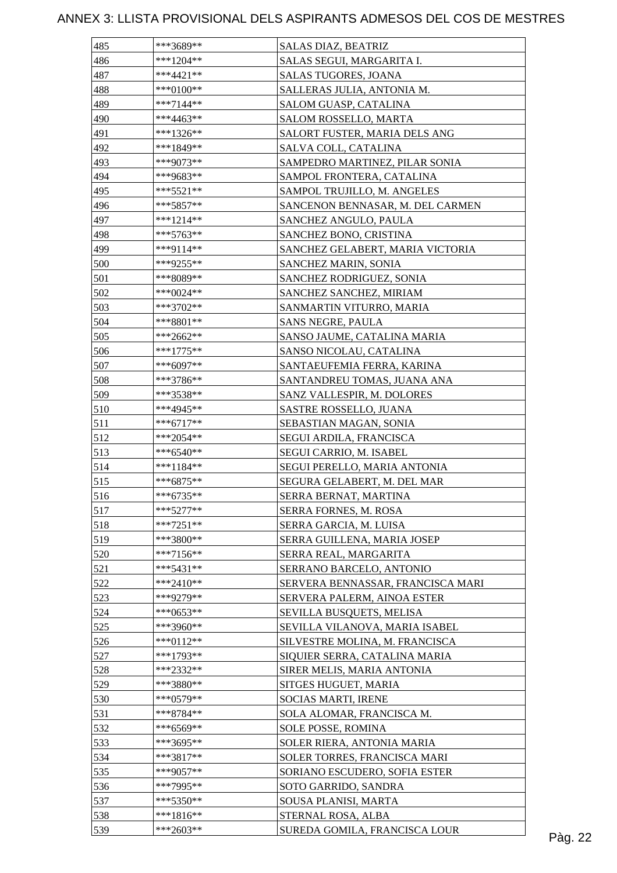| 485 | ***3689**   | SALAS DIAZ, BEATRIZ               |         |
|-----|-------------|-----------------------------------|---------|
| 486 | $***1204**$ | SALAS SEGUI, MARGARITA I.         |         |
| 487 | $***4421**$ | SALAS TUGORES, JOANA              |         |
| 488 | ***0100**   | SALLERAS JULIA, ANTONIA M.        |         |
| 489 | $***7144**$ | SALOM GUASP, CATALINA             |         |
| 490 | ***4463**   | SALOM ROSSELLO, MARTA             |         |
| 491 | ***1326**   | SALORT FUSTER, MARIA DELS ANG     |         |
| 492 | ***1849**   | SALVA COLL, CATALINA              |         |
| 493 | ***9073**   | SAMPEDRO MARTINEZ, PILAR SONIA    |         |
| 494 | ***9683**   | SAMPOL FRONTERA, CATALINA         |         |
| 495 | $***5521**$ | SAMPOL TRUJILLO, M. ANGELES       |         |
| 496 | ***5857**   | SANCENON BENNASAR, M. DEL CARMEN  |         |
| 497 | ***1214**   | SANCHEZ ANGULO, PAULA             |         |
| 498 | ***5763**   | SANCHEZ BONO, CRISTINA            |         |
| 499 | ***9114**   | SANCHEZ GELABERT, MARIA VICTORIA  |         |
| 500 | ***9255**   | SANCHEZ MARIN, SONIA              |         |
| 501 | ***8089**   | SANCHEZ RODRIGUEZ, SONIA          |         |
| 502 | ***0024**   | SANCHEZ SANCHEZ, MIRIAM           |         |
| 503 | ***3702**   | SANMARTIN VITURRO, MARIA          |         |
| 504 | ***8801**   | SANS NEGRE, PAULA                 |         |
| 505 | ***2662**   | SANSO JAUME, CATALINA MARIA       |         |
| 506 | $***1775**$ | SANSO NICOLAU, CATALINA           |         |
| 507 | ***6097**   | SANTAEUFEMIA FERRA, KARINA        |         |
| 508 | ***3786**   | SANTANDREU TOMAS, JUANA ANA       |         |
|     |             |                                   |         |
| 509 | ***3538**   | SANZ VALLESPIR, M. DOLORES        |         |
| 510 | ***4945**   | SASTRE ROSSELLO, JUANA            |         |
| 511 | ***6717**   | SEBASTIAN MAGAN, SONIA            |         |
| 512 | $***2054**$ | SEGUI ARDILA, FRANCISCA           |         |
| 513 | ***6540**   | SEGUI CARRIO, M. ISABEL           |         |
| 514 | ***1184**   | SEGUI PERELLO, MARIA ANTONIA      |         |
| 515 | ***6875**   | SEGURA GELABERT, M. DEL MAR       |         |
| 516 | ***6735**   | SERRA BERNAT, MARTINA             |         |
| 517 | $***5277**$ | SERRA FORNES, M. ROSA             |         |
| 518 | $***7251**$ | SERRA GARCIA, M. LUISA            |         |
| 519 | ***3800**   | SERRA GUILLENA, MARIA JOSEP       |         |
| 520 | ***7156**   | SERRA REAL, MARGARITA             |         |
| 521 | $***5431**$ | SERRANO BARCELO, ANTONIO          |         |
| 522 | ***2410**   | SERVERA BENNASSAR, FRANCISCA MARI |         |
| 523 | ***9279**   | SERVERA PALERM, AINOA ESTER       |         |
| 524 | ***0653**   | SEVILLA BUSQUETS, MELISA          |         |
| 525 | ***3960**   | SEVILLA VILANOVA, MARIA ISABEL    |         |
| 526 | $***0112**$ | SILVESTRE MOLINA, M. FRANCISCA    |         |
| 527 | $***1793**$ | SIQUIER SERRA, CATALINA MARIA     |         |
| 528 | ***2332**   | SIRER MELIS, MARIA ANTONIA        |         |
| 529 | ***3880**   | SITGES HUGUET, MARIA              |         |
| 530 | $***0579**$ | SOCIAS MARTI, IRENE               |         |
| 531 | ***8784**   | SOLA ALOMAR, FRANCISCA M.         |         |
| 532 | ***6569**   | SOLE POSSE, ROMINA                |         |
| 533 | ***3695**   | SOLER RIERA, ANTONIA MARIA        |         |
| 534 | ***3817**   | SOLER TORRES, FRANCISCA MARI      |         |
| 535 | ***9057**   | SORIANO ESCUDERO, SOFIA ESTER     |         |
| 536 | ***7995**   | SOTO GARRIDO, SANDRA              |         |
| 537 | $***5350**$ | SOUSA PLANISI, MARTA              |         |
| 538 | $***1816**$ | STERNAL ROSA, ALBA                |         |
| 539 | ***2603**   | SUREDA GOMILA, FRANCISCA LOUR     | Pàg. 22 |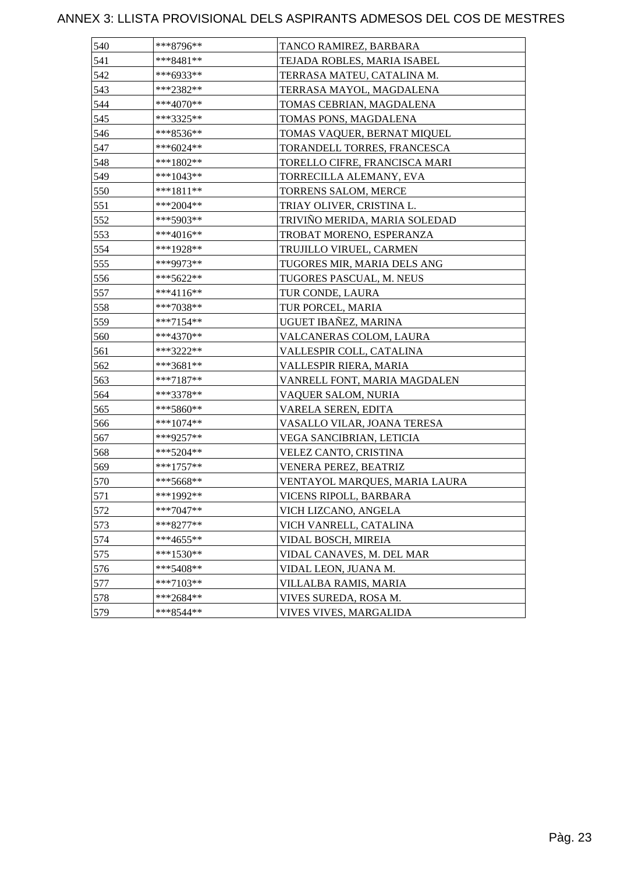| 540 | ***8796**   | TANCO RAMIREZ, BARBARA        |
|-----|-------------|-------------------------------|
| 541 | ***8481**   | TEJADA ROBLES, MARIA ISABEL   |
| 542 | ***6933**   | TERRASA MATEU, CATALINA M.    |
| 543 | ***2382**   | TERRASA MAYOL, MAGDALENA      |
| 544 | ***4070**   | TOMAS CEBRIAN, MAGDALENA      |
| 545 | ***3325**   | TOMAS PONS, MAGDALENA         |
| 546 | ***8536**   | TOMAS VAQUER, BERNAT MIQUEL   |
| 547 | ***6024**   | TORANDELL TORRES, FRANCESCA   |
| 548 | ***1802**   | TORELLO CIFRE, FRANCISCA MARI |
| 549 | ***1043**   | TORRECILLA ALEMANY, EVA       |
| 550 | ***1811**   | TORRENS SALOM, MERCE          |
| 551 | ***2004**   | TRIAY OLIVER, CRISTINA L.     |
| 552 | ***5903**   | TRIVIÑO MERIDA, MARIA SOLEDAD |
| 553 | ***4016**   | TROBAT MORENO, ESPERANZA      |
| 554 | ***1928**   | TRUJILLO VIRUEL, CARMEN       |
| 555 | ***9973**   | TUGORES MIR, MARIA DELS ANG   |
| 556 | ***5622**   | TUGORES PASCUAL, M. NEUS      |
| 557 | ***4116**   | TUR CONDE, LAURA              |
| 558 | ***7038**   | TUR PORCEL, MARIA             |
| 559 | ***7154**   | UGUET IBAÑEZ, MARINA          |
| 560 | ***4370**   | VALCANERAS COLOM, LAURA       |
| 561 | ***3222**   | VALLESPIR COLL, CATALINA      |
| 562 | ***3681**   | VALLESPIR RIERA, MARIA        |
| 563 | $***7187**$ | VANRELL FONT, MARIA MAGDALEN  |
| 564 | ***3378**   | VAQUER SALOM, NURIA           |
| 565 | ***5860**   | VARELA SEREN, EDITA           |
| 566 | ***1074**   | VASALLO VILAR, JOANA TERESA   |
| 567 | ***9257**   | VEGA SANCIBRIAN, LETICIA      |
| 568 | ***5204**   | VELEZ CANTO, CRISTINA         |
| 569 | ***1757**   | VENERA PEREZ, BEATRIZ         |
| 570 | $***5668**$ | VENTAYOL MARQUES, MARIA LAURA |
| 571 | ***1992**   | VICENS RIPOLL, BARBARA        |
| 572 | ***7047**   | VICH LIZCANO, ANGELA          |
| 573 | $***8277**$ | VICH VANRELL, CATALINA        |
| 574 | $***4655**$ | VIDAL BOSCH, MIREIA           |
| 575 | $***1530**$ | VIDAL CANAVES, M. DEL MAR     |
| 576 | $***5408**$ | VIDAL LEON, JUANA M.          |
| 577 | ***7103**   | VILLALBA RAMIS, MARIA         |
| 578 | ***2684**   | VIVES SUREDA, ROSA M.         |
| 579 | ***8544**   | VIVES VIVES, MARGALIDA        |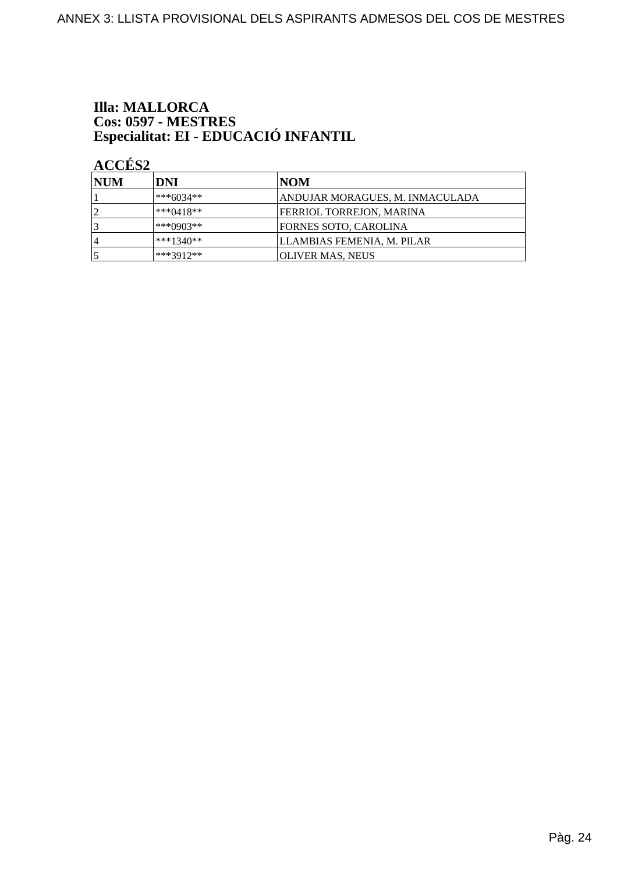# **Illa: MALLORCA** Cos: 0597 - MESTRES<br>Especialitat: EI - EDUCACIÓ INFANTIL

# ACCÉS<sub>2</sub>

| <b>INUM</b>    | DNI         | NOM                             |
|----------------|-------------|---------------------------------|
|                | ***6034**   | ANDUJAR MORAGUES, M. INMACULADA |
|                | $***0418**$ | FERRIOL TORREJON, MARINA        |
|                | ***0903**   | FORNES SOTO. CAROLINA           |
| $\overline{4}$ | $***1340**$ | LLAMBIAS FEMENIA, M. PILAR      |
|                | ***3912**   | OLIVER MAS, NEUS                |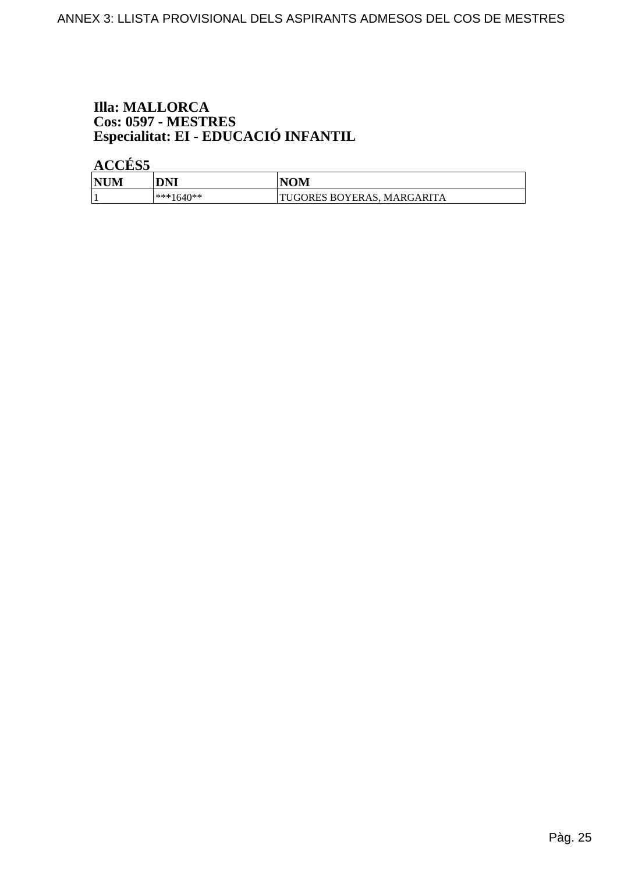# **Illa: MALLORCA** Cos: 0597 - MESTRES<br>Especialitat: EI - EDUCACIÓ INFANTIL

**ACCÉS 5** 

| <b>NUM</b> | DNI          | <b>NOM</b>                       |
|------------|--------------|----------------------------------|
|            | $ ***1640**$ | 'TUGORES BOYERAS. 1<br>MARGARITA |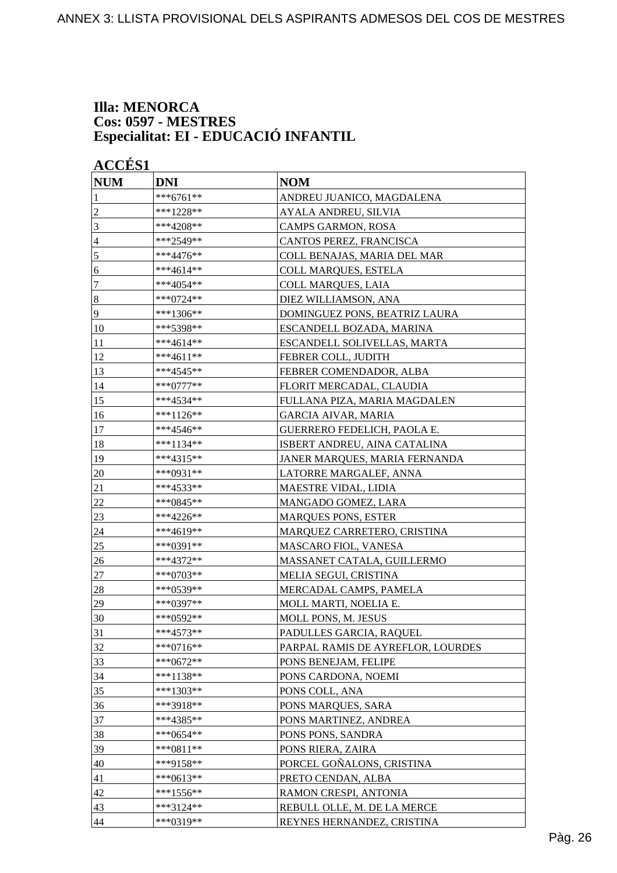#### **Illa: MENORCA Cos: 0597 - MESTRES Especialitat: EI - EDUCACIÓ INFANTIL**

| <b>ACCÉS 1</b>   |             |                                   |
|------------------|-------------|-----------------------------------|
| <b>NUM</b>       | <b>DNI</b>  | <b>NOM</b>                        |
| 1                | ***6761**   | ANDREU JUANICO, MAGDALENA         |
| 2                | ***1228**   | AYALA ANDREU, SILVIA              |
| 3                | ***4208**   | CAMPS GARMON, ROSA                |
| 4                | ***2549**   | CANTOS PEREZ, FRANCISCA           |
| $\mathfrak s$    | ***4476**   | COLL BENAJAS, MARIA DEL MAR       |
| 6                | ***4614**   | <b>COLL MARQUES, ESTELA</b>       |
| 7                | ***4054**   | <b>COLL MARQUES, LAIA</b>         |
| $\boldsymbol{8}$ | ***0724**   | DIEZ WILLIAMSON, ANA              |
| 9                | ***1306**   | DOMINGUEZ PONS, BEATRIZ LAURA     |
| 10               | ***5398**   | ESCANDELL BOZADA, MARINA          |
| 11               | ***4614**   | ESCANDELL SOLIVELLAS, MARTA       |
| 12               | ***4611**   | FEBRER COLL, JUDITH               |
| 13               | ***4545**   | FEBRER COMENDADOR, ALBA           |
| 14               | ***0777**   | FLORIT MERCADAL, CLAUDIA          |
| 15               | ***4534**   | FULLANA PIZA, MARIA MAGDALEN      |
| 16               | ***1126**   | GARCIA AIVAR, MARIA               |
| 17               | ***4546**   | GUERRERO FEDELICH, PAOLA E.       |
| 18               | ***1134**   | ISBERT ANDREU, AINA CATALINA      |
| 19               | ***4315**   | JANER MARQUES, MARIA FERNANDA     |
| 20               | ***0931**   | LATORRE MARGALEF, ANNA            |
| 21               | ***4533**   | MAESTRE VIDAL, LIDIA              |
| 22               | ***0845**   | MANGADO GOMEZ, LARA               |
| 23               | ***4226**   | <b>MARQUES PONS, ESTER</b>        |
| 24               | ***4619**   | MARQUEZ CARRETERO, CRISTINA       |
| 25               | ***0391**   | MASCARO FIOL, VANESA              |
| 26               | ***4372**   | MASSANET CATALA, GUILLERMO        |
| 27               | ***0703**   | MELIA SEGUI, CRISTINA             |
| 28               | ***0539**   | MERCADAL CAMPS, PAMELA            |
| 29               | ***0397**   | MOLL MARTI, NOELIA E.             |
| 30               | ***0592**   | MOLL PONS, M. JESUS               |
| 31               | ***4573**   | PADULLES GARCIA, RAQUEL           |
| 32               | ***0716**   | PARPAL RAMIS DE AYREFLOR, LOURDES |
| 33               | ***0672**   | PONS BENEJAM, FELIPE              |
| 34               | $***1138**$ | PONS CARDONA, NOEMI               |
| 35               | ***1303**   | PONS COLL, ANA                    |
| 36               | ***3918**   | PONS MARQUES, SARA                |
| 37               | ***4385**   | PONS MARTINEZ, ANDREA             |
| 38               | $***0654**$ | PONS PONS, SANDRA                 |
| 39               | $***0811**$ | PONS RIERA, ZAIRA                 |
| 40               | ***9158**   | PORCEL GOÑALONS, CRISTINA         |
| 41               | ***0613**   | PRETO CENDAN, ALBA                |
| 42               | ***1556**   | RAMON CRESPI, ANTONIA             |
| 43               | ***3124**   | REBULL OLLE, M. DE LA MERCE       |
| 44               | ***0319**   | REYNES HERNANDEZ, CRISTINA        |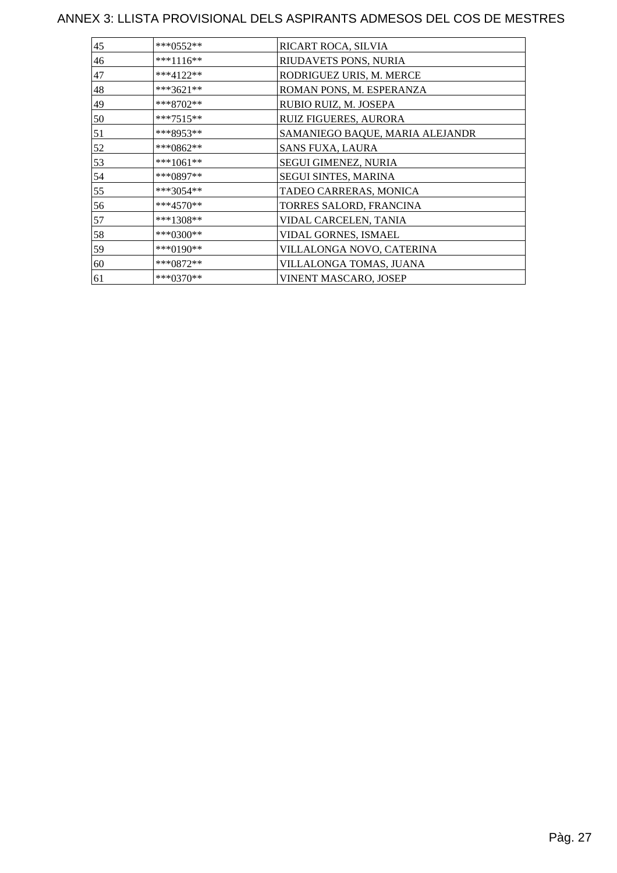| 45 | ***0552**   | RICART ROCA, SILVIA             |
|----|-------------|---------------------------------|
| 46 | ***1116**   | RIUDAVETS PONS, NURIA           |
| 47 | $***4122**$ | RODRIGUEZ URIS, M. MERCE        |
| 48 | ***3621**   | ROMAN PONS, M. ESPERANZA        |
| 49 | ***8702**   | RUBIO RUIZ, M. JOSEPA           |
| 50 | ***7515**   | RUIZ FIGUERES, AURORA           |
| 51 | ***8953**   | SAMANIEGO BAQUE, MARIA ALEJANDR |
| 52 | ***0862**   | <b>SANS FUXA, LAURA</b>         |
| 53 | ***1061**   | SEGUI GIMENEZ, NURIA            |
| 54 | ***0897**   | <b>SEGUI SINTES, MARINA</b>     |
| 55 | ***3054**   | TADEO CARRERAS, MONICA          |
| 56 | ***4570**   | TORRES SALORD, FRANCINA         |
| 57 | ***1308**   | VIDAL CARCELEN, TANIA           |
| 58 | ***0300**   | VIDAL GORNES, ISMAEL            |
| 59 | ***0190**   | VILLALONGA NOVO, CATERINA       |
| 60 | ***0872**   | VILLALONGA TOMAS, JUANA         |
| 61 | ***0370**   | VINENT MASCARO, JOSEP           |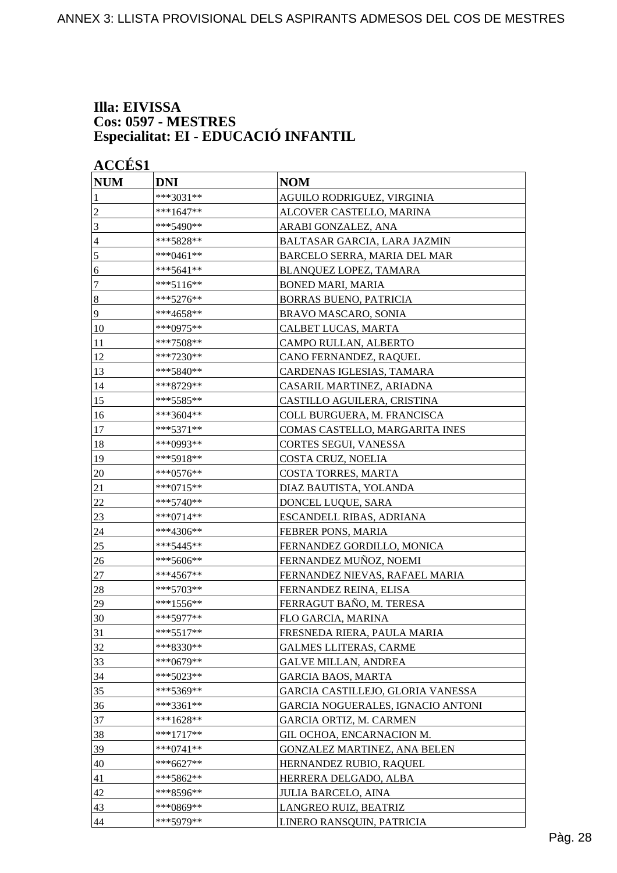#### **Illa: EIVISSA Cos: 0597 - MESTRES Especialitat: EI - EDUCACIÓ INFANTIL**

| <b>NUM</b>       | <b>DNI</b>   | <b>NOM</b>                        |
|------------------|--------------|-----------------------------------|
| 1                | ***3031**    | AGUILO RODRIGUEZ, VIRGINIA        |
| $\overline{c}$   | $***1647**$  | ALCOVER CASTELLO, MARINA          |
| 3                | ***5490**    | ARABI GONZALEZ, ANA               |
| 4                | ***5828**    | BALTASAR GARCIA, LARA JAZMIN      |
| 5                | ***0461**    | BARCELO SERRA, MARIA DEL MAR      |
| 6                | ***5641**    | BLANQUEZ LOPEZ, TAMARA            |
| 7                | ***5116**    | <b>BONED MARI, MARIA</b>          |
| $\boldsymbol{8}$ | ***5276**    | <b>BORRAS BUENO, PATRICIA</b>     |
| 9                | ***4658**    | BRAVO MASCARO, SONIA              |
| 10               | ***0975**    | CALBET LUCAS, MARTA               |
| 11               | ***7508**    | CAMPO RULLAN, ALBERTO             |
| 12               | ***7230**    | CANO FERNANDEZ, RAQUEL            |
| 13               | ***5840**    | CARDENAS IGLESIAS, TAMARA         |
| 14               | ***8729**    | CASARIL MARTINEZ, ARIADNA         |
| 15               | ***5585**    | CASTILLO AGUILERA, CRISTINA       |
| 16               | ***3604**    | COLL BURGUERA, M. FRANCISCA       |
| 17               | $***5371**$  | COMAS CASTELLO, MARGARITA INES    |
| 18               | ***0993**    | <b>CORTES SEGUI, VANESSA</b>      |
| 19               | ***5918**    | COSTA CRUZ, NOELIA                |
| 20               | ***0576**    | COSTA TORRES, MARTA               |
| 21               | ***0715**    | DIAZ BAUTISTA, YOLANDA            |
| 22               | $***5740**$  | DONCEL LUQUE, SARA                |
| 23               | ***0714**    | ESCANDELL RIBAS, ADRIANA          |
| 24               | ***4306**    | <b>FEBRER PONS, MARIA</b>         |
| 25               | ***5445**    | FERNANDEZ GORDILLO, MONICA        |
| 26               | ***5606**    | FERNANDEZ MUÑOZ, NOEMI            |
| $27\,$           | ***4567**    | FERNANDEZ NIEVAS, RAFAEL MARIA    |
| 28               | ***5703**    | FERNANDEZ REINA, ELISA            |
| 29               | $***1556**$  | FERRAGUT BAÑO, M. TERESA          |
| 30               | $***5977**$  | FLO GARCIA. MARINA                |
| 31               | $***5517**$  | FRESNEDA RIERA, PAULA MARIA       |
| 32               | ***8330**    | <b>GALMES LLITERAS, CARME</b>     |
| 33               | ***0679**    | <b>GALVE MILLAN, ANDREA</b>       |
| 34               | ***5023**    | <b>GARCIA BAOS, MARTA</b>         |
| 35               | ***5369**    | GARCIA CASTILLEJO, GLORIA VANESSA |
| 36               | ***3361**    | GARCIA NOGUERALES, IGNACIO ANTONI |
| 37               | ***1628**    | GARCIA ORTIZ, M. CARMEN           |
| 38               | $***1717**$  | GIL OCHOA, ENCARNACION M.         |
| 39               | $***0741**$  | GONZALEZ MARTINEZ, ANA BELEN      |
| 40               | ***6627**    | HERNANDEZ RUBIO, RAQUEL           |
| 41               | ***5862**    | HERRERA DELGADO, ALBA             |
| 42               | ***8596**    | <b>JULIA BARCELO, AINA</b>        |
| 43               | *** $0869**$ | LANGREO RUIZ, BEATRIZ             |
| 44               | ***5979**    | LINERO RANSQUIN, PATRICIA         |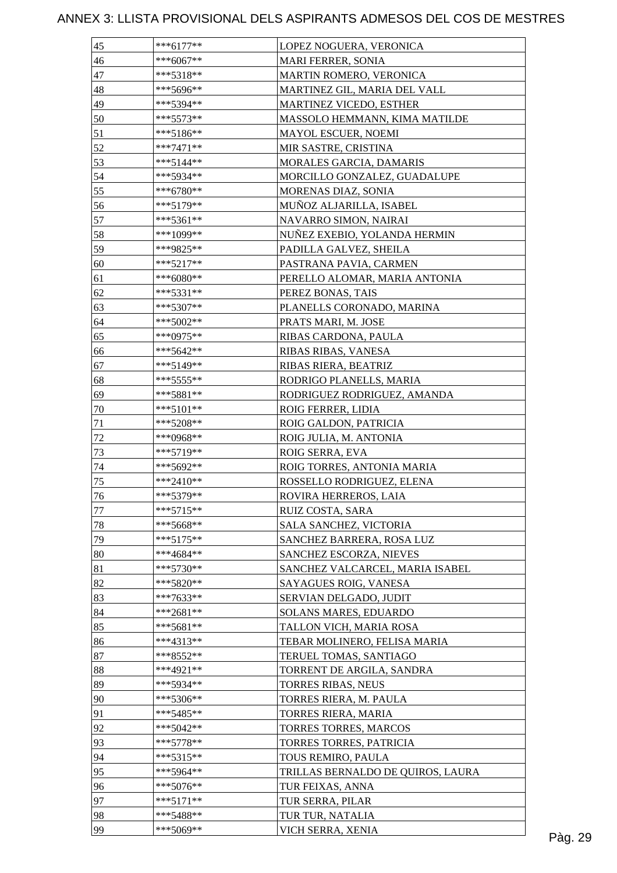| 45           | $***6177**$ | LOPEZ NOGUERA, VERONICA           |         |
|--------------|-------------|-----------------------------------|---------|
| 46           | $***6067**$ | MARI FERRER, SONIA                |         |
| 47           | $***5318**$ | MARTIN ROMERO, VERONICA           |         |
| 48           | ***5696**   | MARTINEZ GIL, MARIA DEL VALL      |         |
| 49           | ***5394**   | MARTINEZ VICEDO, ESTHER           |         |
| 50           | ***5573**   | MASSOLO HEMMANN, KIMA MATILDE     |         |
| 51           | ***5186**   | MAYOL ESCUER, NOEMI               |         |
| 52           | $***7471**$ | MIR SASTRE, CRISTINA              |         |
| 53           | $***5144**$ | <b>MORALES GARCIA, DAMARIS</b>    |         |
| 54           | ***5934**   | MORCILLO GONZALEZ, GUADALUPE      |         |
| 55           | $***6780**$ | MORENAS DIAZ, SONIA               |         |
| 56           | ***5179**   | MUÑOZ ALJARILLA, ISABEL           |         |
| 57           | ***5361**   | NAVARRO SIMON, NAIRAI             |         |
| 58           | ***1099**   | NUÑEZ EXEBIO, YOLANDA HERMIN      |         |
| 59           | ***9825**   | PADILLA GALVEZ, SHEILA            |         |
| 60           | $***5217**$ | PASTRANA PAVIA, CARMEN            |         |
| 61           | $***6080**$ | PERELLO ALOMAR, MARIA ANTONIA     |         |
| 62           | ***5331**   | PEREZ BONAS, TAIS                 |         |
| 63           | ***5307**   | PLANELLS CORONADO, MARINA         |         |
| 64           | $***5002**$ | PRATS MARI, M. JOSE               |         |
| 65           | ***0975**   | RIBAS CARDONA, PAULA              |         |
| 66           | $***5642**$ | RIBAS RIBAS, VANESA               |         |
| 67           | ***5149**   | RIBAS RIERA, BEATRIZ              |         |
| 68           | ***5555**   | RODRIGO PLANELLS, MARIA           |         |
| 69           | ***5881**   | RODRIGUEZ RODRIGUEZ, AMANDA       |         |
|              | $***5101**$ | ROIG FERRER, LIDIA                |         |
| 70           | ***5208**   |                                   |         |
| 71<br>$72\,$ | ***0968**   | ROIG GALDON, PATRICIA             |         |
|              |             | ROIG JULIA, M. ANTONIA            |         |
| 73           | ***5719**   | ROIG SERRA, EVA                   |         |
| 74           | ***5692**   | ROIG TORRES, ANTONIA MARIA        |         |
| 75           | $***2410**$ | ROSSELLO RODRIGUEZ, ELENA         |         |
| 76           | ***5379**   | ROVIRA HERREROS, LAIA             |         |
| 77           | $***5715**$ | RUIZ COSTA, SARA                  |         |
| 78           | ***5668**   | SALA SANCHEZ, VICTORIA            |         |
| 79           | $***5175**$ | SANCHEZ BARRERA, ROSA LUZ         |         |
| 80           | ***4684**   | SANCHEZ ESCORZA, NIEVES           |         |
| 81           | ***5730**   | SANCHEZ VALCARCEL, MARIA ISABEL   |         |
| 82           | ***5820**   | SAYAGUES ROIG, VANESA             |         |
| 83           | ***7633**   | SERVIAN DELGADO, JUDIT            |         |
| 84           | ***2681**   | <b>SOLANS MARES, EDUARDO</b>      |         |
| 85           | ***5681**   | TALLON VICH, MARIA ROSA           |         |
| 86           | ***4313**   | TEBAR MOLINERO, FELISA MARIA      |         |
| 87           | ***8552**   | TERUEL TOMAS, SANTIAGO            |         |
| 88           | ***4921**   | TORRENT DE ARGILA, SANDRA         |         |
| 89           | ***5934**   | <b>TORRES RIBAS, NEUS</b>         |         |
| 90           | ***5306**   | TORRES RIERA, M. PAULA            |         |
| 91           | ***5485**   | TORRES RIERA, MARIA               |         |
| 92           | ***5042**   | TORRES TORRES, MARCOS             |         |
| 93           | ***5778**   | TORRES TORRES, PATRICIA           |         |
| 94           | ***5315**   | TOUS REMIRO, PAULA                |         |
| 95           | ***5964**   | TRILLAS BERNALDO DE QUIROS, LAURA |         |
| 96           | ***5076**   | TUR FEIXAS, ANNA                  |         |
| 97           | $***5171**$ | TUR SERRA, PILAR                  |         |
| 98           | ***5488**   | TUR TUR, NATALIA                  |         |
| 99           | ***5069**   | VICH SERRA, XENIA                 | Pàg. 29 |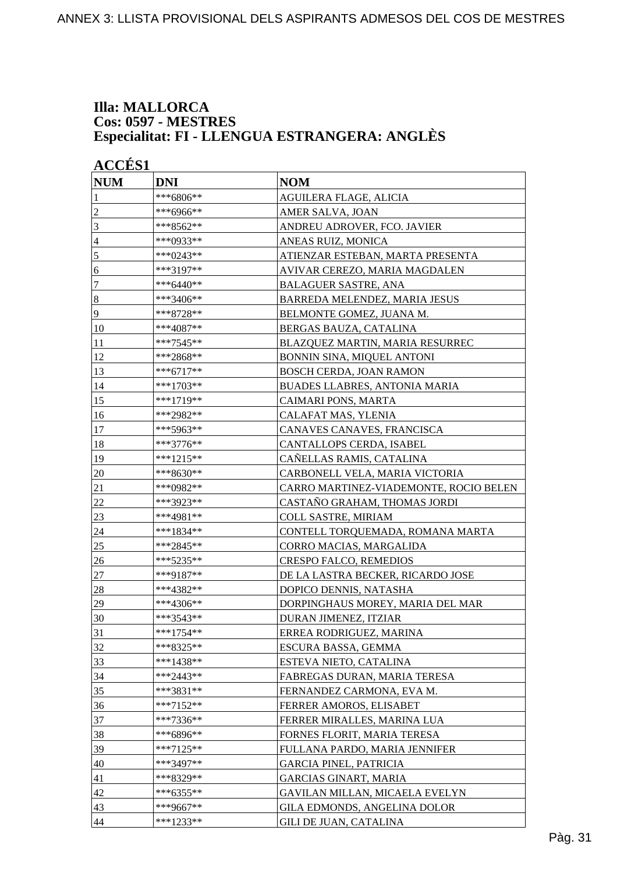#### **Illa: MALLORCA Cos: 0597 - MESTRES Especialitat: FI - LLENGUA ESTRANGERA: ANGLÈS**

|                | <b>ACCES 1</b> |                                        |  |  |
|----------------|----------------|----------------------------------------|--|--|
| <b>NUM</b>     | <b>DNI</b>     | <b>NOM</b>                             |  |  |
| 1              | ***6806**      | AGUILERA FLAGE, ALICIA                 |  |  |
| $\overline{2}$ | ***6966**      | AMER SALVA, JOAN                       |  |  |
| 3              | ***8562**      | ANDREU ADROVER, FCO. JAVIER            |  |  |
| $\overline{4}$ | ***0933**      | ANEAS RUIZ, MONICA                     |  |  |
| $\sqrt{5}$     | ***0243**      | ATIENZAR ESTEBAN, MARTA PRESENTA       |  |  |
| 6              | ***3197**      | AVIVAR CEREZO, MARIA MAGDALEN          |  |  |
| $\tau$         | ***6440**      | <b>BALAGUER SASTRE, ANA</b>            |  |  |
| $\bf 8$        | ***3406**      | BARREDA MELENDEZ, MARIA JESUS          |  |  |
| 9              | ***8728**      | BELMONTE GOMEZ, JUANA M.               |  |  |
| 10             | ***4087**      | BERGAS BAUZA, CATALINA                 |  |  |
| 11             | ***7545**      | BLAZQUEZ MARTIN, MARIA RESURREC        |  |  |
| 12             | ***2868**      | BONNIN SINA, MIQUEL ANTONI             |  |  |
| 13             | ***6717**      | BOSCH CERDA, JOAN RAMON                |  |  |
| 14             | ***1703**      | <b>BUADES LLABRES, ANTONIA MARIA</b>   |  |  |
| 15             | ***1719**      | CAIMARI PONS, MARTA                    |  |  |
| 16             | ***2982**      | CALAFAT MAS, YLENIA                    |  |  |
| 17             | ***5963**      | CANAVES CANAVES, FRANCISCA             |  |  |
| 18             | ***3776**      | CANTALLOPS CERDA, ISABEL               |  |  |
| 19             | ***1215**      | CAÑELLAS RAMIS, CATALINA               |  |  |
| 20             | ***8630**      | CARBONELL VELA, MARIA VICTORIA         |  |  |
| 21             | ***0982**      | CARRO MARTINEZ-VIADEMONTE, ROCIO BELEN |  |  |
| 22             | ***3923**      | CASTANO GRAHAM, THOMAS JORDI           |  |  |
| 23             | ***4981**      | COLL SASTRE, MIRIAM                    |  |  |
| 24             | ***1834**      | CONTELL TORQUEMADA, ROMANA MARTA       |  |  |
| 25             | ***2845**      | CORRO MACIAS, MARGALIDA                |  |  |
| 26             | ***5235**      | CRESPO FALCO, REMEDIOS                 |  |  |
| 27             | ***9187**      | DE LA LASTRA BECKER, RICARDO JOSE      |  |  |
| 28             | ***4382**      | DOPICO DENNIS, NATASHA                 |  |  |
| 29             | ***4306**      | DORPINGHAUS MOREY, MARIA DEL MAR       |  |  |
| 30             | ***3543**      | DURAN JIMENEZ, ITZIAR                  |  |  |
| 31             | $***1754**$    | ERREA RODRIGUEZ, MARINA                |  |  |
| 32             | ***8325**      | ESCURA BASSA, GEMMA                    |  |  |
| 33             | ***1438**      | ESTEVA NIETO, CATALINA                 |  |  |
| 34             | $***2443**$    | FABREGAS DURAN, MARIA TERESA           |  |  |
| 35             | ***3831**      | FERNANDEZ CARMONA, EVA M.              |  |  |
| 36             | ***7152**      | FERRER AMOROS, ELISABET                |  |  |
| 37             | ***7336**      | FERRER MIRALLES, MARINA LUA            |  |  |
| 38             | ***6896**      | FORNES FLORIT, MARIA TERESA            |  |  |
| 39             | ***7125**      | FULLANA PARDO, MARIA JENNIFER          |  |  |
| 40             | ***3497**      | <b>GARCIA PINEL, PATRICIA</b>          |  |  |
| 41             | ***8329**      | <b>GARCIAS GINART, MARIA</b>           |  |  |
| 42             | ***6355**      | GAVILAN MILLAN, MICAELA EVELYN         |  |  |
| 43             | ***9667**      | GILA EDMONDS, ANGELINA DOLOR           |  |  |
| 44             | $***1233**$    | GILI DE JUAN, CATALINA                 |  |  |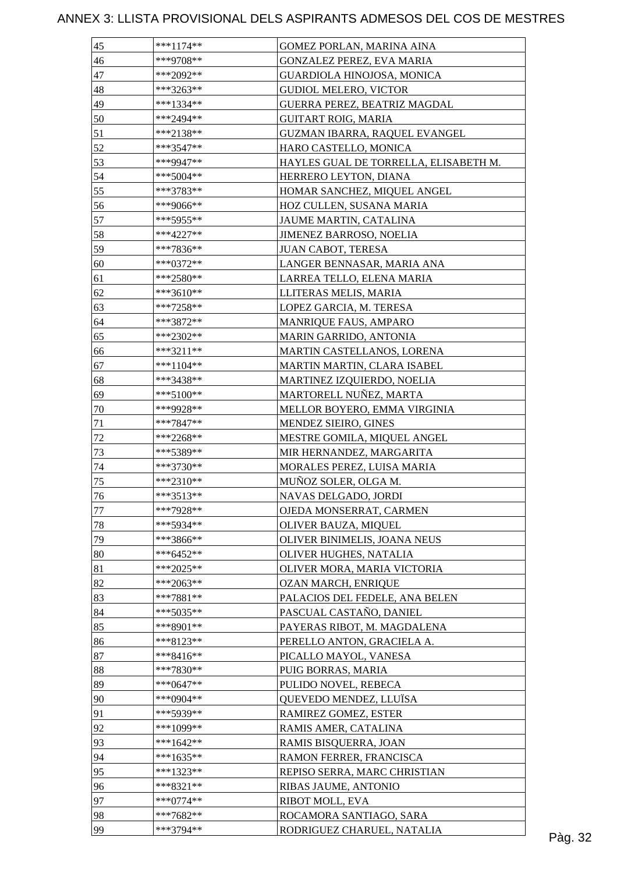| 45       | $***1174**$                | GOMEZ PORLAN, MARINA AINA                              |         |
|----------|----------------------------|--------------------------------------------------------|---------|
| 46       | ***9708**                  | GONZALEZ PEREZ, EVA MARIA                              |         |
| 47       | ***2092**                  | <b>GUARDIOLA HINOJOSA, MONICA</b>                      |         |
| 48       | ***3263**                  | <b>GUDIOL MELERO, VICTOR</b>                           |         |
| 49       | ***1334**                  | GUERRA PEREZ, BEATRIZ MAGDAL                           |         |
| 50       | ***2494**                  | <b>GUITART ROIG, MARIA</b>                             |         |
| 51       | ***2138**                  | GUZMAN IBARRA, RAQUEL EVANGEL                          |         |
| 52       | ***3547**                  | HARO CASTELLO, MONICA                                  |         |
| 53       | ***9947**                  | HAYLES GUAL DE TORRELLA, ELISABETH M.                  |         |
| 54       | $***5004**$                | HERRERO LEYTON, DIANA                                  |         |
| 55       | ***3783**                  | HOMAR SANCHEZ, MIQUEL ANGEL                            |         |
| 56       | ***9066**                  | HOZ CULLEN, SUSANA MARIA                               |         |
| 57       | ***5955**                  | JAUME MARTIN, CATALINA                                 |         |
| 58       | ***4227**                  | JIMENEZ BARROSO, NOELIA                                |         |
| 59       | ***7836**                  | JUAN CABOT, TERESA                                     |         |
| 60       | ***0372**                  | LANGER BENNASAR, MARIA ANA                             |         |
| 61       | ***2580**                  | LARREA TELLO, ELENA MARIA                              |         |
| 62       | ***3610**                  | LLITERAS MELIS, MARIA                                  |         |
| 63       | $***7258**$                | LOPEZ GARCIA, M. TERESA                                |         |
| 64       | ***3872**                  | <b>MANRIQUE FAUS, AMPARO</b>                           |         |
| 65       | ***2302**                  | MARIN GARRIDO, ANTONIA                                 |         |
| 66       | $***3211**$                | MARTIN CASTELLANOS, LORENA                             |         |
| 67       | $***1104**$                | MARTIN MARTIN, CLARA ISABEL                            |         |
| 68       | ***3438**                  | MARTINEZ IZQUIERDO, NOELIA                             |         |
| 69       | ***5100**                  | MARTORELL NUÑEZ, MARTA                                 |         |
| 70       | ***9928**                  | MELLOR BOYERO, EMMA VIRGINIA                           |         |
| 71       | ***7847**                  | MENDEZ SIEIRO, GINES                                   |         |
| $72\,$   | $***2268**$                | MESTRE GOMILA, MIQUEL ANGEL                            |         |
| 73       | ***5389**                  | MIR HERNANDEZ, MARGARITA                               |         |
| 74       | ***3730**                  | MORALES PEREZ, LUISA MARIA                             |         |
| 75       | $***2310**$                | MUÑOZ SOLER, OLGA M.                                   |         |
| 76       | ***3513**                  | NAVAS DELGADO, JORDI                                   |         |
| 77       | ***7928**                  | OJEDA MONSERRAT, CARMEN                                |         |
| 78       | ***5934**                  | OLIVER BAUZA, MIQUEL                                   |         |
|          |                            |                                                        |         |
| 79       | ***3866**                  | OLIVER BINIMELIS, JOANA NEUS<br>OLIVER HUGHES, NATALIA |         |
| 80<br>81 | $***6452**$<br>$***2025**$ |                                                        |         |
|          |                            | OLIVER MORA, MARIA VICTORIA                            |         |
| 82       | ***2063**                  | OZAN MARCH, ENRIQUE                                    |         |
| 83       | $***7881**$                | PALACIOS DEL FEDELE, ANA BELEN                         |         |
| 84       | ***5035**                  | PASCUAL CASTAÑO, DANIEL                                |         |
| 85       | ***8901**                  | PAYERAS RIBOT, M. MAGDALENA                            |         |
| 86       | ***8123**                  | PERELLO ANTON, GRACIELA A.                             |         |
| 87       | ***8416**                  | PICALLO MAYOL, VANESA                                  |         |
| 88       | ***7830**                  | PUIG BORRAS, MARIA                                     |         |
| 89       | $***0647**$                | PULIDO NOVEL, REBECA                                   |         |
| 90       | ***0904**                  | QUEVEDO MENDEZ, LLUÏSA                                 |         |
| 91       | ***5939**                  | RAMIREZ GOMEZ, ESTER                                   |         |
| 92       | ***1099**                  | RAMIS AMER, CATALINA                                   |         |
| 93       | ***1642**                  | RAMIS BISQUERRA, JOAN                                  |         |
| 94       | $***1635**$                | RAMON FERRER, FRANCISCA                                |         |
| 95       | ***1323**                  | REPISO SERRA, MARC CHRISTIAN                           |         |
| 96       | ***8321**                  | RIBAS JAUME, ANTONIO                                   |         |
| 97       | $***0774**$                | RIBOT MOLL, EVA                                        |         |
| 98       | ***7682**                  | ROCAMORA SANTIAGO, SARA                                |         |
| 99       | ***3794**                  | RODRIGUEZ CHARUEL, NATALIA                             | Pàg. 32 |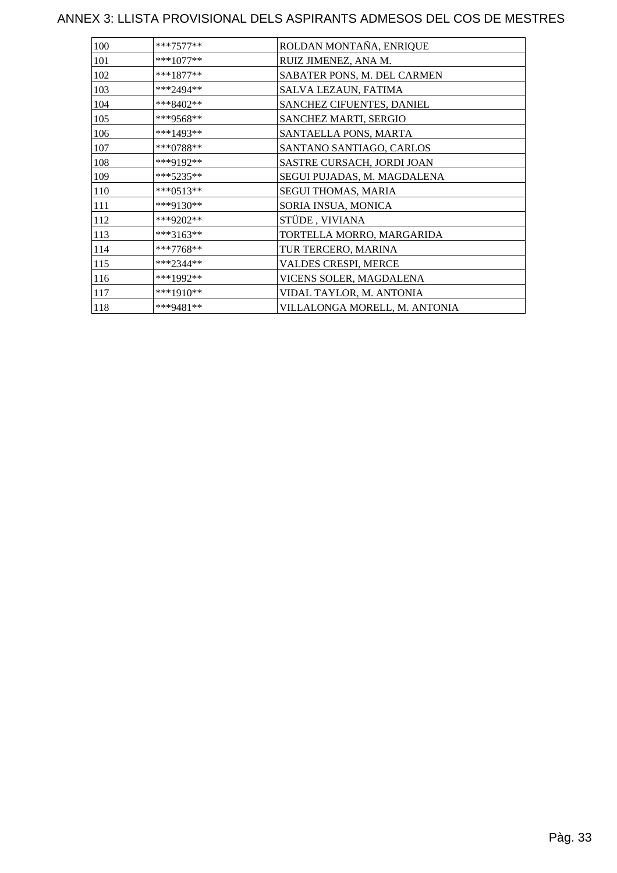| 100 | $***7577**$ | ROLDAN MONTAÑA, ENRIQUE       |
|-----|-------------|-------------------------------|
| 101 | $***1077**$ | RUIZ JIMENEZ, ANA M.          |
| 102 | $***1877**$ | SABATER PONS, M. DEL CARMEN   |
| 103 | ***2494**   | SALVA LEZAUN, FATIMA          |
| 104 | ***8402**   | SANCHEZ CIFUENTES, DANIEL     |
| 105 | ***9568**   | SANCHEZ MARTI, SERGIO         |
| 106 | ***1493**   | SANTAELLA PONS, MARTA         |
| 107 | $***0788**$ | SANTANO SANTIAGO, CARLOS      |
| 108 | ***9192**   | SASTRE CURSACH, JORDI JOAN    |
| 109 | $***5235**$ | SEGUI PUJADAS, M. MAGDALENA   |
| 110 | ***0513**   | SEGUI THOMAS, MARIA           |
| 111 | ***9130**   | SORIA INSUA, MONICA           |
| 112 | ***9202**   | STÜDE, VIVIANA                |
| 113 | ***3163**   | TORTELLA MORRO, MARGARIDA     |
| 114 | ***7768**   | TUR TERCERO, MARINA           |
| 115 | $***2344**$ | VALDES CRESPI, MERCE          |
| 116 | ***1992**   | VICENS SOLER, MAGDALENA       |
| 117 | ***1910**   | VIDAL TAYLOR, M. ANTONIA      |
| 118 | ***9481**   | VILLALONGA MORELL, M. ANTONIA |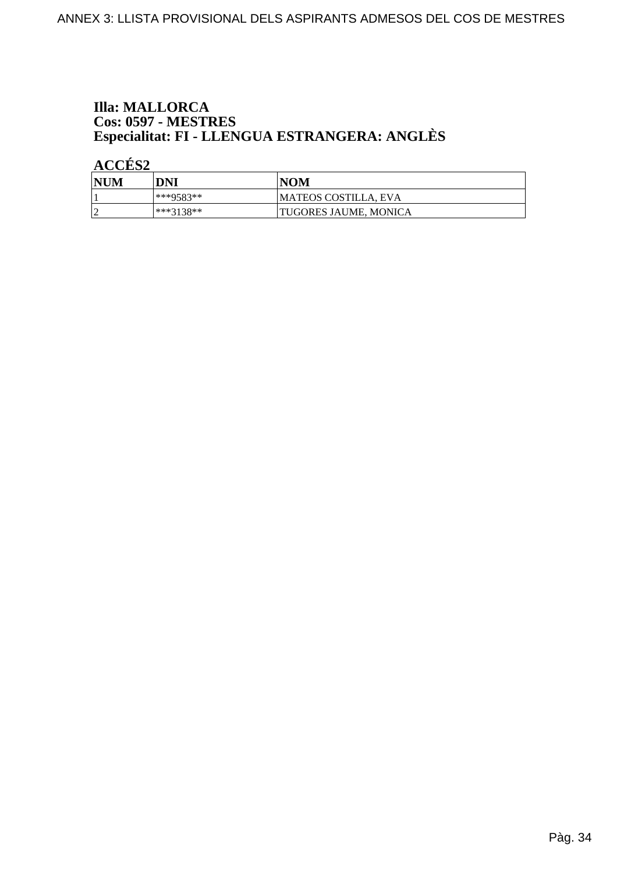# **Illa: MALLORCA Cos: 0597 - MESTRES<br>Especialitat: FI - LLENGUA ESTRANGERA: ANGLÈS**

ACCÉS<sub>2</sub>

| NUM | DNI       | <b>NOM</b>            |
|-----|-----------|-----------------------|
|     | ***9583** | MATEOS COSTILLA, EVA  |
|     | ***3138** | TUGORES JAUME, MONICA |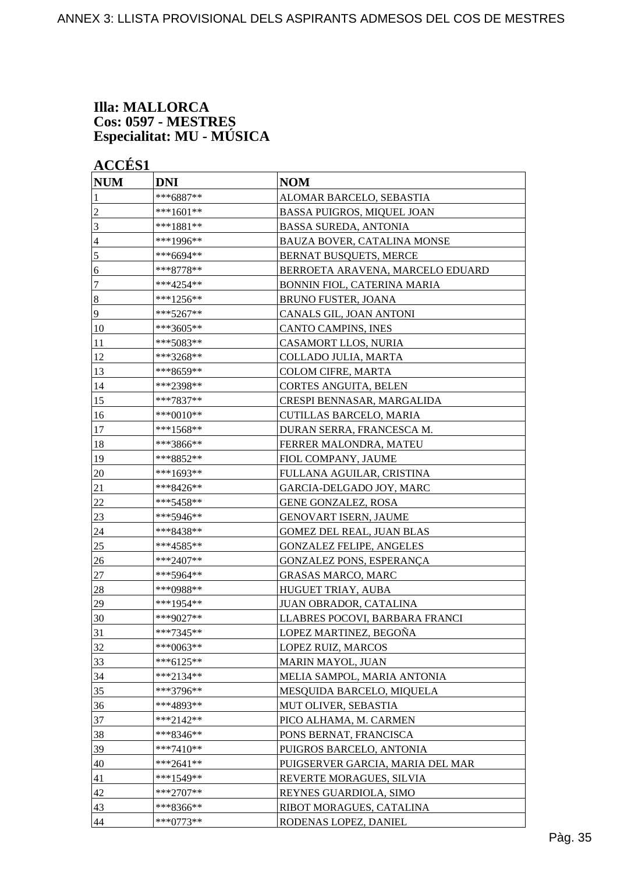#### **Illa: MALLORCA Cos: 0597 - MESTRES Especialitat: MU - MÚSICA**

**ACCÉS 1**

| <b>NUM</b>     | <b>DNI</b>  | <b>NOM</b>                         |
|----------------|-------------|------------------------------------|
| 1              | ***6887**   | ALOMAR BARCELO, SEBASTIA           |
| $\overline{c}$ | ***1601**   | <b>BASSA PUIGROS, MIQUEL JOAN</b>  |
| 3              | ***1881**   | <b>BASSA SUREDA, ANTONIA</b>       |
| $\overline{4}$ | ***1996**   | BAUZA BOVER, CATALINA MONSE        |
| 5              | ***6694**   | BERNAT BUSQUETS, MERCE             |
| 6              | ***8778**   | BERROETA ARAVENA, MARCELO EDUARD   |
| 7              | ***4254**   | <b>BONNIN FIOL, CATERINA MARIA</b> |
| $\vert 8$      | ***1256**   | <b>BRUNO FUSTER, JOANA</b>         |
| 9              | ***5267**   | CANALS GIL, JOAN ANTONI            |
| 10             | ***3605**   | <b>CANTO CAMPINS, INES</b>         |
| 11             | ***5083**   | CASAMORT LLOS, NURIA               |
| 12             | ***3268**   | COLLADO JULIA, MARTA               |
| 13             | ***8659**   | COLOM CIFRE, MARTA                 |
| 14             | ***2398**   | CORTES ANGUITA, BELEN              |
| 15             | ***7837**   | CRESPI BENNASAR, MARGALIDA         |
| 16             | ***0010**   | CUTILLAS BARCELO, MARIA            |
| 17             | ***1568**   | DURAN SERRA, FRANCESCA M.          |
| 18             | ***3866**   | FERRER MALONDRA, MATEU             |
| 19             | ***8852**   | FIOL COMPANY, JAUME                |
| 20             | ***1693**   | FULLANA AGUILAR, CRISTINA          |
| 21             | ***8426**   | GARCIA-DELGADO JOY, MARC           |
| 22             | ***5458**   | GENE GONZALEZ, ROSA                |
| 23             | ***5946**   | <b>GENOVART ISERN, JAUME</b>       |
| 24             | ***8438**   | GOMEZ DEL REAL, JUAN BLAS          |
| 25             | ***4585**   | <b>GONZALEZ FELIPE, ANGELES</b>    |
| 26             | ***2407**   | GONZALEZ PONS, ESPERANÇA           |
| 27             | ***5964**   | <b>GRASAS MARCO, MARC</b>          |
| 28             | ***0988**   | HUGUET TRIAY, AUBA                 |
| 29             | ***1954**   | JUAN OBRADOR, CATALINA             |
| 30             | ***9027**   | LLABRES POCOVI, BARBARA FRANCI     |
| 31             | ***7345**   | LOPEZ MARTINEZ, BEGOÑA             |
| 32             | ***0063**   | LOPEZ RUIZ, MARCOS                 |
| 33             | ***6125**   | MARIN MAYOL, JUAN                  |
| 34             | ***2134**   | MELIA SAMPOL, MARIA ANTONIA        |
| 35             | ***3796**   | MESQUIDA BARCELO, MIQUELA          |
| 36             | ***4893**   | MUT OLIVER, SEBASTIA               |
| 37             | ***2142**   | PICO ALHAMA, M. CARMEN             |
| 38             | ***8346**   | PONS BERNAT, FRANCISCA             |
| 39             | ***7410**   | PUIGROS BARCELO, ANTONIA           |
| 40             | $***2641**$ | PUIGSERVER GARCIA, MARIA DEL MAR   |
| 41             | ***1549**   | REVERTE MORAGUES, SILVIA           |
| 42             | ***2707**   | REYNES GUARDIOLA, SIMO             |
| 43             | ***8366**   | RIBOT MORAGUES, CATALINA           |
| 44             | ***0773**   | RODENAS LOPEZ, DANIEL              |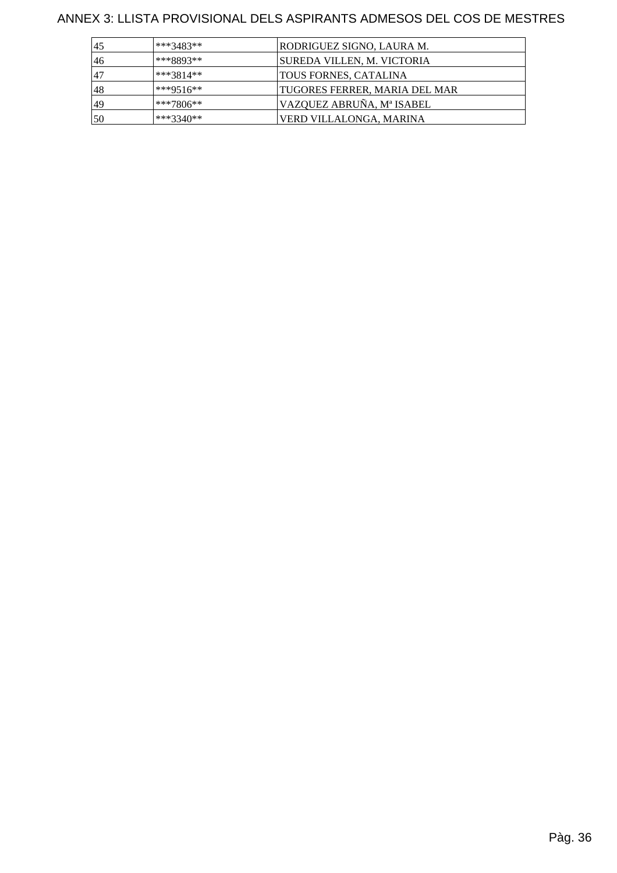| 45 | $***3483**$ | RODRIGUEZ SIGNO, LAURA M.     |
|----|-------------|-------------------------------|
| 46 | ***8893**   | SUREDA VILLEN, M. VICTORIA    |
| 47 | ***3814**   | <b>TOUS FORNES, CATALINA</b>  |
| 48 | ***9516**   | TUGORES FERRER, MARIA DEL MAR |
| 49 | $**7806**$  | VAZQUEZ ABRUÑA, Mª ISABEL     |
| 50 | $***3340**$ | VERD VILLALONGA, MARINA       |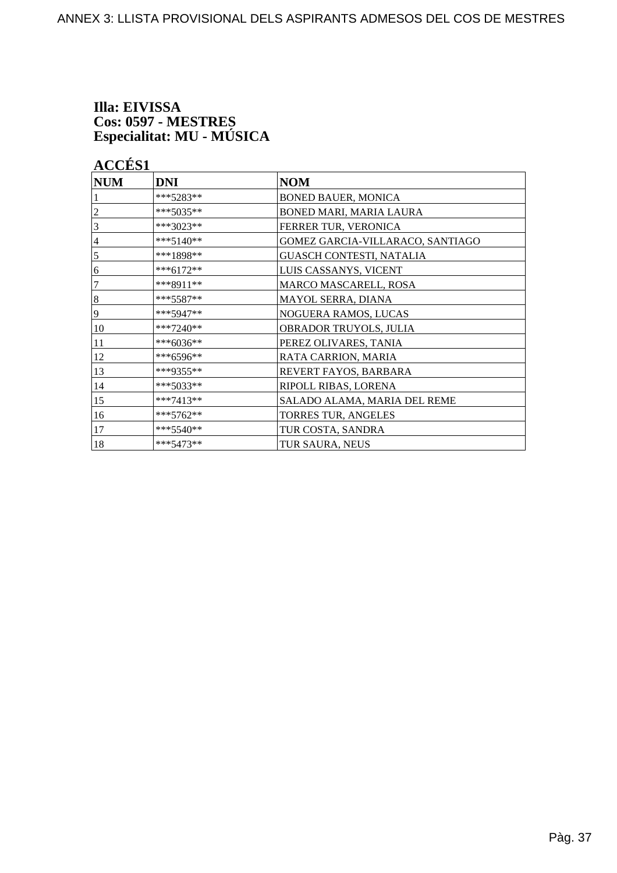# Illa: EIVISSA Cos: 0597 - MESTRES<br>Especialitat: MU - MÚSICA

# **ACCÉS 1**

| <b>NUM</b> | <b>DNI</b>  | <b>NOM</b>                       |
|------------|-------------|----------------------------------|
|            | ***5283**   | <b>BONED BAUER, MONICA</b>       |
| 2          | ***5035**   | BONED MARI, MARIA LAURA          |
| 3          | ***3023**   | FERRER TUR, VERONICA             |
| 4          | $***5140**$ | GOMEZ GARCIA-VILLARACO, SANTIAGO |
| 5          | ***1898**   | GUASCH CONTESTI, NATALIA         |
| 6          | ***6172**   | LUIS CASSANYS, VICENT            |
| 7          | ***8911**   | MARCO MASCARELL, ROSA            |
| 8          | $***5587**$ | MAYOL SERRA, DIANA               |
| 9          | $***5947**$ | NOGUERA RAMOS, LUCAS             |
| 10         | $***7240**$ | OBRADOR TRUYOLS, JULIA           |
| 11         | ***6036**   | PEREZ OLIVARES, TANIA            |
| 12         | ***6596**   | RATA CARRION, MARIA              |
| 13         | ***9355**   | REVERT FAYOS, BARBARA            |
| 14         | ***5033**   | RIPOLL RIBAS, LORENA             |
| 15         | $***7413**$ | SALADO ALAMA, MARIA DEL REME     |
| 16         | $***5762**$ | TORRES TUR, ANGELES              |
| 17         | $***5540**$ | TUR COSTA, SANDRA                |
| 18         | ***5473**   | TUR SAURA, NEUS                  |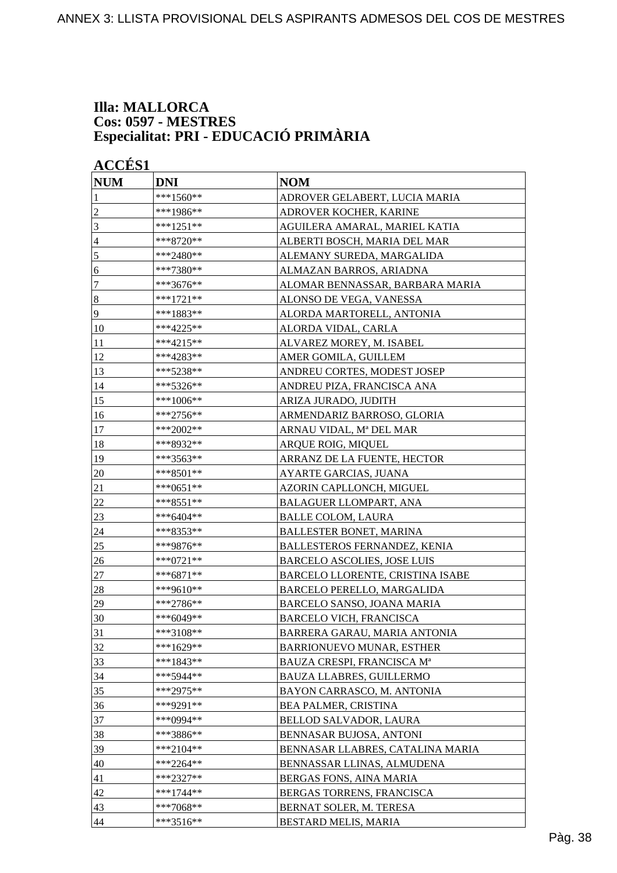#### **Illa: MALLORCA Cos: 0597 - MESTRES Especialitat: PRI - EDUCACIÓ PRIMÀRIA**

| <b>ACCÉS 1</b>  |            |                                  |
|-----------------|------------|----------------------------------|
| <b>NUM</b>      | <b>DNI</b> | <b>NOM</b>                       |
| 1               | ***1560**  | ADROVER GELABERT, LUCIA MARIA    |
| $\overline{c}$  | ***1986**  | ADROVER KOCHER, KARINE           |
| $\mathfrak{Z}$  | ***1251**  | AGUILERA AMARAL, MARIEL KATIA    |
| $\overline{4}$  | ***8720**  | ALBERTI BOSCH, MARIA DEL MAR     |
| 5               | ***2480**  | ALEMANY SUREDA, MARGALIDA        |
| 6               | ***7380**  | ALMAZAN BARROS, ARIADNA          |
| $\tau$          | ***3676**  | ALOMAR BENNASSAR, BARBARA MARIA  |
| $\vert 8$       | ***1721**  | ALONSO DE VEGA, VANESSA          |
| $\overline{9}$  | ***1883**  | ALORDA MARTORELL, ANTONIA        |
| 10              | ***4225**  | ALORDA VIDAL, CARLA              |
| 11              | ***4215**  | ALVAREZ MOREY, M. ISABEL         |
| 12              | ***4283**  | AMER GOMILA, GUILLEM             |
| $\overline{13}$ | ***5238**  | ANDREU CORTES, MODEST JOSEP      |
| 14              | ***5326**  | ANDREU PIZA, FRANCISCA ANA       |
| 15              | ***1006**  | ARIZA JURADO, JUDITH             |
| 16              | ***2756**  | ARMENDARIZ BARROSO, GLORIA       |
| 17              | ***2002**  | ARNAU VIDAL, Mª DEL MAR          |
| 18              | ***8932**  | ARQUE ROIG, MIQUEL               |
| 19              | ***3563**  | ARRANZ DE LA FUENTE, HECTOR      |
| 20              | ***8501**  | AYARTE GARCIAS, JUANA            |
| 21              | ***0651**  | AZORIN CAPLLONCH, MIGUEL         |
| $22\,$          | ***8551**  | <b>BALAGUER LLOMPART, ANA</b>    |
| 23              | ***6404**  | <b>BALLE COLOM, LAURA</b>        |
| 24              | ***8353**  | <b>BALLESTER BONET, MARINA</b>   |
| 25              | ***9876**  | BALLESTEROS FERNANDEZ, KENIA     |
| 26              | ***0721**  | BARCELO ASCOLIES, JOSE LUIS      |
| 27              | ***6871**  | BARCELO LLORENTE, CRISTINA ISABE |
| 28              | ***9610**  | BARCELO PERELLO, MARGALIDA       |
| 29              | ***2786**  | BARCELO SANSO, JOANA MARIA       |
| 30              | ***6049**  | <b>BARCELO VICH, FRANCISCA</b>   |
| 31              | ***3108**  | BARRERA GARAU, MARIA ANTONIA     |
| 32              | ***1629**  | BARRIONUEVO MUNAR, ESTHER        |
| 33              | ***1843**  | BAUZA CRESPI, FRANCISCA Mª       |
| 34              | ***5944**  | BAUZA LLABRES, GUILLERMO         |
| 35              | ***2975**  | BAYON CARRASCO, M. ANTONIA       |
| 36              | ***9291**  | <b>BEA PALMER, CRISTINA</b>      |
| 37              | ***0994**  | BELLOD SALVADOR, LAURA           |
| 38              | ***3886**  | BENNASAR BUJOSA, ANTONI          |
| 39              | ***2104**  | BENNASAR LLABRES, CATALINA MARIA |
| 40              | ***2264**  | BENNASSAR LLINAS, ALMUDENA       |
| 41              | ***2327**  | BERGAS FONS, AINA MARIA          |
| 42              | ***1744**  | BERGAS TORRENS, FRANCISCA        |
| 43              | ***7068**  | BERNAT SOLER, M. TERESA          |
| 44              | ***3516**  | BESTARD MELIS, MARIA             |
|                 |            |                                  |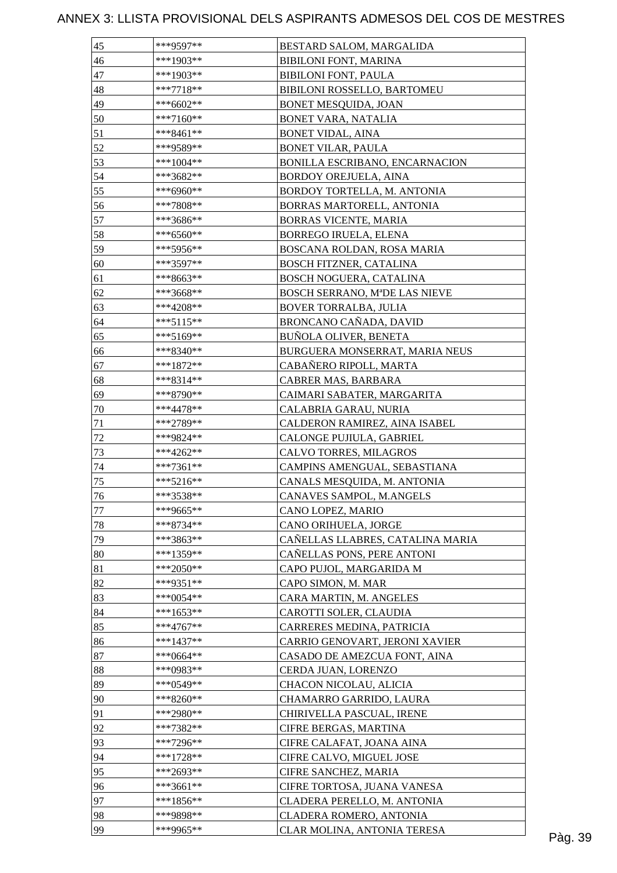| 45     | ***9597**   | BESTARD SALOM, MARGALIDA         |         |
|--------|-------------|----------------------------------|---------|
| 46     | ***1903**   | <b>BIBILONI FONT, MARINA</b>     |         |
| 47     | ***1903**   | <b>BIBILONI FONT, PAULA</b>      |         |
| 48     | $***7718**$ | BIBILONI ROSSELLO, BARTOMEU      |         |
| 49     | ***6602**   | BONET MESQUIDA, JOAN             |         |
| 50     | ***7160**   | <b>BONET VARA, NATALIA</b>       |         |
| 51     | ***8461**   | <b>BONET VIDAL, AINA</b>         |         |
| 52     | ***9589**   | <b>BONET VILAR, PAULA</b>        |         |
| 53     | ***1004**   | BONILLA ESCRIBANO, ENCARNACION   |         |
| 54     | ***3682**   | <b>BORDOY OREJUELA, AINA</b>     |         |
| 55     | ***6960**   | BORDOY TORTELLA, M. ANTONIA      |         |
| 56     | ***7808**   | BORRAS MARTORELL, ANTONIA        |         |
| 57     | ***3686**   | BORRAS VICENTE, MARIA            |         |
| 58     | $***6560**$ | BORREGO IRUELA, ELENA            |         |
| 59     | ***5956**   | BOSCANA ROLDAN, ROSA MARIA       |         |
| 60     | ***3597**   | BOSCH FITZNER, CATALINA          |         |
| 61     | ***8663**   | BOSCH NOGUERA, CATALINA          |         |
| 62     | ***3668**   | BOSCH SERRANO, MªDE LAS NIEVE    |         |
| 63     | ***4208**   | <b>BOVER TORRALBA, JULIA</b>     |         |
| 64     | ***5115**   | BRONCANO CAÑADA, DAVID           |         |
| 65     | ***5169**   | <b>BUÑOLA OLIVER, BENETA</b>     |         |
| 66     | ***8340**   | BURGUERA MONSERRAT, MARIA NEUS   |         |
| 67     | $***1872**$ | CABAÑERO RIPOLL, MARTA           |         |
| 68     | ***8314**   | CABRER MAS, BARBARA              |         |
| 69     | ***8790**   | CAIMARI SABATER, MARGARITA       |         |
| 70     | ***4478**   | CALABRIA GARAU, NURIA            |         |
| 71     | ***2789**   | CALDERON RAMIREZ, AINA ISABEL    |         |
| $72\,$ | ***9824**   | CALONGE PUJIULA, GABRIEL         |         |
| 73     | ***4262**   | CALVO TORRES, MILAGROS           |         |
| 74     | ***7361**   | CAMPINS AMENGUAL, SEBASTIANA     |         |
| 75     | $***5216**$ | CANALS MESQUIDA, M. ANTONIA      |         |
| 76     | ***3538**   | CANAVES SAMPOL, M.ANGELS         |         |
| 77     | ***9665**   | CANO LOPEZ, MARIO                |         |
| 78     | ***8734**   | CANO ORIHUELA, JORGE             |         |
| 79     | ***3863**   | CAÑELLAS LLABRES, CATALINA MARIA |         |
| 80     | ***1359**   | CAÑELLAS PONS, PERE ANTONI       |         |
| 81     | ***2050**   | CAPO PUJOL, MARGARIDA M          |         |
| 82     | ***9351**   | CAPO SIMON, M. MAR               |         |
| 83     | ***0054**   | CARA MARTIN, M. ANGELES          |         |
| 84     | ***1653**   | CAROTTI SOLER, CLAUDIA           |         |
| 85     | ***4767**   | CARRERES MEDINA, PATRICIA        |         |
| 86     | ***1437**   | CARRIO GENOVART, JERONI XAVIER   |         |
| 87     | ***0664**   | CASADO DE AMEZCUA FONT, AINA     |         |
| 88     | ***0983**   | CERDA JUAN, LORENZO              |         |
| 89     | ***0549**   | CHACON NICOLAU, ALICIA           |         |
| 90     | ***8260**   | CHAMARRO GARRIDO, LAURA          |         |
| 91     | ***2980**   | CHIRIVELLA PASCUAL, IRENE        |         |
| 92     | ***7382**   | CIFRE BERGAS, MARTINA            |         |
| 93     | ***7296**   | CIFRE CALAFAT, JOANA AINA        |         |
| 94     | $***1728**$ | CIFRE CALVO, MIGUEL JOSE         |         |
| 95     | ***2693**   | CIFRE SANCHEZ, MARIA             |         |
| 96     | ***3661**   | CIFRE TORTOSA, JUANA VANESA      |         |
| 97     | ***1856**   | CLADERA PERELLO, M. ANTONIA      |         |
| 98     | ***9898**   | CLADERA ROMERO, ANTONIA          |         |
| 99     | ***9965**   | CLAR MOLINA, ANTONIA TERESA      |         |
|        |             |                                  | Pàg. 39 |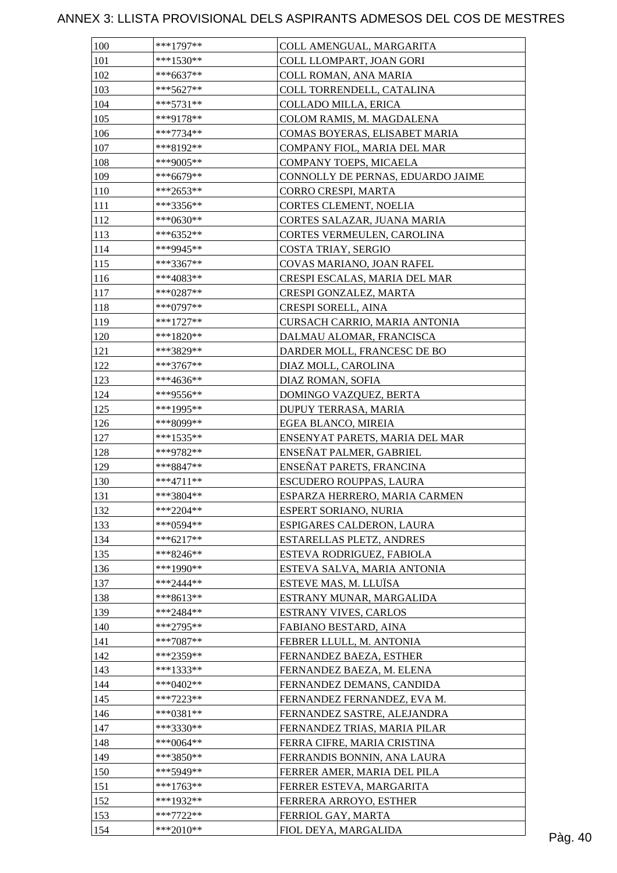| 100 | $***1797**$            | COLL AMENGUAL, MARGARITA          |         |
|-----|------------------------|-----------------------------------|---------|
| 101 | $***1530**$            | COLL LLOMPART, JOAN GORI          |         |
| 102 | ***6637**              | COLL ROMAN, ANA MARIA             |         |
| 103 | $***5627**$            | COLL TORRENDELL, CATALINA         |         |
| 104 | $***5731**$            | COLLADO MILLA, ERICA              |         |
| 105 | ***9178**              | COLOM RAMIS, M. MAGDALENA         |         |
| 106 | $***7734**$            | COMAS BOYERAS, ELISABET MARIA     |         |
| 107 | ***8192**              | COMPANY FIOL, MARIA DEL MAR       |         |
| 108 | ***9005**              | COMPANY TOEPS, MICAELA            |         |
| 109 | ***6679**              | CONNOLLY DE PERNAS, EDUARDO JAIME |         |
| 110 | ***2653**              | CORRO CRESPI, MARTA               |         |
| 111 | $***3356**$            | CORTES CLEMENT, NOELIA            |         |
| 112 | ***0630**              | CORTES SALAZAR, JUANA MARIA       |         |
| 113 | ***6352**              | CORTES VERMEULEN, CAROLINA        |         |
| 114 | ***9945**              | COSTA TRIAY, SERGIO               |         |
| 115 | $***3367**$            | COVAS MARIANO, JOAN RAFEL         |         |
| 116 | ***4083**              | CRESPI ESCALAS, MARIA DEL MAR     |         |
| 117 | $***0287**$            | CRESPI GONZALEZ, MARTA            |         |
| 118 | $***0797**$            | CRESPI SORELL, AINA               |         |
| 119 | $***1727**$            | CURSACH CARRIO, MARIA ANTONIA     |         |
| 120 | $***1820**$            | DALMAU ALOMAR, FRANCISCA          |         |
| 121 | ***3829**              | DARDER MOLL, FRANCESC DE BO       |         |
| 122 | $***3767**$            | DIAZ MOLL, CAROLINA               |         |
|     |                        |                                   |         |
| 123 | ***4636**<br>***9556** | DIAZ ROMAN, SOFIA                 |         |
| 124 |                        | DOMINGO VAZQUEZ, BERTA            |         |
| 125 | ***1995**              | DUPUY TERRASA, MARIA              |         |
| 126 | ***8099**              | EGEA BLANCO, MIREIA               |         |
| 127 | $***1535**$            | ENSENYAT PARETS, MARIA DEL MAR    |         |
| 128 | ***9782**              | ENSEÑAT PALMER, GABRIEL           |         |
| 129 | ***8847**              | ENSEÑAT PARETS, FRANCINA          |         |
| 130 | $***4711**$            | ESCUDERO ROUPPAS, LAURA           |         |
| 131 | $***3804**$            | ESPARZA HERRERO, MARIA CARMEN     |         |
| 132 | $***2204**$            | ESPERT SORIANO, NURIA             |         |
| 133 | ***0594**              | ESPIGARES CALDERON, LAURA         |         |
| 134 | $***6217**$            | ESTARELLAS PLETZ, ANDRES          |         |
| 135 | $***8246**$            | ESTEVA RODRIGUEZ, FABIOLA         |         |
| 136 | ***1990**              | ESTEVA SALVA, MARIA ANTONIA       |         |
| 137 | $***2444**$            | ESTEVE MAS, M. LLUÏSA             |         |
| 138 | ***8613**              | ESTRANY MUNAR, MARGALIDA          |         |
| 139 | $***2484**$            | <b>ESTRANY VIVES, CARLOS</b>      |         |
| 140 | ***2795**              | FABIANO BESTARD, AINA             |         |
| 141 | ***7087**              | FEBRER LLULL, M. ANTONIA          |         |
| 142 | ***2359**              | FERNANDEZ BAEZA, ESTHER           |         |
| 143 | $***1333**$            | FERNANDEZ BAEZA, M. ELENA         |         |
| 144 | ***0402**              | FERNANDEZ DEMANS, CANDIDA         |         |
| 145 | $***7223**$            | FERNANDEZ FERNANDEZ, EVA M.       |         |
| 146 | ***0381**              | FERNANDEZ SASTRE, ALEJANDRA       |         |
| 147 | $***3330**$            | FERNANDEZ TRIAS, MARIA PILAR      |         |
| 148 | ***0064**              | FERRA CIFRE, MARIA CRISTINA       |         |
| 149 | ***3850**              | FERRANDIS BONNIN, ANA LAURA       |         |
| 150 | ***5949**              | FERRER AMER, MARIA DEL PILA       |         |
| 151 | ***1763**              | FERRER ESTEVA, MARGARITA          |         |
| 152 | ***1932**              | FERRERA ARROYO, ESTHER            |         |
| 153 | $***7722**$            | FERRIOL GAY, MARTA                |         |
| 154 | ***2010**              | FIOL DEYA, MARGALIDA              | Pàg. 40 |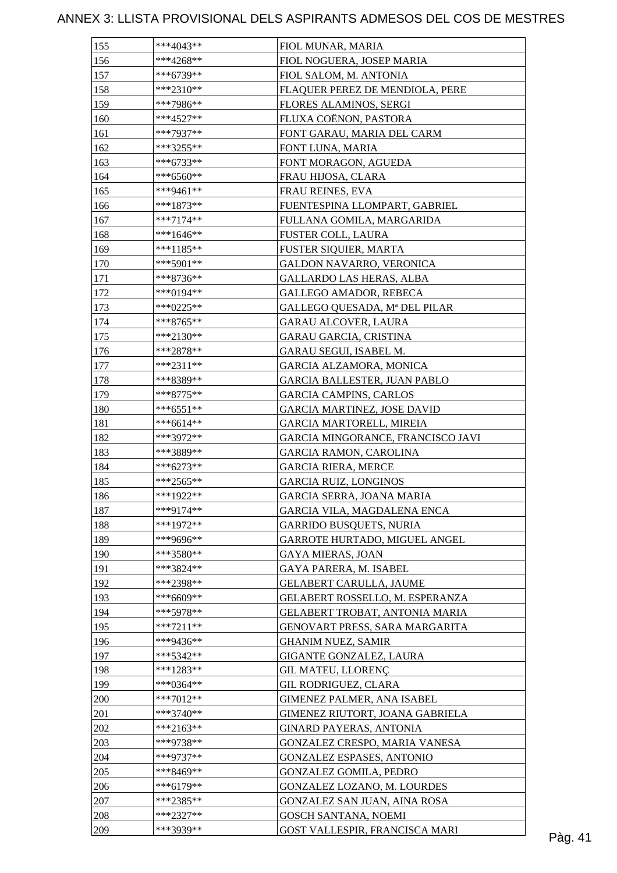| 155 | ***4043**   | FIOL MUNAR, MARIA                   |         |
|-----|-------------|-------------------------------------|---------|
| 156 | $***4268**$ | FIOL NOGUERA, JOSEP MARIA           |         |
| 157 | ***6739**   | FIOL SALOM, M. ANTONIA              |         |
| 158 | $***2310**$ | FLAQUER PEREZ DE MENDIOLA, PERE     |         |
| 159 | ***7986**   | FLORES ALAMINOS, SERGI              |         |
| 160 | $***4527**$ | FLUXA COËNON, PASTORA               |         |
| 161 | ***7937**   | FONT GARAU, MARIA DEL CARM          |         |
| 162 | ***3255**   | FONT LUNA, MARIA                    |         |
| 163 | ***6733**   | FONT MORAGON, AGUEDA                |         |
| 164 | $***6560**$ | FRAU HIJOSA, CLARA                  |         |
| 165 | ***9461**   | FRAU REINES, EVA                    |         |
| 166 | ***1873**   | FUENTESPINA LLOMPART, GABRIEL       |         |
| 167 | $***7174**$ | FULLANA GOMILA, MARGARIDA           |         |
| 168 | $***1646**$ | FUSTER COLL, LAURA                  |         |
| 169 | $***1185**$ | FUSTER SIQUIER, MARTA               |         |
| 170 | $***5901**$ | GALDON NAVARRO, VERONICA            |         |
| 171 | ***8736**   | <b>GALLARDO LAS HERAS, ALBA</b>     |         |
| 172 | ***0194**   | <b>GALLEGO AMADOR, REBECA</b>       |         |
| 173 | ***0225**   | GALLEGO QUESADA, Mª DEL PILAR       |         |
| 174 | $***8765**$ | <b>GARAU ALCOVER, LAURA</b>         |         |
| 175 | $***2130**$ | GARAU GARCIA, CRISTINA              |         |
| 176 | ***2878**   | GARAU SEGUI, ISABEL M.              |         |
| 177 | $***2311**$ | GARCIA ALZAMORA, MONICA             |         |
| 178 | ***8389**   | <b>GARCIA BALLESTER, JUAN PABLO</b> |         |
| 179 | ***8775**   | <b>GARCIA CAMPINS, CARLOS</b>       |         |
| 180 | $***6551**$ | <b>GARCIA MARTINEZ, JOSE DAVID</b>  |         |
| 181 | $***6614**$ | <b>GARCIA MARTORELL, MIREIA</b>     |         |
| 182 | ***3972**   | GARCIA MINGORANCE, FRANCISCO JAVI   |         |
| 183 | ***3889**   | <b>GARCIA RAMON, CAROLINA</b>       |         |
| 184 | ***6273**   | <b>GARCIA RIERA, MERCE</b>          |         |
| 185 | ***2565**   | <b>GARCIA RUIZ, LONGINOS</b>        |         |
| 186 | ***1922**   | GARCIA SERRA, JOANA MARIA           |         |
| 187 | $***9174**$ | GARCIA VILA, MAGDALENA ENCA         |         |
| 188 | ***1972**   | <b>GARRIDO BUSQUETS, NURIA</b>      |         |
| 189 | ***9696**   |                                     |         |
| 190 | ***3580**   | GARROTE HURTADO, MIGUEL ANGEL       |         |
|     | ***3824**   | <b>GAYA MIERAS, JOAN</b>            |         |
| 191 |             | GAYA PARERA, M. ISABEL              |         |
| 192 | ***2398**   | GELABERT CARULLA, JAUME             |         |
| 193 | ***6609**   | GELABERT ROSSELLO, M. ESPERANZA     |         |
| 194 | ***5978**   | GELABERT TROBAT, ANTONIA MARIA      |         |
| 195 | $***7211**$ | GENOVART PRESS, SARA MARGARITA      |         |
| 196 | ***9436**   | <b>GHANIM NUEZ, SAMIR</b>           |         |
| 197 | ***5342**   | GIGANTE GONZALEZ, LAURA             |         |
| 198 | $***1283**$ | <b>GIL MATEU, LLORENÇ</b>           |         |
| 199 | ***0364**   | GIL RODRIGUEZ, CLARA                |         |
| 200 | ***7012**   | GIMENEZ PALMER, ANA ISABEL          |         |
| 201 | $***3740**$ | GIMENEZ RIUTORT, JOANA GABRIELA     |         |
| 202 | $***2163**$ | <b>GINARD PAYERAS, ANTONIA</b>      |         |
| 203 | ***9738**   | GONZALEZ CRESPO, MARIA VANESA       |         |
| 204 | ***9737**   | <b>GONZALEZ ESPASES, ANTONIO</b>    |         |
| 205 | ***8469**   | <b>GONZALEZ GOMILA, PEDRO</b>       |         |
| 206 | ***6179**   | GONZALEZ LOZANO, M. LOURDES         |         |
| 207 | $***2385**$ | GONZALEZ SAN JUAN, AINA ROSA        |         |
| 208 | ***2327**   | <b>GOSCH SANTANA, NOEMI</b>         |         |
| 209 | ***3939**   | GOST VALLESPIR, FRANCISCA MARI      | Pàg. 41 |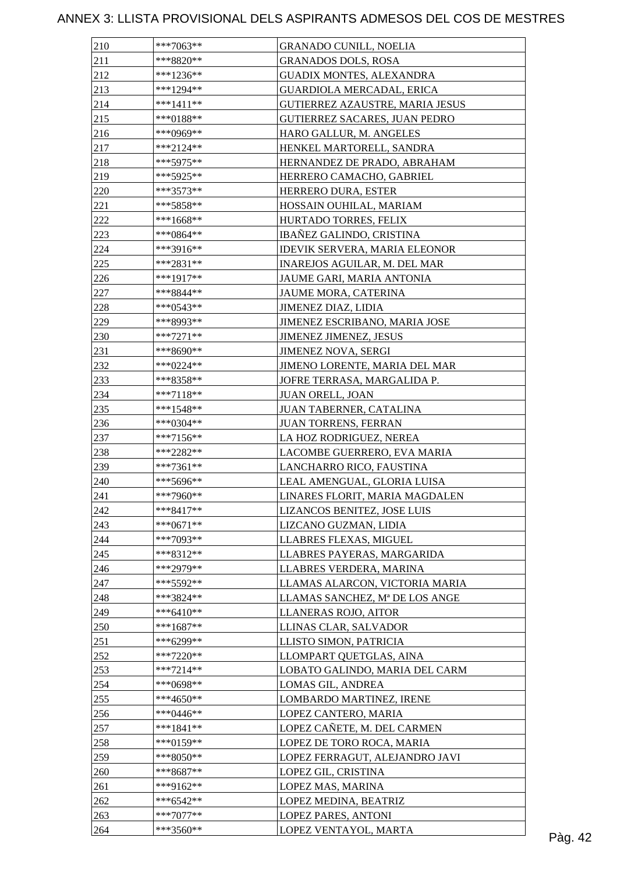| 210 | $***7063**$ | <b>GRANADO CUNILL, NOELIA</b>                               |  |
|-----|-------------|-------------------------------------------------------------|--|
| 211 | ***8820**   | <b>GRANADOS DOLS, ROSA</b>                                  |  |
| 212 | $***1236**$ | <b>GUADIX MONTES, ALEXANDRA</b>                             |  |
| 213 | $***1294**$ | <b>GUARDIOLA MERCADAL, ERICA</b>                            |  |
| 214 | $***1411**$ | GUTIERREZ AZAUSTRE, MARIA JESUS                             |  |
| 215 | $***0188**$ | GUTIERREZ SACARES, JUAN PEDRO                               |  |
| 216 | ***0969**   | HARO GALLUR, M. ANGELES                                     |  |
| 217 | $***2124**$ | HENKEL MARTORELL, SANDRA                                    |  |
| 218 | ***5975**   | HERNANDEZ DE PRADO, ABRAHAM                                 |  |
| 219 | ***5925**   | HERRERO CAMACHO, GABRIEL                                    |  |
| 220 | $***3573**$ | HERRERO DURA, ESTER                                         |  |
| 221 | ***5858**   | HOSSAIN OUHILAL, MARIAM                                     |  |
| 222 | $***1668**$ | HURTADO TORRES, FELIX                                       |  |
| 223 | $***0864**$ | IBAÑEZ GALINDO, CRISTINA                                    |  |
| 224 | ***3916**   | <b>IDEVIK SERVERA, MARIA ELEONOR</b>                        |  |
| 225 | $***2831**$ | INAREJOS AGUILAR, M. DEL MAR                                |  |
| 226 | $***1917**$ | JAUME GARI, MARIA ANTONIA                                   |  |
| 227 | ***8844**   | JAUME MORA, CATERINA                                        |  |
| 228 | $***0543**$ | JIMENEZ DIAZ, LIDIA                                         |  |
| 229 | ***8993**   | JIMENEZ ESCRIBANO, MARIA JOSE                               |  |
| 230 | $***7271**$ |                                                             |  |
| 231 | $***8690**$ | <b>JIMENEZ JIMENEZ, JESUS</b><br><b>JIMENEZ NOVA, SERGI</b> |  |
|     |             |                                                             |  |
| 232 | $***0224**$ | JIMENO LORENTE, MARIA DEL MAR                               |  |
| 233 | ***8358**   | JOFRE TERRASA, MARGALIDA P.                                 |  |
| 234 | $***7118**$ | <b>JUAN ORELL, JOAN</b>                                     |  |
| 235 | $***1548**$ | JUAN TABERNER, CATALINA                                     |  |
| 236 | $***0304**$ | JUAN TORRENS, FERRAN                                        |  |
| 237 | $***7156**$ | LA HOZ RODRIGUEZ, NEREA                                     |  |
| 238 | ***2282**   | LACOMBE GUERRERO, EVA MARIA                                 |  |
| 239 | $***7361**$ | LANCHARRO RICO, FAUSTINA                                    |  |
| 240 | ***5696**   | LEAL AMENGUAL, GLORIA LUISA                                 |  |
| 241 | ***7960**   | LINARES FLORIT, MARIA MAGDALEN                              |  |
| 242 | $***8417**$ | LIZANCOS BENITEZ, JOSE LUIS                                 |  |
| 243 | $***0671**$ | LIZCANO GUZMAN, LIDIA                                       |  |
| 244 | ***7093**   | LLABRES FLEXAS, MIGUEL                                      |  |
| 245 | ***8312**   | LLABRES PAYERAS, MARGARIDA                                  |  |
| 246 | ***2979**   | LLABRES VERDERA, MARINA                                     |  |
| 247 | $***5592**$ | LLAMAS ALARCON, VICTORIA MARIA                              |  |
| 248 | ***3824**   | LLAMAS SANCHEZ, Mª DE LOS ANGE                              |  |
| 249 | ***6410**   | LLANERAS ROJO, AITOR                                        |  |
| 250 | $***1687**$ | LLINAS CLAR, SALVADOR                                       |  |
| 251 | ***6299**   | LLISTO SIMON, PATRICIA                                      |  |
| 252 | $***7220**$ | LLOMPART QUETGLAS, AINA                                     |  |
| 253 | $***7214**$ | LOBATO GALINDO, MARIA DEL CARM                              |  |
| 254 | ***0698**   | LOMAS GIL, ANDREA                                           |  |
| 255 | ***4650**   | LOMBARDO MARTINEZ, IRENE                                    |  |
| 256 | ***0446**   | LOPEZ CANTERO, MARIA                                        |  |
| 257 | $***1841**$ | LOPEZ CAÑETE, M. DEL CARMEN                                 |  |
| 258 | $***0159**$ | LOPEZ DE TORO ROCA, MARIA                                   |  |
| 259 | $***8050**$ | LOPEZ FERRAGUT, ALEJANDRO JAVI                              |  |
| 260 | $***8687**$ | LOPEZ GIL, CRISTINA                                         |  |
| 261 | ***9162**   | LOPEZ MAS, MARINA                                           |  |
| 262 | $***6542**$ | LOPEZ MEDINA, BEATRIZ                                       |  |
| 263 | $***7077**$ | LOPEZ PARES, ANTONI                                         |  |
|     |             |                                                             |  |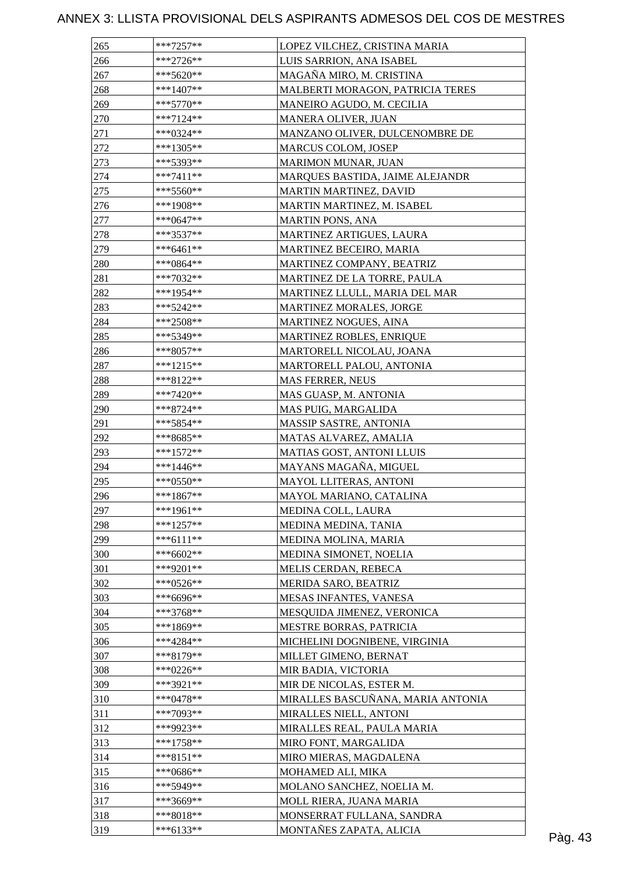| 265        | $***7257**$              | LOPEZ VILCHEZ, CRISTINA MARIA                      |         |
|------------|--------------------------|----------------------------------------------------|---------|
| 266        | $***2726**$              | LUIS SARRION, ANA ISABEL                           |         |
| 267        | ***5620**                | MAGAÑA MIRO, M. CRISTINA                           |         |
| 268        | $***1407**$              | MALBERTI MORAGON, PATRICIA TERES                   |         |
| 269        | $***5770**$              | MANEIRO AGUDO, M. CECILIA                          |         |
| 270        | ***7124**                | <b>MANERA OLIVER, JUAN</b>                         |         |
| 271        | ***0324**                | MANZANO OLIVER, DULCENOMBRE DE                     |         |
| 272        | $***1305**$              | MARCUS COLOM, JOSEP                                |         |
| 273        | ***5393**                | MARIMON MUNAR, JUAN                                |         |
| 274        | $***7411**$              | MARQUES BASTIDA, JAIME ALEJANDR                    |         |
| 275        | $***5560**$              | MARTIN MARTINEZ, DAVID                             |         |
| 276        | ***1908**                | MARTIN MARTINEZ, M. ISABEL                         |         |
| 277        | $***0647**$              | <b>MARTIN PONS, ANA</b>                            |         |
| 278        | ***3537**                | MARTINEZ ARTIGUES, LAURA                           |         |
| 279        | $***6461**$              | MARTINEZ BECEIRO, MARIA                            |         |
| 280        | $***0864**$              | MARTINEZ COMPANY, BEATRIZ                          |         |
| 281        | ***7032**                | MARTINEZ DE LA TORRE, PAULA                        |         |
| 282        | ***1954**                | MARTINEZ LLULL, MARIA DEL MAR                      |         |
| 283        | ***5242**                | <b>MARTINEZ MORALES, JORGE</b>                     |         |
| 284        | $***2508**$              | MARTINEZ NOGUES, AINA                              |         |
| 285        | ***5349**                | MARTINEZ ROBLES, ENRIQUE                           |         |
| 286        | $***8057**$              | MARTORELL NICOLAU, JOANA                           |         |
| 287        | $***1215**$              | MARTORELL PALOU, ANTONIA                           |         |
| 288        | ***8122**                | <b>MAS FERRER, NEUS</b>                            |         |
| 289        | $***7420**$              | MAS GUASP, M. ANTONIA                              |         |
| 290        | $***8724**$              | MAS PUIG, MARGALIDA                                |         |
| 291        | $***5854**$              | MASSIP SASTRE, ANTONIA                             |         |
| 292        | ***8685**                |                                                    |         |
|            | $***1572**$              | MATAS ALVAREZ, AMALIA<br>MATIAS GOST, ANTONI LLUIS |         |
| 293<br>294 |                          |                                                    |         |
| 295        | ***1446**<br>$***0550**$ | MAYANS MAGAÑA, MIGUEL                              |         |
|            |                          | MAYOL LLITERAS, ANTONI                             |         |
| 296        | $***1867**$              | MAYOL MARIANO, CATALINA                            |         |
| 297        | ***1961**<br>$***1257**$ | MEDINA COLL, LAURA                                 |         |
| 298        |                          | MEDINA MEDINA, TANIA                               |         |
| 299        | $***6111**$              | MEDINA MOLINA, MARIA                               |         |
| 300        | ***6602**                | MEDINA SIMONET, NOELIA                             |         |
| 301        | ***9201**                | MELIS CERDAN, REBECA                               |         |
| 302        | ***0526**                | MERIDA SARO, BEATRIZ                               |         |
| 303        | ***6696**                | MESAS INFANTES, VANESA                             |         |
| 304        | ***3768**                | MESQUIDA JIMENEZ, VERONICA                         |         |
| 305        | $***1869**$              | MESTRE BORRAS, PATRICIA                            |         |
| 306        | ***4284**                | MICHELINI DOGNIBENE, VIRGINIA                      |         |
| 307        | $***8179**$              | MILLET GIMENO, BERNAT                              |         |
| 308        | ***0226**                | MIR BADIA, VICTORIA                                |         |
| 309        | $***3921**$              | MIR DE NICOLAS, ESTER M.                           |         |
| 310        | $***0478**$              | MIRALLES BASCUÑANA, MARIA ANTONIA                  |         |
| 311        | $***7093**$              | MIRALLES NIELL, ANTONI                             |         |
| 312        | ***9923**                | MIRALLES REAL, PAULA MARIA                         |         |
| 313        | $***1758**$              | MIRO FONT, MARGALIDA                               |         |
| 314        | $***8151**$              | MIRO MIERAS, MAGDALENA                             |         |
| 315        | $***0686**$              | MOHAMED ALI, MIKA                                  |         |
| 316        | ***5949**                | MOLANO SANCHEZ, NOELIA M.                          |         |
| 317        | ***3669**                | MOLL RIERA, JUANA MARIA                            |         |
| 318        | $***8018**$              | MONSERRAT FULLANA, SANDRA                          |         |
| 319        | $***6133**$              | MONTAÑES ZAPATA, ALICIA                            | Pàg. 43 |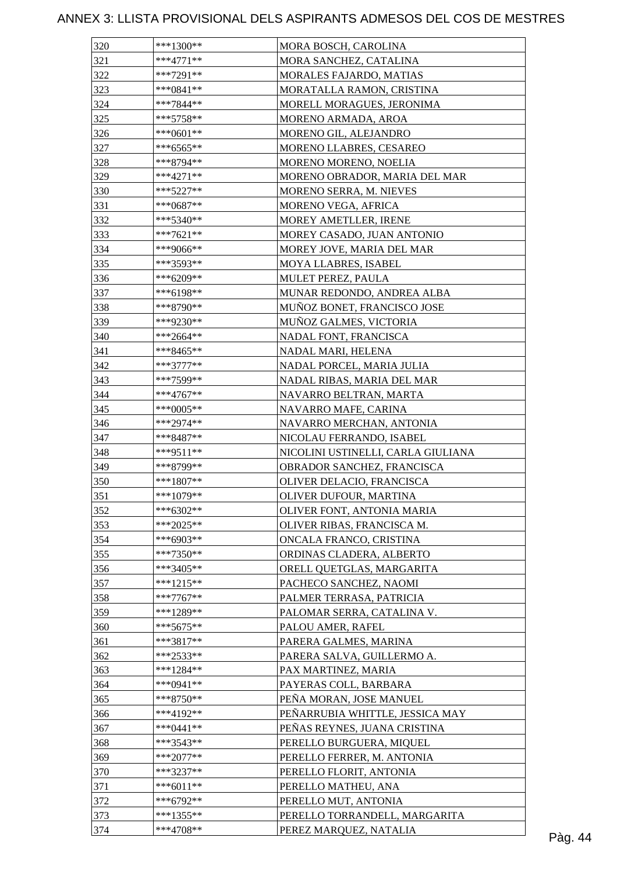| 320 | $***1300**$ | MORA BOSCH, CAROLINA               |         |
|-----|-------------|------------------------------------|---------|
| 321 | ***4771**   | MORA SANCHEZ, CATALINA             |         |
| 322 | ***7291**   | MORALES FAJARDO, MATIAS            |         |
| 323 | $***0841**$ | MORATALLA RAMON, CRISTINA          |         |
| 324 | ***7844**   | MORELL MORAGUES, JERONIMA          |         |
| 325 | $***5758**$ | MORENO ARMADA, AROA                |         |
| 326 | ***0601**   | MORENO GIL, ALEJANDRO              |         |
| 327 | $***6565**$ | MORENO LLABRES, CESAREO            |         |
| 328 | ***8794**   | MORENO MORENO, NOELIA              |         |
| 329 | $***4271**$ | MORENO OBRADOR, MARIA DEL MAR      |         |
| 330 | $***5227**$ | MORENO SERRA, M. NIEVES            |         |
| 331 | $***0687**$ | MORENO VEGA, AFRICA                |         |
| 332 | $***5340**$ | MOREY AMETLLER, IRENE              |         |
| 333 | $***7621**$ | MOREY CASADO, JUAN ANTONIO         |         |
| 334 | ***9066**   | MOREY JOVE, MARIA DEL MAR          |         |
| 335 | ***3593**   | MOYA LLABRES, ISABEL               |         |
| 336 | ***6209**   | MULET PEREZ, PAULA                 |         |
| 337 | ***6198**   | MUNAR REDONDO, ANDREA ALBA         |         |
| 338 | ***8790**   | MUÑOZ BONET, FRANCISCO JOSE        |         |
| 339 | ***9230**   | MUÑOZ GALMES, VICTORIA             |         |
| 340 | $***2664**$ | NADAL FONT, FRANCISCA              |         |
|     | ***8465**   |                                    |         |
| 341 |             | NADAL MARI, HELENA                 |         |
| 342 | ***3777**   | NADAL PORCEL, MARIA JULIA          |         |
| 343 | ***7599**   | NADAL RIBAS, MARIA DEL MAR         |         |
| 344 | $***4767**$ | NAVARRO BELTRAN, MARTA             |         |
| 345 | ***0005**   | NAVARRO MAFE, CARINA               |         |
| 346 | ***2974**   | NAVARRO MERCHAN, ANTONIA           |         |
| 347 | ***8487**   | NICOLAU FERRANDO, ISABEL           |         |
| 348 | $***9511**$ | NICOLINI USTINELLI, CARLA GIULIANA |         |
| 349 | ***8799**   | OBRADOR SANCHEZ, FRANCISCA         |         |
| 350 | $***1807**$ | OLIVER DELACIO, FRANCISCA          |         |
| 351 | ***1079**   | OLIVER DUFOUR, MARTINA             |         |
| 352 | ***6302**   | OLIVER FONT, ANTONIA MARIA         |         |
| 353 | ***2025**   | OLIVER RIBAS, FRANCISCA M.         |         |
| 354 | ***6903**   | ONCALA FRANCO, CRISTINA            |         |
| 355 | $***7350**$ | ORDINAS CLADERA, ALBERTO           |         |
| 356 | ***3405**   | ORELL QUETGLAS, MARGARITA          |         |
| 357 | ***1215**   | PACHECO SANCHEZ, NAOMI             |         |
| 358 | $***7767**$ | PALMER TERRASA, PATRICIA           |         |
| 359 | ***1289**   | PALOMAR SERRA, CATALINA V.         |         |
| 360 | $***5675**$ | PALOU AMER, RAFEL                  |         |
| 361 | ***3817**   | PARERA GALMES, MARINA              |         |
| 362 | $***2533**$ | PARERA SALVA, GUILLERMO A.         |         |
| 363 | $***1284**$ | PAX MARTINEZ, MARIA                |         |
| 364 | ***0941**   | PAYERAS COLL, BARBARA              |         |
| 365 | $***8750**$ | PEÑA MORAN, JOSE MANUEL            |         |
| 366 | ***4192**   | PEÑARRUBIA WHITTLE, JESSICA MAY    |         |
| 367 | $***0441**$ | PEÑAS REYNES, JUANA CRISTINA       |         |
| 368 | ***3543**   | PERELLO BURGUERA, MIQUEL           |         |
| 369 | $***2077**$ | PERELLO FERRER, M. ANTONIA         |         |
| 370 | ***3237**   | PERELLO FLORIT, ANTONIA            |         |
| 371 | $***6011**$ | PERELLO MATHEU, ANA                |         |
| 372 | ***6792**   | PERELLO MUT, ANTONIA               |         |
| 373 | ***1355**   | PERELLO TORRANDELL, MARGARITA      |         |
| 374 | ***4708**   | PEREZ MARQUEZ, NATALIA             | Pàg. 44 |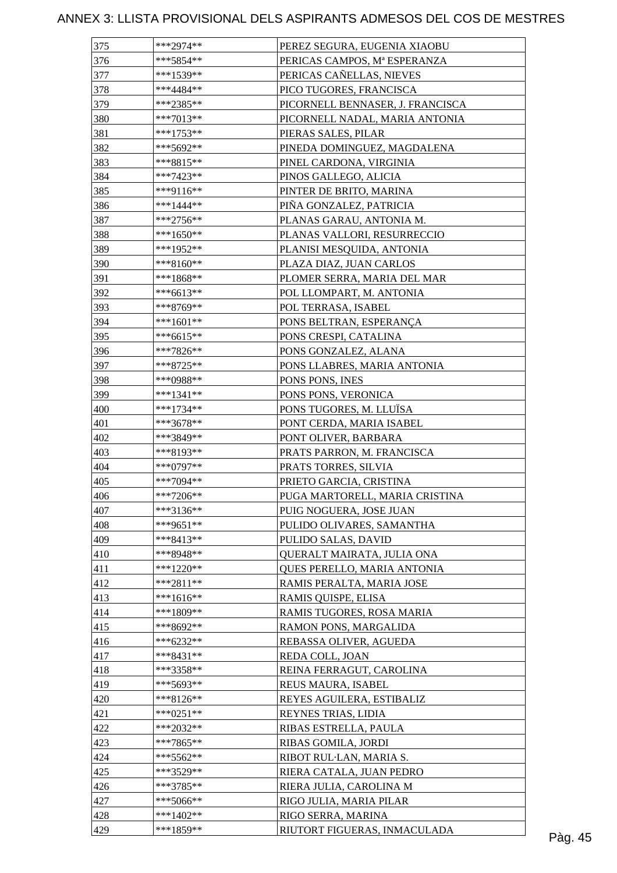| 375 | ***2974**   | PEREZ SEGURA, EUGENIA XIAOBU     |         |
|-----|-------------|----------------------------------|---------|
| 376 | ***5854**   | PERICAS CAMPOS, Mª ESPERANZA     |         |
| 377 | ***1539**   | PERICAS CAÑELLAS, NIEVES         |         |
| 378 | ***4484**   | PICO TUGORES, FRANCISCA          |         |
| 379 | ***2385**   | PICORNELL BENNASER, J. FRANCISCA |         |
| 380 | ***7013**   | PICORNELL NADAL, MARIA ANTONIA   |         |
| 381 | ***1753**   | PIERAS SALES, PILAR              |         |
| 382 | ***5692**   | PINEDA DOMINGUEZ, MAGDALENA      |         |
| 383 | ***8815**   | PINEL CARDONA, VIRGINIA          |         |
| 384 | $***7423**$ | PINOS GALLEGO, ALICIA            |         |
| 385 | ***9116**   | PINTER DE BRITO, MARINA          |         |
| 386 | $***1444**$ | PIÑA GONZALEZ, PATRICIA          |         |
| 387 | $***2756**$ | PLANAS GARAU, ANTONIA M.         |         |
| 388 | ***1650**   | PLANAS VALLORI, RESURRECCIO      |         |
| 389 | ***1952**   | PLANISI MESQUIDA, ANTONIA        |         |
| 390 | $***8160**$ | PLAZA DIAZ, JUAN CARLOS          |         |
| 391 | ***1868**   | PLOMER SERRA, MARIA DEL MAR      |         |
| 392 | $***6613**$ | POL LLOMPART, M. ANTONIA         |         |
| 393 | ***8769**   | POL TERRASA, ISABEL              |         |
| 394 | $***1601**$ | PONS BELTRAN, ESPERANÇA          |         |
| 395 | $***6615**$ | PONS CRESPI, CATALINA            |         |
| 396 | ***7826**   | PONS GONZALEZ, ALANA             |         |
| 397 | ***8725**   |                                  |         |
|     |             | PONS LLABRES, MARIA ANTONIA      |         |
| 398 | ***0988**   | PONS PONS, INES                  |         |
| 399 | $***1341**$ | PONS PONS, VERONICA              |         |
| 400 | ***1734**   | PONS TUGORES, M. LLUÏSA          |         |
| 401 | ***3678**   | PONT CERDA, MARIA ISABEL         |         |
| 402 | ***3849**   | PONT OLIVER, BARBARA             |         |
| 403 | ***8193**   | PRATS PARRON, M. FRANCISCA       |         |
| 404 | ***0797**   | PRATS TORRES, SILVIA             |         |
| 405 | ***7094**   | PRIETO GARCIA, CRISTINA          |         |
| 406 | ***7206**   | PUGA MARTORELL, MARIA CRISTINA   |         |
| 407 | $***3136**$ | PUIG NOGUERA, JOSE JUAN          |         |
| 408 | ***9651**   | PULIDO OLIVARES, SAMANTHA        |         |
| 409 | $***8413**$ | PULIDO SALAS, DAVID              |         |
| 410 | ***8948**   | QUERALT MAIRATA, JULIA ONA       |         |
| 411 | ***1220**   | QUES PERELLO, MARIA ANTONIA      |         |
| 412 | $***2811**$ | RAMIS PERALTA, MARIA JOSE        |         |
| 413 | ***1616**   | RAMIS QUISPE, ELISA              |         |
| 414 | ***1809**   | RAMIS TUGORES, ROSA MARIA        |         |
| 415 | ***8692**   | RAMON PONS, MARGALIDA            |         |
| 416 | ***6232**   | REBASSA OLIVER, AGUEDA           |         |
| 417 | $***8431**$ | REDA COLL, JOAN                  |         |
| 418 | ***3358**   | REINA FERRAGUT, CAROLINA         |         |
| 419 | ***5693**   | REUS MAURA, ISABEL               |         |
| 420 | ***8126**   | REYES AGUILERA, ESTIBALIZ        |         |
| 421 | ***0251**   | REYNES TRIAS, LIDIA              |         |
| 422 | ***2032**   | RIBAS ESTRELLA, PAULA            |         |
| 423 | ***7865**   | RIBAS GOMILA, JORDI              |         |
| 424 | $***5562**$ | RIBOT RUL-LAN, MARIA S.          |         |
| 425 | ***3529**   | RIERA CATALA, JUAN PEDRO         |         |
| 426 | ***3785**   | RIERA JULIA, CAROLINA M          |         |
| 427 | $***5066**$ | RIGO JULIA, MARIA PILAR          |         |
| 428 | ***1402**   | RIGO SERRA, MARINA               |         |
| 429 | ***1859**   | RIUTORT FIGUERAS, INMACULADA     | Pàg. 45 |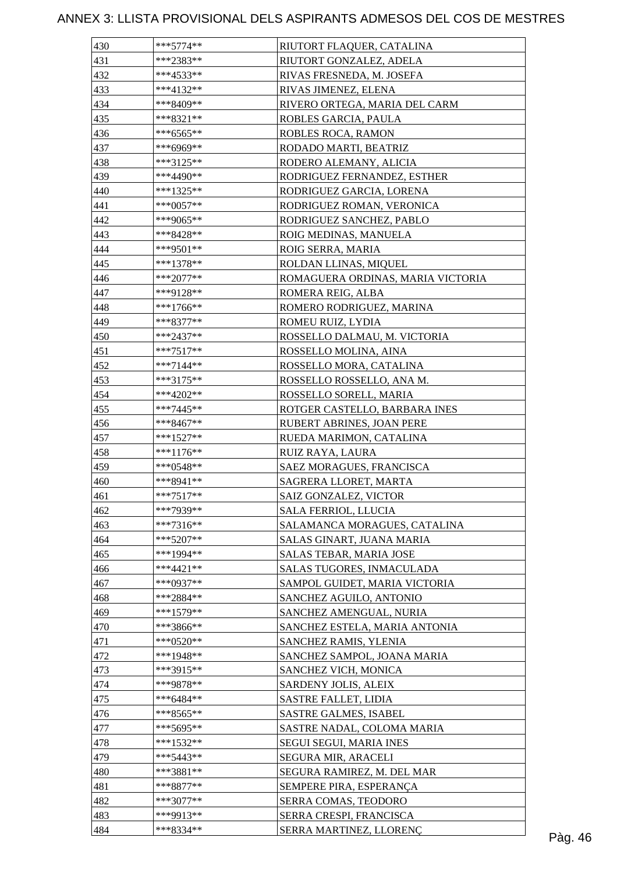| 430 | $***5774**$ | RIUTORT FLAQUER, CATALINA         |  |
|-----|-------------|-----------------------------------|--|
| 431 | ***2383**   | RIUTORT GONZALEZ, ADELA           |  |
| 432 | ***4533**   | RIVAS FRESNEDA, M. JOSEFA         |  |
| 433 | $***4132**$ | RIVAS JIMENEZ, ELENA              |  |
| 434 | ***8409**   | RIVERO ORTEGA, MARIA DEL CARM     |  |
| 435 | ***8321**   | ROBLES GARCIA, PAULA              |  |
| 436 | $***6565**$ | ROBLES ROCA, RAMON                |  |
| 437 | $***6969**$ | RODADO MARTI, BEATRIZ             |  |
| 438 | ***3125**   | RODERO ALEMANY, ALICIA            |  |
| 439 | ***4490**   | RODRIGUEZ FERNANDEZ, ESTHER       |  |
| 440 | $***1325**$ | RODRIGUEZ GARCIA, LORENA          |  |
| 441 | $***0057**$ | RODRIGUEZ ROMAN, VERONICA         |  |
| 442 | ***9065**   | RODRIGUEZ SANCHEZ, PABLO          |  |
| 443 | $***8428**$ | ROIG MEDINAS, MANUELA             |  |
| 444 | ***9501**   | ROIG SERRA, MARIA                 |  |
| 445 | $***1378**$ | ROLDAN LLINAS, MIQUEL             |  |
| 446 | $***2077**$ | ROMAGUERA ORDINAS, MARIA VICTORIA |  |
| 447 | ***9128**   | ROMERA REIG, ALBA                 |  |
| 448 | $***1766**$ | ROMERO RODRIGUEZ, MARINA          |  |
| 449 | ***8377**   | ROMEU RUIZ, LYDIA                 |  |
| 450 | ***2437**   | ROSSELLO DALMAU, M. VICTORIA      |  |
| 451 | $***7517**$ | ROSSELLO MOLINA, AINA             |  |
|     |             |                                   |  |
| 452 | $***7144**$ | ROSSELLO MORA, CATALINA           |  |
| 453 | $***3175**$ | ROSSELLO ROSSELLO, ANA M.         |  |
| 454 | ***4202**   | ROSSELLO SORELL, MARIA            |  |
| 455 | $***7445**$ | ROTGER CASTELLO, BARBARA INES     |  |
| 456 | $***8467**$ | RUBERT ABRINES, JOAN PERE         |  |
| 457 | $***1527**$ | RUEDA MARIMON, CATALINA           |  |
| 458 | $***1176**$ | RUIZ RAYA, LAURA                  |  |
| 459 | $***0548**$ | SAEZ MORAGUES, FRANCISCA          |  |
| 460 | ***8941**   | SAGRERA LLORET, MARTA             |  |
| 461 | $***7517**$ | SAIZ GONZALEZ, VICTOR             |  |
| 462 | ***7939**   | <b>SALA FERRIOL, LLUCIA</b>       |  |
| 463 | $***7316**$ | SALAMANCA MORAGUES, CATALINA      |  |
| 464 | $***5207**$ | SALAS GINART, JUANA MARIA         |  |
| 465 | ***1994**   | SALAS TEBAR, MARIA JOSE           |  |
| 466 | $***4421**$ | SALAS TUGORES, INMACULADA         |  |
| 467 | $***0937**$ | SAMPOL GUIDET, MARIA VICTORIA     |  |
| 468 | ***2884**   | SANCHEZ AGUILO, ANTONIO           |  |
| 469 | ***1579**   | SANCHEZ AMENGUAL, NURIA           |  |
| 470 | ***3866**   | SANCHEZ ESTELA, MARIA ANTONIA     |  |
| 471 | ***0520**   | SANCHEZ RAMIS, YLENIA             |  |
| 472 | $***1948**$ | SANCHEZ SAMPOL, JOANA MARIA       |  |
| 473 | $***3915**$ | SANCHEZ VICH, MONICA              |  |
| 474 | ***9878**   | SARDENY JOLIS, ALEIX              |  |
| 475 | ***6484**   | <b>SASTRE FALLET, LIDIA</b>       |  |
| 476 | $***8565**$ | SASTRE GALMES, ISABEL             |  |
| 477 | $***5695**$ | SASTRE NADAL, COLOMA MARIA        |  |
| 478 | $***1532**$ | SEGUI SEGUI, MARIA INES           |  |
| 479 | $***5443**$ | SEGURA MIR, ARACELI               |  |
| 480 | ***3881**   | SEGURA RAMIREZ, M. DEL MAR        |  |
| 481 | $***8877**$ | SEMPERE PIRA, ESPERANÇA           |  |
| 482 | $***3077**$ | SERRA COMAS, TEODORO              |  |
| 483 | ***9913**   | SERRA CRESPI, FRANCISCA           |  |
| 484 | ***8334**   | SERRA MARTINEZ, LLORENÇ           |  |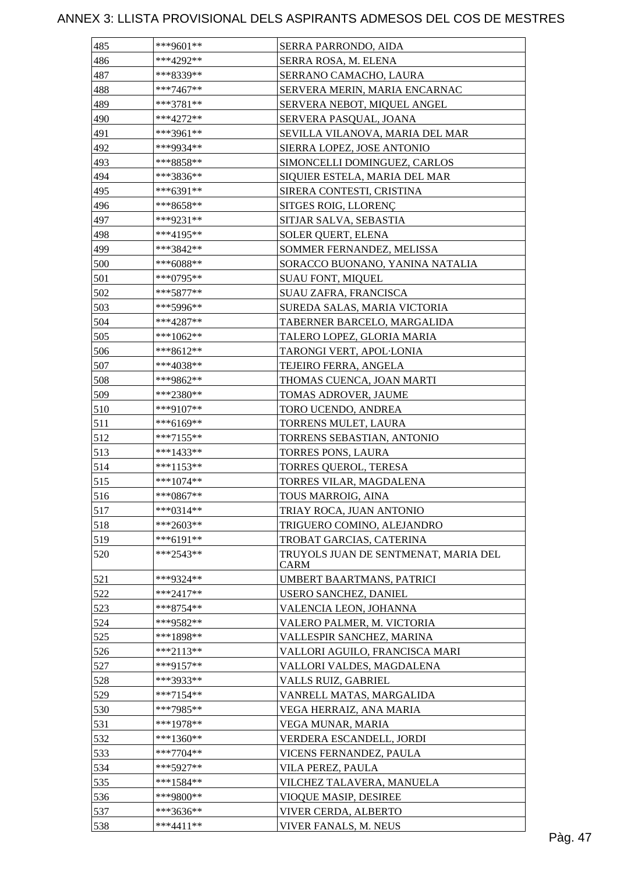| 485 | ***9601**   | SERRA PARRONDO, AIDA                         |
|-----|-------------|----------------------------------------------|
| 486 | ***4292**   | SERRA ROSA, M. ELENA                         |
| 487 | ***8339**   | SERRANO CAMACHO, LAURA                       |
| 488 | ***7467**   | SERVERA MERIN, MARIA ENCARNAC                |
| 489 | ***3781**   | SERVERA NEBOT, MIQUEL ANGEL                  |
| 490 | ***4272**   | SERVERA PASQUAL, JOANA                       |
| 491 | ***3961**   | SEVILLA VILANOVA, MARIA DEL MAR              |
| 492 | ***9934**   | SIERRA LOPEZ, JOSE ANTONIO                   |
| 493 | ***8858**   | SIMONCELLI DOMINGUEZ, CARLOS                 |
| 494 | ***3836**   | SIQUIER ESTELA, MARIA DEL MAR                |
| 495 | ***6391**   | SIRERA CONTESTI, CRISTINA                    |
| 496 | ***8658**   | SITGES ROIG, LLORENÇ                         |
| 497 | ***9231**   | SITJAR SALVA, SEBASTIA                       |
| 498 | ***4195**   | SOLER QUERT, ELENA                           |
| 499 | ***3842**   | SOMMER FERNANDEZ, MELISSA                    |
| 500 | ***6088**   | SORACCO BUONANO, YANINA NATALIA              |
| 501 | ***0795**   | <b>SUAU FONT, MIQUEL</b>                     |
| 502 | ***5877**   | SUAU ZAFRA, FRANCISCA                        |
| 503 | ***5996**   | SUREDA SALAS, MARIA VICTORIA                 |
| 504 | ***4287**   | TABERNER BARCELO, MARGALIDA                  |
| 505 | ***1062**   | TALERO LOPEZ, GLORIA MARIA                   |
| 506 | ***8612**   | TARONGI VERT, APOL·LONIA                     |
| 507 | ***4038**   | TEJEIRO FERRA, ANGELA                        |
| 508 | ***9862**   | THOMAS CUENCA, JOAN MARTI                    |
| 509 | ***2380**   | TOMAS ADROVER, JAUME                         |
| 510 | ***9107**   | TORO UCENDO, ANDREA                          |
| 511 | ***6169**   | TORRENS MULET, LAURA                         |
| 512 | ***7155**   | TORRENS SEBASTIAN, ANTONIO                   |
| 513 | ***1433**   | TORRES PONS, LAURA                           |
| 514 | ***1153**   | TORRES QUEROL, TERESA                        |
| 515 | ***1074**   | TORRES VILAR, MAGDALENA                      |
| 516 | ***0867**   | TOUS MARROIG, AINA                           |
| 517 | $***0314**$ | TRIAY ROCA, JUAN ANTONIO                     |
| 518 | ***2603**   | TRIGUERO COMINO, ALEJANDRO                   |
| 519 | $***6191**$ | TROBAT GARCIAS, CATERINA                     |
| 520 | $***2543**$ | TRUYOLS JUAN DE SENTMENAT, MARIA DEL<br>CARM |
| 521 | ***9324**   | UMBERT BAARTMANS, PATRICI                    |
| 522 | $***2417**$ | USERO SANCHEZ, DANIEL                        |
| 523 | ***8754**   | VALENCIA LEON, JOHANNA                       |
| 524 | ***9582**   | VALERO PALMER, M. VICTORIA                   |
| 525 | ***1898**   | VALLESPIR SANCHEZ, MARINA                    |
| 526 | ***2113**   | VALLORI AGUILO, FRANCISCA MARI               |
| 527 | ***9157**   | VALLORI VALDES, MAGDALENA                    |
| 528 | ***3933**   | VALLS RUIZ, GABRIEL                          |
| 529 | ***7154**   | VANRELL MATAS, MARGALIDA                     |
| 530 | ***7985**   | VEGA HERRAIZ, ANA MARIA                      |
| 531 | ***1978**   | VEGA MUNAR, MARIA                            |
| 532 | ***1360**   | VERDERA ESCANDELL, JORDI                     |
| 533 | ***7704**   | VICENS FERNANDEZ, PAULA                      |
| 534 | ***5927**   | VILA PEREZ, PAULA                            |
| 535 | ***1584**   | VILCHEZ TALAVERA, MANUELA                    |
| 536 | ***9800**   | VIOQUE MASIP, DESIREE                        |
| 537 | ***3636**   | VIVER CERDA, ALBERTO                         |
| 538 | $***4411**$ | VIVER FANALS, M. NEUS                        |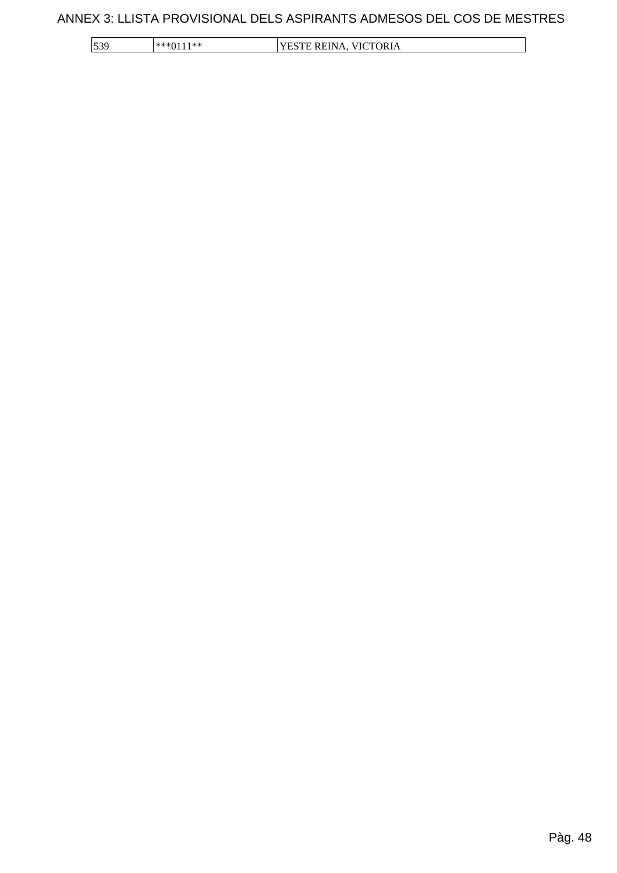| 152c     | OR I 4               |
|----------|----------------------|
| الممالد  | 'IN.                 |
| $-75.76$ | $\mathbf{r}$         |
| $\sim$   | $\sum_{i=1}^{n}$     |
| ر ر ا    | <b>THATH INDIANA</b> |
| .        | $\sim$               |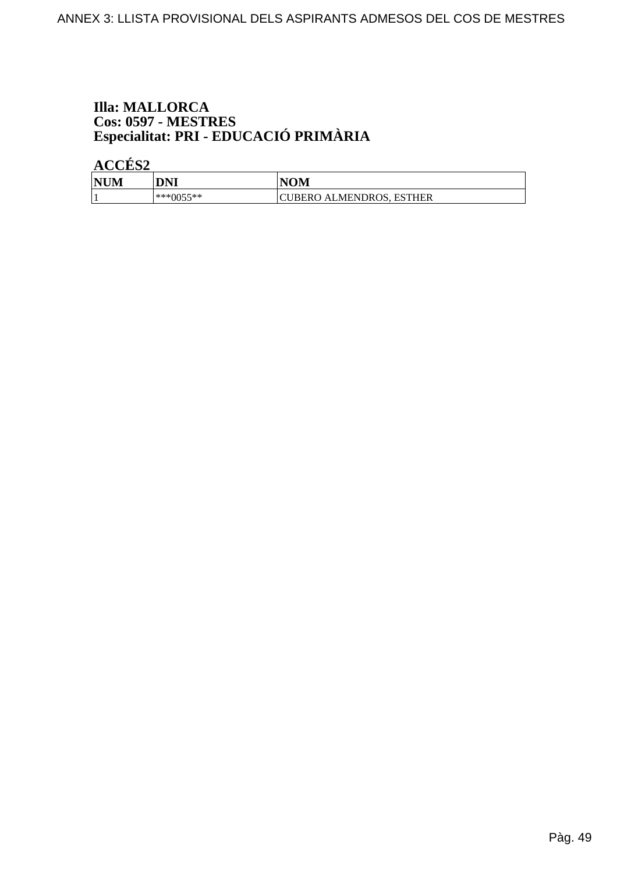# **Illa: MALLORCA** Cos: 0597 - MESTRES<br>Especialitat: PRI - EDUCACIÓ PRIMÀRIA

ACCÉS<sub>2</sub>

| INTIN<br>IVI<br>71 V | DNI        | JAM<br>NUIVL                          |
|----------------------|------------|---------------------------------------|
|                      | ↑~<**<br>м | ገ ALMENDROS,<br>ESTHER<br><b>BERO</b> |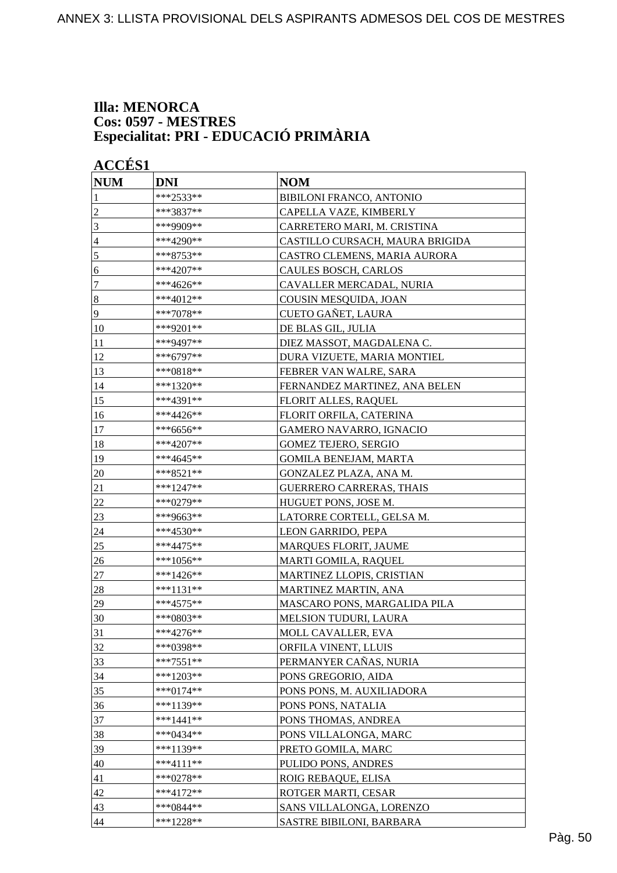#### **Illa: MENORCA Cos: 0597 - MESTRES Especialitat: PRI - EDUCACIÓ PRIMÀRIA**

| <b>ACCÉS 1</b>  |             |                                 |
|-----------------|-------------|---------------------------------|
| <b>NUM</b>      | <b>DNI</b>  | <b>NOM</b>                      |
| 1               | ***2533**   | <b>BIBILONI FRANCO, ANTONIO</b> |
| $\overline{c}$  | ***3837**   | CAPELLA VAZE, KIMBERLY          |
| $\mathfrak{Z}$  | ***9909**   | CARRETERO MARI, M. CRISTINA     |
| $\overline{4}$  | ***4290**   | CASTILLO CURSACH, MAURA BRIGIDA |
| 5               | ***8753**   | CASTRO CLEMENS, MARIA AURORA    |
| 6               | ***4207**   | CAULES BOSCH, CARLOS            |
| $\tau$          | ***4626**   | CAVALLER MERCADAL, NURIA        |
| $\vert 8$       | ***4012**   | COUSIN MESQUIDA, JOAN           |
| $\overline{9}$  | ***7078**   | CUETO GAÑET, LAURA              |
| <sup>10</sup>   | ***9201**   | DE BLAS GIL, JULIA              |
| 11              | ***9497**   | DIEZ MASSOT, MAGDALENA C.       |
| 12              | $***6797**$ | DURA VIZUETE, MARIA MONTIEL     |
| $\overline{13}$ | ***0818**   | FEBRER VAN WALRE, SARA          |
| 14              | ***1320**   | FERNANDEZ MARTINEZ, ANA BELEN   |
| 15              | ***4391**   | <b>FLORIT ALLES, RAQUEL</b>     |
| 16              | ***4426**   | FLORIT ORFILA, CATERINA         |
| 17              | ***6656**   | <b>GAMERO NAVARRO, IGNACIO</b>  |
| 18              | $***4207**$ | <b>GOMEZ TEJERO, SERGIO</b>     |
| 19              | ***4645**   | <b>GOMILA BENEJAM, MARTA</b>    |
| 20              | ***8521**   | GONZALEZ PLAZA, ANA M.          |
| 21              | ***1247**   | <b>GUERRERO CARRERAS, THAIS</b> |
| 22              | ***0279**   | HUGUET PONS, JOSE M.            |
| 23              | ***9663**   | LATORRE CORTELL, GELSA M.       |
| 24              | ***4530**   | LEON GARRIDO, PEPA              |
| 25              | ***4475**   | MARQUES FLORIT, JAUME           |
| 26              | ***1056**   | <b>MARTI GOMILA, RAQUEL</b>     |
| 27              | ***1426**   | MARTINEZ LLOPIS, CRISTIAN       |
| 28              | ***1131**   | MARTINEZ MARTIN, ANA            |
| 29              | $***4575**$ | MASCARO PONS, MARGALIDA PILA    |
| 30              | ***0803**   | MELSION TUDURI, LAURA           |
| 31              | ***4276**   | MOLL CAVALLER, EVA              |
| 32              | ***0398**   | ORFILA VINENT, LLUIS            |
| 33              | $***7551**$ | PERMANYER CAÑAS, NURIA          |
| 34              | ***1203**   | PONS GREGORIO, AIDA             |
| 35              | ***0174**   | PONS PONS, M. AUXILIADORA       |
| 36              | ***1139**   | PONS PONS, NATALIA              |
| 37              | $***1441**$ | PONS THOMAS, ANDREA             |
| 38              | $***0434**$ | PONS VILLALONGA, MARC           |
| 39              | ***1139**   | PRETO GOMILA, MARC              |
| 40              | ***4111**   | PULIDO PONS, ANDRES             |
| 41              | $***0278**$ | ROIG REBAQUE, ELISA             |
| 42              | $***4172**$ | ROTGER MARTI, CESAR             |
| 43              | ***0844**   | SANS VILLALONGA, LORENZO        |
| 44              | $***1228**$ | SASTRE BIBILONI, BARBARA        |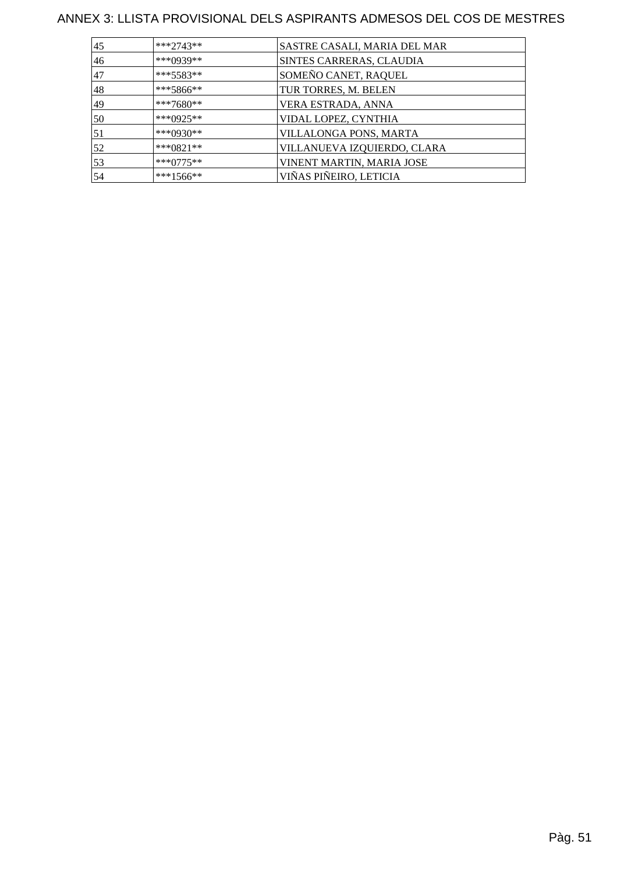| 45 | ***2743**    | SASTRE CASALI, MARIA DEL MAR |
|----|--------------|------------------------------|
| 46 | ***0939**    | SINTES CARRERAS, CLAUDIA     |
| 47 | $***5583**$  | SOMEÑO CANET, RAQUEL         |
| 48 | ***5866**    | TUR TORRES, M. BELEN         |
| 49 | ***7680**    | VERA ESTRADA, ANNA           |
| 50 | ***0925**    | VIDAL LOPEZ, CYNTHIA         |
| 51 | ***()930**   | VILLALONGA PONS, MARTA       |
| 52 | *** $0821**$ | VILLANUEVA IZQUIERDO, CLARA  |
| 53 | $***0775**$  | VINENT MARTIN, MARIA JOSE    |
| 54 | ***1566**    | VIÑAS PIÑEIRO, LETICIA       |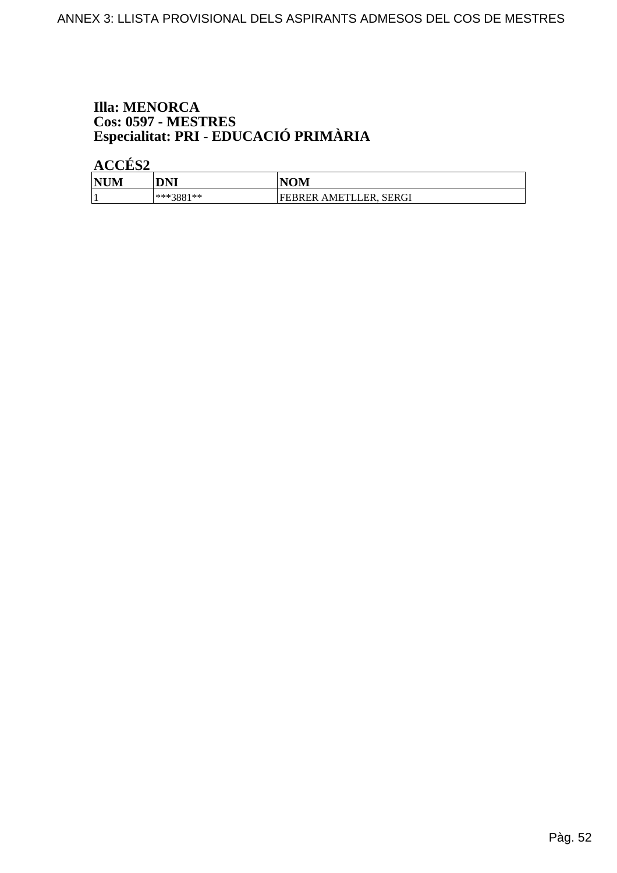# **Illa: MENORCA** Cos: 0597 - MESTRES<br>Especialitat: PRI - EDUCACIÓ PRIMÀRIA

ACCÉS<sub>2</sub>

| <b>NUM</b> | DNI       | <b>NOM</b>             |
|------------|-----------|------------------------|
|            | ***3881** | FEBRER AMETLLER, SERGI |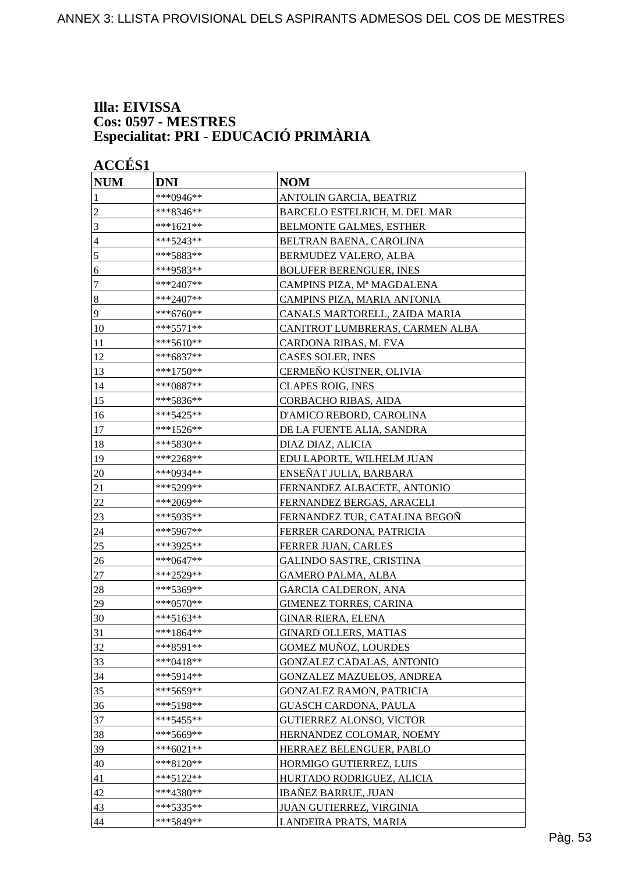#### **Illa: EIVISSA Cos: 0597 - MESTRES Especialitat: PRI - EDUCACIÓ PRIMÀRIA**

| <b>ACCÉS 1</b> |                                                                                                      |  |  |
|----------------|------------------------------------------------------------------------------------------------------|--|--|
| <b>DNI</b>     | <b>NOM</b>                                                                                           |  |  |
| ***0946**      | ANTOLIN GARCIA, BEATRIZ                                                                              |  |  |
| ***8346**      | BARCELO ESTELRICH, M. DEL MAR                                                                        |  |  |
| ***1621**      | <b>BELMONTE GALMES, ESTHER</b>                                                                       |  |  |
| ***5243**      | BELTRAN BAENA, CAROLINA                                                                              |  |  |
| ***5883**      | BERMUDEZ VALERO, ALBA                                                                                |  |  |
| ***9583**      | <b>BOLUFER BERENGUER, INES</b>                                                                       |  |  |
| ***2407**      | CAMPINS PIZA, Mª MAGDALENA                                                                           |  |  |
| ***2407**      | CAMPINS PIZA, MARIA ANTONIA                                                                          |  |  |
| ***6760**      | CANALS MARTORELL, ZAIDA MARIA                                                                        |  |  |
| ***5571**      | CANITROT LUMBRERAS, CARMEN ALBA                                                                      |  |  |
| ***5610**      | CARDONA RIBAS, M. EVA                                                                                |  |  |
| ***6837**      | CASES SOLER, INES                                                                                    |  |  |
| ***1750**      | CERMEÑO KÜSTNER, OLIVIA                                                                              |  |  |
| ***0887**      | <b>CLAPES ROIG, INES</b>                                                                             |  |  |
| ***5836**      | CORBACHO RIBAS, AIDA                                                                                 |  |  |
|                | D'AMICO REBORD, CAROLINA                                                                             |  |  |
|                | DE LA FUENTE ALIA, SANDRA                                                                            |  |  |
|                | DIAZ DIAZ, ALICIA                                                                                    |  |  |
|                | EDU LAPORTE, WILHELM JUAN                                                                            |  |  |
| ***0934**      | ENSEÑAT JULIA, BARBARA                                                                               |  |  |
|                | FERNANDEZ ALBACETE, ANTONIO                                                                          |  |  |
| ***2069**      | FERNANDEZ BERGAS, ARACELI                                                                            |  |  |
| ***5935**      | FERNANDEZ TUR, CATALINA BEGOÑ                                                                        |  |  |
| ***5967**      | FERRER CARDONA, PATRICIA                                                                             |  |  |
| ***3925**      | FERRER JUAN, CARLES                                                                                  |  |  |
| ***0647**      | <b>GALINDO SASTRE, CRISTINA</b>                                                                      |  |  |
| ***2529**      | <b>GAMERO PALMA, ALBA</b>                                                                            |  |  |
| ***5369**      | <b>GARCIA CALDERON, ANA</b>                                                                          |  |  |
| ***0570**      | <b>GIMENEZ TORRES, CARINA</b>                                                                        |  |  |
|                | <b>GINAR RIERA, ELENA</b>                                                                            |  |  |
| ***1864**      | <b>GINARD OLLERS, MATIAS</b>                                                                         |  |  |
|                | <b>GOMEZ MUÑOZ, LOURDES</b>                                                                          |  |  |
| ***0418**      | GONZALEZ CADALAS, ANTONIO                                                                            |  |  |
| ***5914**      | GONZALEZ MAZUELOS, ANDREA                                                                            |  |  |
| ***5659**      | <b>GONZALEZ RAMON, PATRICIA</b>                                                                      |  |  |
|                | <b>GUASCH CARDONA, PAULA</b>                                                                         |  |  |
| *** 5455**     | GUTIERREZ ALONSO, VICTOR                                                                             |  |  |
| ***5669**      | HERNANDEZ COLOMAR, NOEMY                                                                             |  |  |
| $***6021**$    | HERRAEZ BELENGUER, PABLO                                                                             |  |  |
| ***8120**      | HORMIGO GUTIERREZ, LUIS                                                                              |  |  |
| ***5122**      | HURTADO RODRIGUEZ, ALICIA                                                                            |  |  |
| ***4380**      | <b>IBAÑEZ BARRUE, JUAN</b>                                                                           |  |  |
| ***5335**      | JUAN GUTIERREZ, VIRGINIA                                                                             |  |  |
| ***5849**      | LANDEIRA PRATS, MARIA                                                                                |  |  |
|                | ***5425**<br>***1526**<br>***5830**<br>***2268**<br>***5299**<br>***5163**<br>***8591**<br>***5198** |  |  |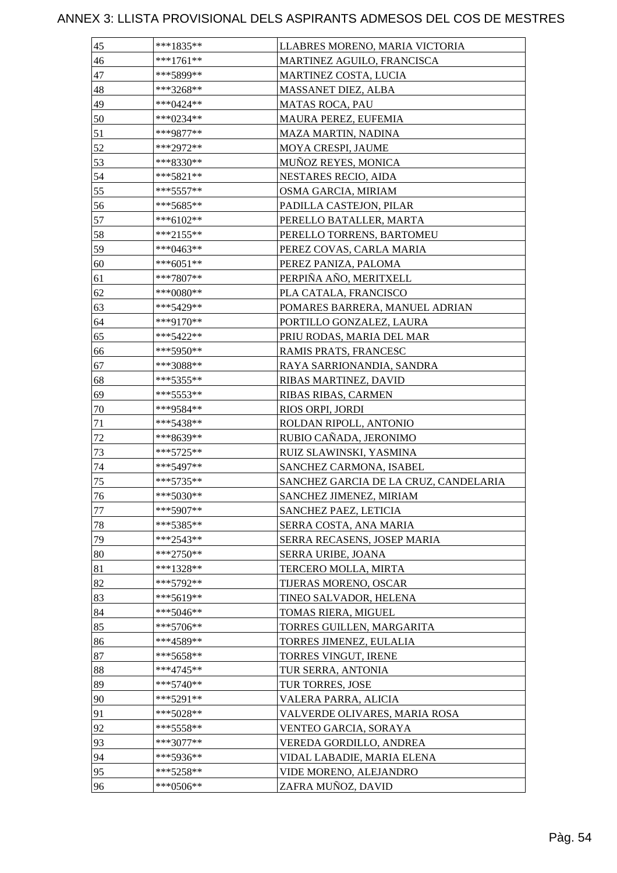| 45 | ***1835**   | LLABRES MORENO, MARIA VICTORIA        |
|----|-------------|---------------------------------------|
| 46 | $***1761**$ | MARTINEZ AGUILO, FRANCISCA            |
| 47 | ***5899**   | <b>MARTINEZ COSTA, LUCIA</b>          |
| 48 | ***3268**   | MASSANET DIEZ, ALBA                   |
| 49 | ***0424**   | <b>MATAS ROCA, PAU</b>                |
| 50 | ***0234**   | MAURA PEREZ, EUFEMIA                  |
| 51 | ***9877**   | MAZA MARTIN, NADINA                   |
| 52 | ***2972**   | MOYA CRESPI, JAUME                    |
| 53 | ***8330**   | <b>MUÑOZ REYES, MONICA</b>            |
| 54 | ***5821**   | NESTARES RECIO, AIDA                  |
| 55 | ***5557**   | OSMA GARCIA, MIRIAM                   |
| 56 | ***5685**   | PADILLA CASTEJON, PILAR               |
| 57 | ***6102**   | PERELLO BATALLER, MARTA               |
| 58 | ***2155**   | PERELLO TORRENS, BARTOMEU             |
| 59 | ***0463**   | PEREZ COVAS, CARLA MARIA              |
| 60 | ***6051**   | PEREZ PANIZA, PALOMA                  |
| 61 | ***7807**   | PERPIÑA AÑO, MERITXELL                |
| 62 | ***0080**   | PLA CATALA, FRANCISCO                 |
| 63 | ***5429**   | POMARES BARRERA, MANUEL ADRIAN        |
| 64 | ***9170**   | PORTILLO GONZALEZ, LAURA              |
| 65 | ***5422**   | PRIU RODAS, MARIA DEL MAR             |
| 66 | ***5950**   | RAMIS PRATS, FRANCESC                 |
| 67 | ***3088**   | RAYA SARRIONANDIA, SANDRA             |
| 68 | ***5355**   | RIBAS MARTINEZ, DAVID                 |
| 69 | ***5553**   | RIBAS RIBAS, CARMEN                   |
| 70 | ***9584**   | RIOS ORPI, JORDI                      |
| 71 | ***5438**   | ROLDAN RIPOLL, ANTONIO                |
| 72 | ***8639**   | RUBIO CAÑADA, JERONIMO                |
| 73 | ***5725**   | RUIZ SLAWINSKI, YASMINA               |
| 74 | ***5497**   | SANCHEZ CARMONA, ISABEL               |
| 75 | ***5735**   | SANCHEZ GARCIA DE LA CRUZ, CANDELARIA |
| 76 | ***5030**   | SANCHEZ JIMENEZ, MIRIAM               |
| 77 | ***5907**   | SANCHEZ PAEZ, LETICIA                 |
| 78 | ***5385**   | SERRA COSTA, ANA MARIA                |
| 79 | ***2543**   | SERRA RECASENS, JOSEP MARIA           |
| 80 | ***2750**   | SERRA URIBE, JOANA                    |
| 81 | $***1328**$ | TERCERO MOLLA, MIRTA                  |
| 82 | ***5792**   | TIJERAS MORENO, OSCAR                 |
| 83 | ***5619**   | TINEO SALVADOR, HELENA                |
| 84 | ***5046**   | TOMAS RIERA, MIGUEL                   |
| 85 | $***5706**$ | TORRES GUILLEN, MARGARITA             |
| 86 | ***4589**   | TORRES JIMENEZ, EULALIA               |
| 87 | $***5658**$ | TORRES VINGUT, IRENE                  |
| 88 | ***4745**   | TUR SERRA, ANTONIA                    |
| 89 | ***5740**   | TUR TORRES, JOSE                      |
| 90 | $***5291**$ | VALERA PARRA, ALICIA                  |
| 91 | ***5028**   | VALVERDE OLIVARES, MARIA ROSA         |
| 92 | ***5558**   | VENTEO GARCIA, SORAYA                 |
| 93 | $***3077**$ | VEREDA GORDILLO, ANDREA               |
| 94 | ***5936**   | VIDAL LABADIE, MARIA ELENA            |
| 95 | ***5258**   | VIDE MORENO, ALEJANDRO                |
| 96 | ***0506**   | ZAFRA MUÑOZ, DAVID                    |
|    |             |                                       |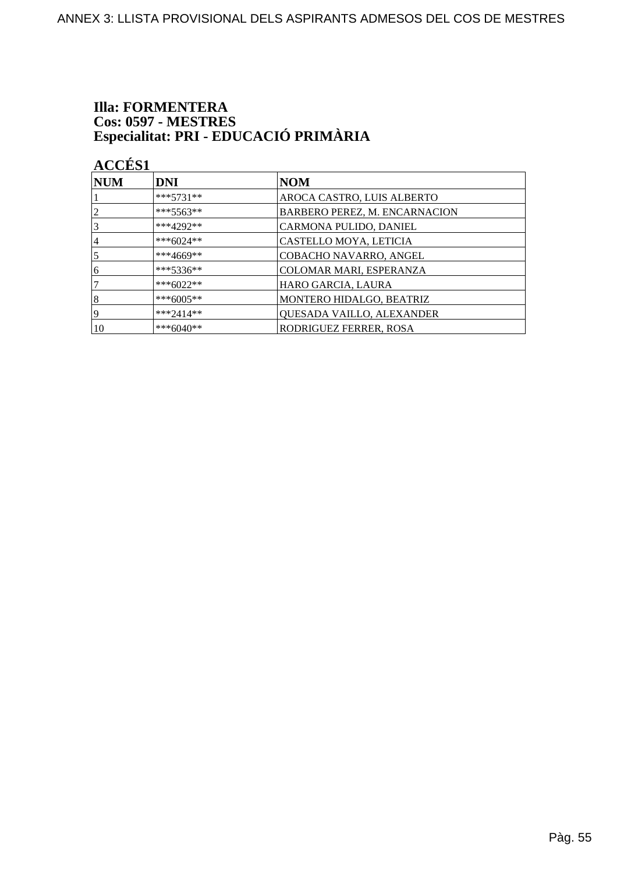# **Illa: FORMENTERA** Cos: 0597 - MESTRES<br>Especialitat: PRI - EDUCACIÓ PRIMÀRIA

**ACCÉS 1** 

| $\bf NUM$      | <b>DNI</b>  | <b>NOM</b>                           |
|----------------|-------------|--------------------------------------|
|                | $***5731**$ | AROCA CASTRO, LUIS ALBERTO           |
| $\overline{2}$ | $***5563**$ | <b>BARBERO PEREZ, M. ENCARNACION</b> |
| 3              | $***4292**$ | CARMONA PULIDO, DANIEL               |
| 4              | ***6024**   | CASTELLO MOYA, LETICIA               |
| 5              | ***4669**   | COBACHO NAVARRO, ANGEL               |
| 6              | $***5336**$ | COLOMAR MARI, ESPERANZA              |
|                | $***6022**$ | HARO GARCIA, LAURA                   |
| 8              | ***6005**   | MONTERO HIDALGO, BEATRIZ             |
| 19             | $***2414**$ | QUESADA VAILLO, ALEXANDER            |
| 10             | $***6040**$ | RODRIGUEZ FERRER, ROSA               |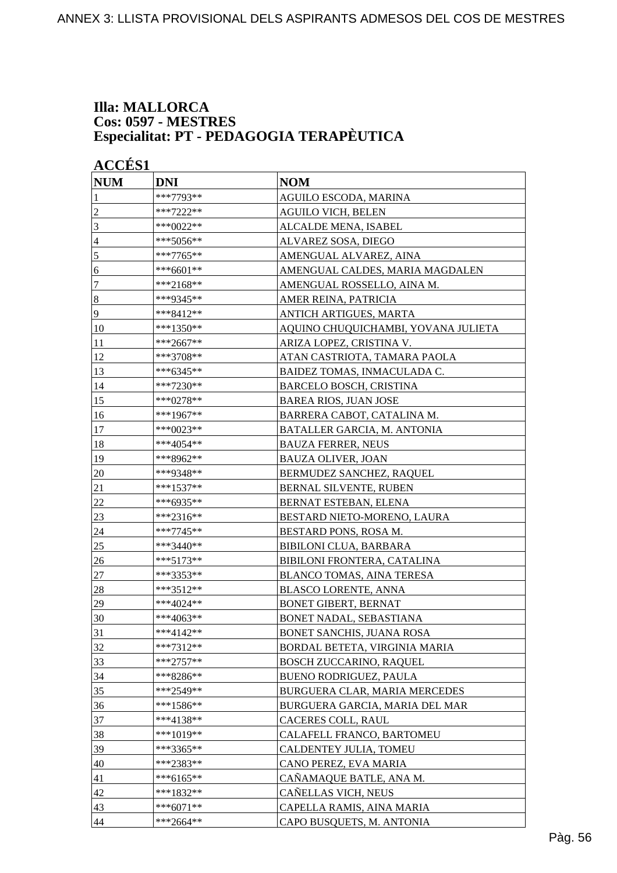#### **Illa: MALLORCA Cos: 0597 - MESTRES Especialitat: PT - PEDAGOGIA TERAPÈUTICA**

| <b>NUM</b>       | <b>DNI</b>  | <b>NOM</b>                          |
|------------------|-------------|-------------------------------------|
| 1                | ***7793**   | AGUILO ESCODA, MARINA               |
| $\overline{c}$   | ***7222**   | <b>AGUILO VICH, BELEN</b>           |
| 3                | ***0022**   | ALCALDE MENA, ISABEL                |
| 4                | ***5056**   | ALVAREZ SOSA, DIEGO                 |
| 5                | ***7765**   | AMENGUAL ALVAREZ, AINA              |
| 6                | ***6601**   | AMENGUAL CALDES, MARIA MAGDALEN     |
| 7                | ***2168**   | AMENGUAL ROSSELLO, AINA M.          |
| $\boldsymbol{8}$ | ***9345**   | AMER REINA, PATRICIA                |
| 9                | ***8412**   | ANTICH ARTIGUES, MARTA              |
| 10               | ***1350**   | AQUINO CHUQUICHAMBI, YOVANA JULIETA |
| <sup>11</sup>    | ***2667**   | ARIZA LOPEZ, CRISTINA V.            |
| 12               | ***3708**   | ATAN CASTRIOTA, TAMARA PAOLA        |
| 13               | ***6345**   | BAIDEZ TOMAS, INMACULADA C.         |
| 14               | ***7230**   | <b>BARCELO BOSCH, CRISTINA</b>      |
| 15               | ***0278**   | <b>BAREA RIOS, JUAN JOSE</b>        |
| 16               | ***1967**   | BARRERA CABOT, CATALINA M.          |
| 17               | ***0023**   | BATALLER GARCIA, M. ANTONIA         |
| 18               | ***4054**   | <b>BAUZA FERRER, NEUS</b>           |
| 19               | ***8962**   | <b>BAUZA OLIVER, JOAN</b>           |
| $20\,$           | ***9348**   | BERMUDEZ SANCHEZ, RAQUEL            |
| 21               | ***1537**   | BERNAL SILVENTE, RUBEN              |
| 22               | ***6935**   | BERNAT ESTEBAN, ELENA               |
| 23               | ***2316**   | BESTARD NIETO-MORENO, LAURA         |
| 24               | ***7745**   | BESTARD PONS, ROSA M.               |
| 25               | ***3440**   | <b>BIBILONI CLUA, BARBARA</b>       |
| 26               | ***5173**   | BIBILONI FRONTERA, CATALINA         |
| 27               | ***3353**   | <b>BLANCO TOMAS, AINA TERESA</b>    |
| 28               | ***3512**   | <b>BLASCO LORENTE, ANNA</b>         |
| 29               | ***4024**   | <b>BONET GIBERT, BERNAT</b>         |
| 30               | ***4063**   | BONET NADAL, SEBASTIANA             |
| 31               | ***4142**   | <b>BONET SANCHIS, JUANA ROSA</b>    |
| 32               | $***7312**$ | BORDAL BETETA, VIRGINIA MARIA       |
| 33               | $***2757**$ | <b>BOSCH ZUCCARINO, RAQUEL</b>      |
| 34               | ***8286**   | <b>BUENO RODRIGUEZ, PAULA</b>       |
| 35               | ***2549**   | BURGUERA CLAR, MARIA MERCEDES       |
| 36               | ***1586**   | BURGUERA GARCIA, MARIA DEL MAR      |
| 37               | ***4138**   | CACERES COLL, RAUL                  |
| 38               | ***1019**   | CALAFELL FRANCO, BARTOMEU           |
| 39               | $***3365**$ | CALDENTEY JULIA, TOMEU              |
| 40               | ***2383**   | CANO PEREZ, EVA MARIA               |
| 41               | ***6165**   | CAÑAMAQUE BATLE, ANA M.             |
| 42               | ***1832**   | CAÑELLAS VICH, NEUS                 |
| 43               | $***6071**$ | CAPELLA RAMIS, AINA MARIA           |
| 44               | $***2664**$ | CAPO BUSQUETS, M. ANTONIA           |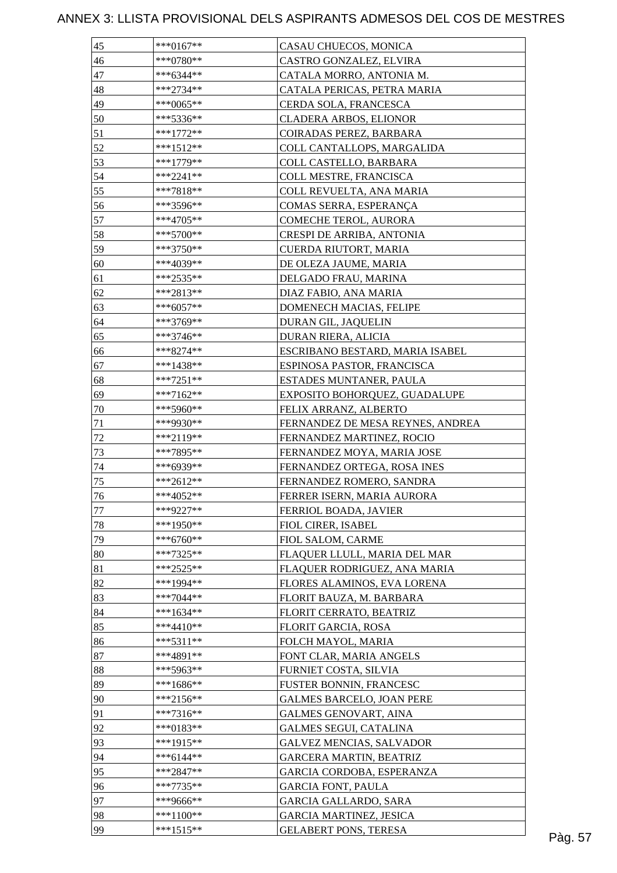| 45     | ***0167**   | CASAU CHUECOS, MONICA            |  |
|--------|-------------|----------------------------------|--|
| 46     | ***0780**   | CASTRO GONZALEZ, ELVIRA          |  |
| 47     | $***6344**$ | CATALA MORRO, ANTONIA M.         |  |
| 48     | $***2734**$ | CATALA PERICAS, PETRA MARIA      |  |
| 49     | ***0065**   | CERDA SOLA, FRANCESCA            |  |
| 50     | ***5336**   | <b>CLADERA ARBOS, ELIONOR</b>    |  |
| 51     | $***1772**$ | COIRADAS PEREZ, BARBARA          |  |
| 52     | ***1512**   | COLL CANTALLOPS, MARGALIDA       |  |
| 53     | ***1779**   | COLL CASTELLO, BARBARA           |  |
| 54     | $***2241**$ | COLL MESTRE, FRANCISCA           |  |
| 55     | ***7818**   | COLL REVUELTA, ANA MARIA         |  |
| 56     | ***3596**   | COMAS SERRA, ESPERANÇA           |  |
| 57     | ***4705**   | COMECHE TEROL, AURORA            |  |
| 58     | ***5700**   | CRESPI DE ARRIBA, ANTONIA        |  |
| 59     | $***3750**$ | CUERDA RIUTORT, MARIA            |  |
| 60     | ***4039**   | DE OLEZA JAUME, MARIA            |  |
| 61     | $***2535**$ | DELGADO FRAU, MARINA             |  |
| 62     | ***2813**   | DIAZ FABIO, ANA MARIA            |  |
| 63     | $***6057**$ | DOMENECH MACIAS, FELIPE          |  |
| 64     | ***3769**   | DURAN GIL, JAQUELIN              |  |
| 65     | ***3746**   | DURAN RIERA, ALICIA              |  |
| 66     | $***8274**$ | ESCRIBANO BESTARD, MARIA ISABEL  |  |
|        |             |                                  |  |
| 67     | ***1438**   | ESPINOSA PASTOR, FRANCISCA       |  |
| 68     | $***7251**$ | ESTADES MUNTANER, PAULA          |  |
| 69     | $***7162**$ | EXPOSITO BOHORQUEZ, GUADALUPE    |  |
| 70     | ***5960**   | FELIX ARRANZ, ALBERTO            |  |
| 71     | ***9930**   | FERNANDEZ DE MESA REYNES, ANDREA |  |
| $72\,$ | ***2119**   | FERNANDEZ MARTINEZ, ROCIO        |  |
| 73     | ***7895**   | FERNANDEZ MOYA, MARIA JOSE       |  |
| 74     | ***6939**   | FERNANDEZ ORTEGA, ROSA INES      |  |
| 75     | ***2612**   | FERNANDEZ ROMERO, SANDRA         |  |
| 76     | $***4052**$ | FERRER ISERN, MARIA AURORA       |  |
| 77     | ***9227**   | FERRIOL BOADA, JAVIER            |  |
| 78     | ***1950**   | FIOL CIRER, ISABEL               |  |
| 79     | ***6760**   | FIOL SALOM, CARME                |  |
| 80     | ***7325**   | FLAQUER LLULL, MARIA DEL MAR     |  |
| 81     | $***2525**$ | FLAQUER RODRIGUEZ, ANA MARIA     |  |
| 82     | ***1994**   | FLORES ALAMINOS, EVA LORENA      |  |
| 83     | $***7044**$ | FLORIT BAUZA, M. BARBARA         |  |
| 84     | $***1634**$ | FLORIT CERRATO, BEATRIZ          |  |
| 85     | $***4410**$ | FLORIT GARCIA, ROSA              |  |
| 86     | $***5311**$ | FOLCH MAYOL, MARIA               |  |
| 87     | ***4891**   | FONT CLAR, MARIA ANGELS          |  |
| 88     | ***5963**   | FURNIET COSTA, SILVIA            |  |
| 89     | ***1686**   | FUSTER BONNIN, FRANCESC          |  |
| 90     | $***2156**$ | <b>GALMES BARCELO, JOAN PERE</b> |  |
| 91     | $***7316**$ | <b>GALMES GENOVART, AINA</b>     |  |
| 92     | $***0183**$ | <b>GALMES SEGUI, CATALINA</b>    |  |
| 93     | ***1915**   | <b>GALVEZ MENCIAS, SALVADOR</b>  |  |
| 94     | $***6144**$ | <b>GARCERA MARTIN, BEATRIZ</b>   |  |
| 95     | $***2847**$ | GARCIA CORDOBA, ESPERANZA        |  |
| 96     | $***7735**$ | <b>GARCIA FONT, PAULA</b>        |  |
| 97     | ***9666**   | <b>GARCIA GALLARDO, SARA</b>     |  |
| 98     | $***1100**$ | <b>GARCIA MARTINEZ, JESICA</b>   |  |
|        |             |                                  |  |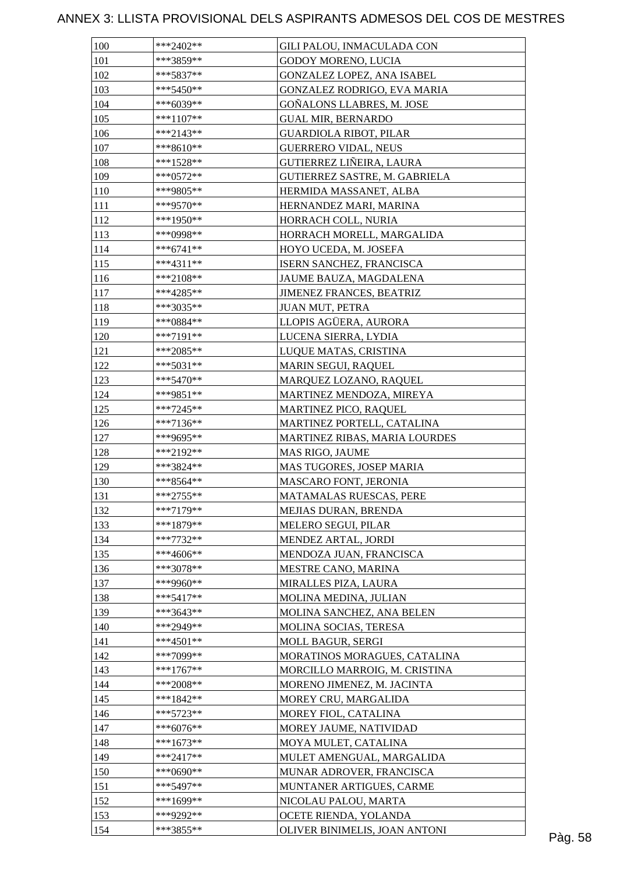| 100        | ***2402**   | GILI PALOU, INMACULADA CON                          |  |
|------------|-------------|-----------------------------------------------------|--|
| 101        | ***3859**   | <b>GODOY MORENO, LUCIA</b>                          |  |
| 102        | ***5837**   | GONZALEZ LOPEZ, ANA ISABEL                          |  |
| 103        | ***5450**   | GONZALEZ RODRIGO, EVA MARIA                         |  |
| 104        | $***6039**$ | GOÑALONS LLABRES, M. JOSE                           |  |
| 105        | ***1107**   | <b>GUAL MIR, BERNARDO</b>                           |  |
| 106        | $***2143**$ | <b>GUARDIOLA RIBOT, PILAR</b>                       |  |
| 107        | $***8610**$ | <b>GUERRERO VIDAL, NEUS</b>                         |  |
| 108        | ***1528**   | GUTIERREZ LIÑEIRA, LAURA                            |  |
| 109        | $***0572**$ | GUTIERREZ SASTRE, M. GABRIELA                       |  |
| 110        | ***9805**   | HERMIDA MASSANET, ALBA                              |  |
| 111        | ***9570**   | HERNANDEZ MARI, MARINA                              |  |
| 112        | ***1950**   | HORRACH COLL, NURIA                                 |  |
| 113        | ***0998**   | HORRACH MORELL, MARGALIDA                           |  |
| 114        | $***6741**$ | HOYO UCEDA, M. JOSEFA                               |  |
| 115        | ***4311**   | ISERN SANCHEZ, FRANCISCA                            |  |
| 116        | $***2108**$ | JAUME BAUZA, MAGDALENA                              |  |
| 117        | ***4285**   | <b>JIMENEZ FRANCES, BEATRIZ</b>                     |  |
| 118        | ***3035**   | <b>JUAN MUT, PETRA</b>                              |  |
| 119        | ***0884**   | LLOPIS AGÜERA, AURORA                               |  |
| 120        | ***7191**   | LUCENA SIERRA, LYDIA                                |  |
| 121        | ***2085**   | LUQUE MATAS, CRISTINA                               |  |
| 122        | $***5031**$ | MARIN SEGUI, RAQUEL                                 |  |
| 123        | $***5470**$ | MARQUEZ LOZANO, RAQUEL                              |  |
| 124        | ***9851**   | MARTINEZ MENDOZA, MIREYA                            |  |
| 125        | $***7245**$ |                                                     |  |
| 126        | $***7136**$ | MARTINEZ PICO, RAQUEL<br>MARTINEZ PORTELL, CATALINA |  |
| 127        | ***9695**   | MARTINEZ RIBAS, MARIA LOURDES                       |  |
|            | ***2192**   |                                                     |  |
| 128<br>129 |             | MAS RIGO, JAUME                                     |  |
|            | ***3824**   | MAS TUGORES, JOSEP MARIA                            |  |
| 130        | ***8564**   | MASCARO FONT, JERONIA                               |  |
| 131        | $***2755**$ | MATAMALAS RUESCAS, PERE                             |  |
| 132        | $***7179**$ | MEJIAS DURAN, BRENDA                                |  |
| 133        | ***1879**   | <b>MELERO SEGUI, PILAR</b>                          |  |
| 134        | $***7732**$ | MENDEZ ARTAL, JORDI                                 |  |
| 135        | ***4606**   | MENDOZA JUAN, FRANCISCA                             |  |
| 136        | ***3078**   | MESTRE CANO, MARINA                                 |  |
| 137        | ***9960**   | MIRALLES PIZA, LAURA                                |  |
| 138        | $***5417**$ | MOLINA MEDINA, JULIAN                               |  |
| 139        | ***3643**   | MOLINA SANCHEZ, ANA BELEN                           |  |
| 140        | ***2949**   | MOLINA SOCIAS, TERESA                               |  |
| 141        | $***4501**$ | MOLL BAGUR, SERGI                                   |  |
| 142        | ***7099**   | MORATINOS MORAGUES, CATALINA                        |  |
| 143        | $***1767**$ | MORCILLO MARROIG, M. CRISTINA                       |  |
| 144        | $***2008**$ | MORENO JIMENEZ, M. JACINTA                          |  |
| 145        | ***1842**   | MOREY CRU, MARGALIDA                                |  |
| 146        | ***5723**   | MOREY FIOL, CATALINA                                |  |
| 147        | ***6076**   | MOREY JAUME, NATIVIDAD                              |  |
| 148        | ***1673**   | MOYA MULET, CATALINA                                |  |
| 149        | $***2417**$ | MULET AMENGUAL, MARGALIDA                           |  |
| 150        | ***0690**   | MUNAR ADROVER, FRANCISCA                            |  |
| 151        | ***5497**   | MUNTANER ARTIGUES, CARME                            |  |
| 152        | ***1699**   | NICOLAU PALOU, MARTA                                |  |
| 153        | ***9292**   | OCETE RIENDA, YOLANDA                               |  |
| 154        | ***3855**   | OLIVER BINIMELIS, JOAN ANTONI                       |  |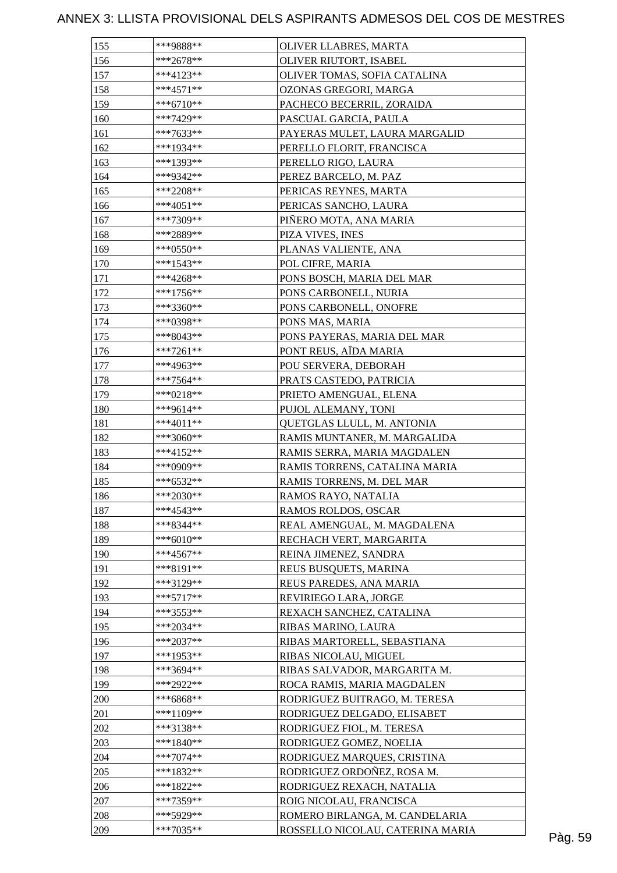| 155 | ***9888**   | <b>OLIVER LLABRES, MARTA</b>     |         |
|-----|-------------|----------------------------------|---------|
| 156 | $***2678**$ | OLIVER RIUTORT, ISABEL           |         |
| 157 | $***4123**$ | OLIVER TOMAS, SOFIA CATALINA     |         |
| 158 | $***4571**$ | OZONAS GREGORI, MARGA            |         |
| 159 | ***6710**   | PACHECO BECERRIL, ZORAIDA        |         |
| 160 | ***7429**   | PASCUAL GARCIA, PAULA            |         |
| 161 | $***7633**$ | PAYERAS MULET, LAURA MARGALID    |         |
| 162 | ***1934**   | PERELLO FLORIT, FRANCISCA        |         |
| 163 | ***1393**   | PERELLO RIGO, LAURA              |         |
| 164 | ***9342**   | PEREZ BARCELO, M. PAZ            |         |
| 165 | $***2208**$ | PERICAS REYNES, MARTA            |         |
| 166 | $***4051**$ | PERICAS SANCHO, LAURA            |         |
| 167 | ***7309**   | PIÑERO MOTA, ANA MARIA           |         |
| 168 | ***2889**   | PIZA VIVES, INES                 |         |
| 169 | $***0550**$ | PLANAS VALIENTE, ANA             |         |
| 170 | $***1543**$ | POL CIFRE, MARIA                 |         |
| 171 | $***4268**$ | PONS BOSCH, MARIA DEL MAR        |         |
| 172 | $***1756**$ | PONS CARBONELL, NURIA            |         |
| 173 | ***3360**   | PONS CARBONELL, ONOFRE           |         |
| 174 | ***0398**   | PONS MAS, MARIA                  |         |
| 175 | ***8043**   | PONS PAYERAS, MARIA DEL MAR      |         |
| 176 | $***7261**$ | PONT REUS, AÏDA MARIA            |         |
| 177 | ***4963**   | POU SERVERA, DEBORAH             |         |
| 178 | ***7564**   | PRATS CASTEDO, PATRICIA          |         |
| 179 | $***0218**$ | PRIETO AMENGUAL, ELENA           |         |
| 180 | ***9614**   | PUJOL ALEMANY, TONI              |         |
| 181 | ***4011**   | QUETGLAS LLULL, M. ANTONIA       |         |
| 182 | $***3060**$ | RAMIS MUNTANER, M. MARGALIDA     |         |
| 183 | $***4152**$ | RAMIS SERRA, MARIA MAGDALEN      |         |
| 184 | ***0909**   | RAMIS TORRENS, CATALINA MARIA    |         |
| 185 | $***6532**$ | RAMIS TORRENS, M. DEL MAR        |         |
| 186 | $***2030**$ |                                  |         |
|     | $***4543**$ | RAMOS RAYO, NATALIA              |         |
| 187 | ***8344**   | RAMOS ROLDOS, OSCAR              |         |
| 188 |             | REAL AMENGUAL, M. MAGDALENA      |         |
| 189 | ***6010**   | RECHACH VERT, MARGARITA          |         |
| 190 | $***4567**$ | REINA JIMENEZ, SANDRA            |         |
| 191 | ***8191**   | REUS BUSQUETS, MARINA            |         |
| 192 | ***3129**   | REUS PAREDES, ANA MARIA          |         |
| 193 | $***5717**$ | REVIRIEGO LARA, JORGE            |         |
| 194 | ***3553**   | REXACH SANCHEZ, CATALINA         |         |
| 195 | ***2034**   | RIBAS MARINO, LAURA              |         |
| 196 | ***2037**   | RIBAS MARTORELL, SEBASTIANA      |         |
| 197 | ***1953**   | RIBAS NICOLAU, MIGUEL            |         |
| 198 | ***3694**   | RIBAS SALVADOR, MARGARITA M.     |         |
| 199 | ***2922**   | ROCA RAMIS, MARIA MAGDALEN       |         |
| 200 | ***6868**   | RODRIGUEZ BUITRAGO, M. TERESA    |         |
| 201 | ***1109**   | RODRIGUEZ DELGADO, ELISABET      |         |
| 202 | ***3138**   | RODRIGUEZ FIOL, M. TERESA        |         |
| 203 | ***1840**   | RODRIGUEZ GOMEZ, NOELIA          |         |
| 204 | $***7074**$ | RODRIGUEZ MARQUES, CRISTINA      |         |
| 205 | ***1832**   | RODRIGUEZ ORDOÑEZ, ROSA M.       |         |
| 206 | $***1822**$ | RODRIGUEZ REXACH, NATALIA        |         |
| 207 | ***7359**   | ROIG NICOLAU, FRANCISCA          |         |
| 208 | ***5929**   | ROMERO BIRLANGA, M. CANDELARIA   |         |
| 209 | $***7035**$ | ROSSELLO NICOLAU, CATERINA MARIA | Pàg. 59 |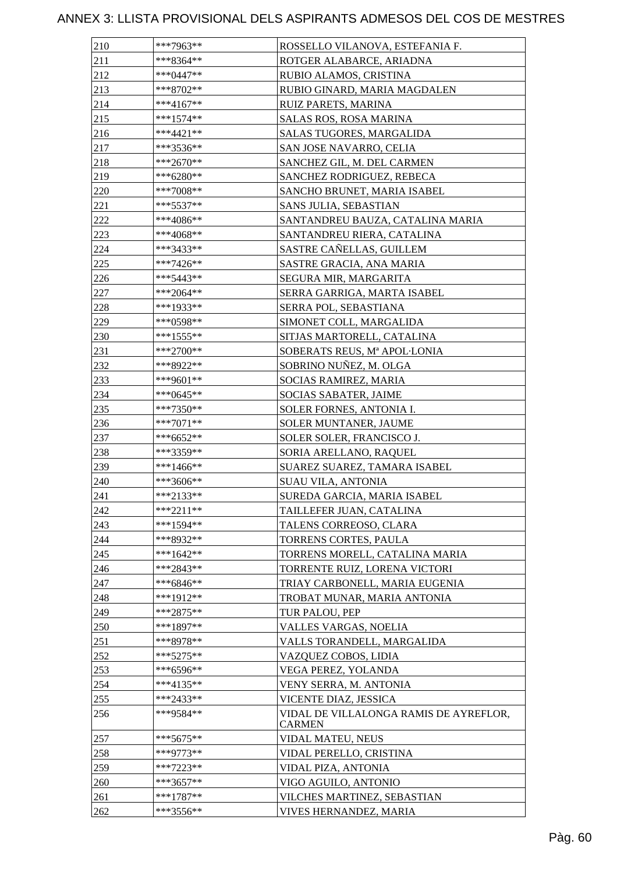| 210 | ***7963**    | ROSSELLO VILANOVA, ESTEFANIA F.                         |
|-----|--------------|---------------------------------------------------------|
| 211 | ***8364**    | ROTGER ALABARCE, ARIADNA                                |
| 212 | $***0447**$  | RUBIO ALAMOS, CRISTINA                                  |
| 213 | ***8702**    | RUBIO GINARD, MARIA MAGDALEN                            |
| 214 | $***4167**$  | RUIZ PARETS, MARINA                                     |
| 215 | ***1574**    | SALAS ROS, ROSA MARINA                                  |
| 216 | ***4421**    | SALAS TUGORES, MARGALIDA                                |
| 217 | ***3536**    | SAN JOSE NAVARRO, CELIA                                 |
| 218 | $***2670**$  | SANCHEZ GIL, M. DEL CARMEN                              |
| 219 | ***6280**    | SANCHEZ RODRIGUEZ, REBECA                               |
| 220 | ***7008**    | SANCHO BRUNET, MARIA ISABEL                             |
| 221 | *** 5537**   | SANS JULIA, SEBASTIAN                                   |
| 222 | ***4086**    | SANTANDREU BAUZA, CATALINA MARIA                        |
| 223 | ***4068**    | SANTANDREU RIERA, CATALINA                              |
| 224 | ***3433**    | SASTRE CAÑELLAS, GUILLEM                                |
| 225 | $***7426**$  | SASTRE GRACIA, ANA MARIA                                |
| 226 | ***5443**    | SEGURA MIR, MARGARITA                                   |
| 227 | $***2064**$  | SERRA GARRIGA, MARTA ISABEL                             |
| 228 | ***1933**    | SERRA POL, SEBASTIANA                                   |
| 229 | ***0598**    | SIMONET COLL, MARGALIDA                                 |
| 230 | $***1555***$ | SITJAS MARTORELL, CATALINA                              |
| 231 | ***2700**    | SOBERATS REUS, Mª APOL·LONIA                            |
| 232 | ***8922**    | SOBRINO NUÑEZ, M. OLGA                                  |
| 233 | $***9601**$  | SOCIAS RAMIREZ, MARIA                                   |
| 234 | $***0645**$  | SOCIAS SABATER, JAIME                                   |
| 235 | ***7350**    | SOLER FORNES, ANTONIA I.                                |
| 236 | $***7071**$  | SOLER MUNTANER, JAUME                                   |
| 237 | ***6652**    | SOLER SOLER, FRANCISCO J.                               |
| 238 | ***3359**    | SORIA ARELLANO, RAQUEL                                  |
| 239 | $***1466**$  | SUAREZ SUAREZ, TAMARA ISABEL                            |
| 240 | ***3606**    | <b>SUAU VILA, ANTONIA</b>                               |
| 241 | ***2133**    | SUREDA GARCIA, MARIA ISABEL                             |
| 242 | $***2211**$  | TAILLEFER JUAN, CATALINA                                |
| 243 | $***1594**$  | TALENS CORREOSO, CLARA                                  |
| 244 | ***8932**    | TORRENS CORTES, PAULA                                   |
| 245 | ***1642**    | TORRENS MORELL, CATALINA MARIA                          |
| 246 | $***2843**$  | TORRENTE RUIZ, LORENA VICTORI                           |
| 247 | ***6846**    | TRIAY CARBONELL, MARIA EUGENIA                          |
| 248 | ***1912**    | TROBAT MUNAR, MARIA ANTONIA                             |
| 249 | $***2875**$  | TUR PALOU, PEP                                          |
| 250 | ***1897**    | VALLES VARGAS, NOELIA                                   |
| 251 | ***8978**    | VALLS TORANDELL, MARGALIDA                              |
| 252 | $***5275**$  | VAZQUEZ COBOS, LIDIA                                    |
| 253 | ***6596**    | VEGA PEREZ, YOLANDA                                     |
| 254 | ***4135**    | VENY SERRA, M. ANTONIA                                  |
| 255 | ***2433**    | VICENTE DIAZ, JESSICA                                   |
| 256 | ***9584**    | VIDAL DE VILLALONGA RAMIS DE AYREFLOR,<br><b>CARMEN</b> |
| 257 | ***5675**    | VIDAL MATEU, NEUS                                       |
| 258 | ***9773**    | VIDAL PERELLO, CRISTINA                                 |
| 259 | $***7223**$  | VIDAL PIZA, ANTONIA                                     |
| 260 | ***3657**    | VIGO AGUILO, ANTONIO                                    |
| 261 | ***1787**    | VILCHES MARTINEZ, SEBASTIAN                             |
| 262 | ***3556**    | VIVES HERNANDEZ, MARIA                                  |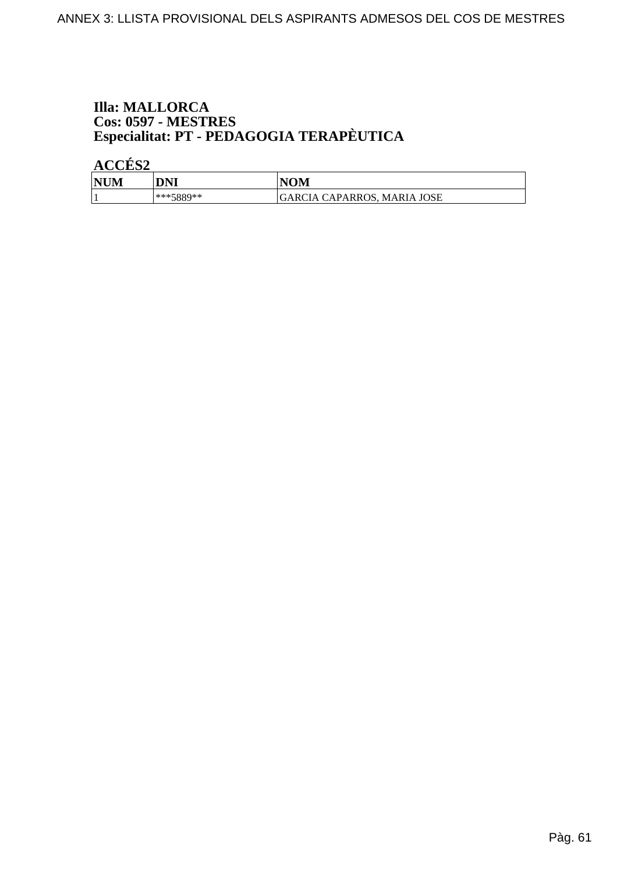# **Illa: MALLORCA** Cos: 0597 - MESTRES<br>Especialitat: PT - PEDAGOGIA TERAPÈUTICA

ACCÉS<sub>2</sub>

| <b>NU</b> <sup></sup><br>IМ | DNI       | NOM                                                           |
|-----------------------------|-----------|---------------------------------------------------------------|
|                             | ***5889** | CAPARROS,<br><b>JOSE</b><br><b>MARIA</b><br>.RC<br>`I A<br>ĴΑ |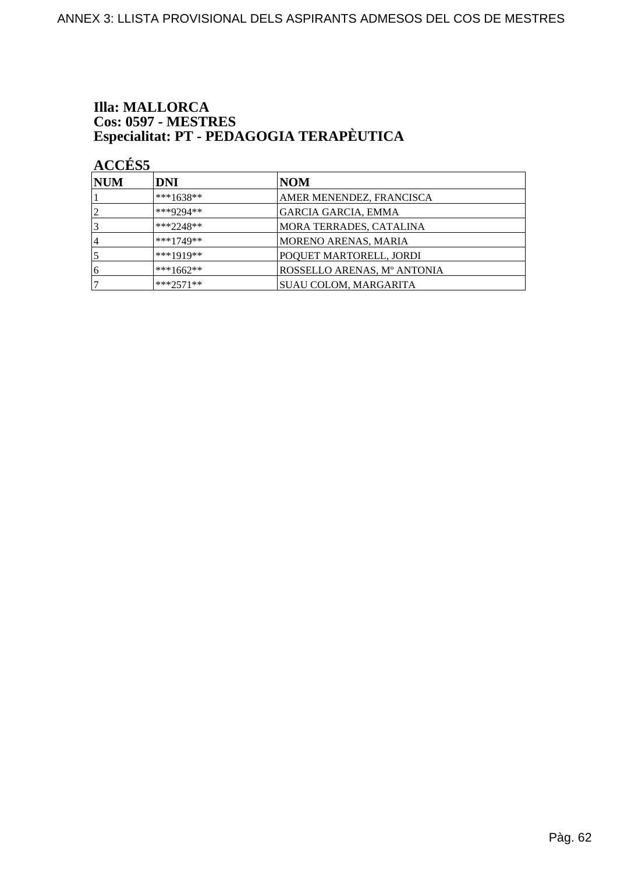# **Illa: MALLORCA** Cos: 0597 - MESTRES<br>Especialitat: PT - PEDAGOGIA TERAPÈUTICA

**ACCÉS 5** 

| <b>NUM</b>     | <b>DNI</b>  | NOM                         |
|----------------|-------------|-----------------------------|
|                | ***1638**   | AMER MENENDEZ, FRANCISCA    |
| $\overline{2}$ | ***9294**   | <b>GARCIA GARCIA, EMMA</b>  |
|                | $***2248**$ | MORA TERRADES, CATALINA     |
| 4              | $***1749**$ | MORENO ARENAS, MARIA        |
|                | $***1919**$ | POQUET MARTORELL, JORDI     |
| 6              | ***1662**   | ROSSELLO ARENAS, Mº ANTONIA |
|                | $***2571**$ | SUAU COLOM, MARGARITA       |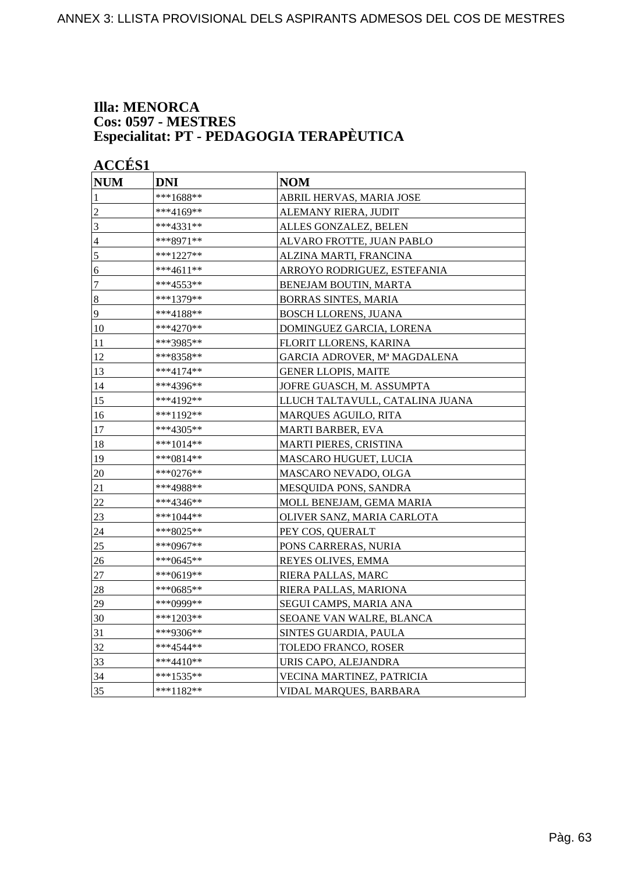#### **Illa: MENORCA Cos: 0597 - MESTRES Especialitat: PT - PEDAGOGIA TERAPÈUTICA**

| <b>NUM</b>     | <b>DNI</b>  | <b>NOM</b>                      |
|----------------|-------------|---------------------------------|
| 1              | ***1688**   | ABRIL HERVAS, MARIA JOSE        |
| $\overline{2}$ | ***4169**   | ALEMANY RIERA, JUDIT            |
| 3              | $***4331**$ | ALLES GONZALEZ, BELEN           |
| $\overline{4}$ | ***8971**   | ALVARO FROTTE, JUAN PABLO       |
| 5              | ***1227**   | ALZINA MARTI, FRANCINA          |
| 6              | ***4611**   | ARROYO RODRIGUEZ, ESTEFANIA     |
| $\overline{7}$ | ***4553**   | BENEJAM BOUTIN, MARTA           |
| $\vert 8$      | ***1379**   | <b>BORRAS SINTES, MARIA</b>     |
| $\overline{9}$ | ***4188**   | <b>BOSCH LLORENS, JUANA</b>     |
| 10             | ***4270**   | DOMINGUEZ GARCIA, LORENA        |
| 11             | ***3985**   | FLORIT LLORENS, KARINA          |
| 12             | ***8358**   | GARCIA ADROVER, Mª MAGDALENA    |
| 13             | ***4174**   | <b>GENER LLOPIS, MAITE</b>      |
| 14             | ***4396**   | JOFRE GUASCH, M. ASSUMPTA       |
| 15             | ***4192**   | LLUCH TALTAVULL, CATALINA JUANA |
| 16             | ***1192**   | <b>MARQUES AGUILO, RITA</b>     |
| 17             | ***4305**   | <b>MARTI BARBER, EVA</b>        |
| 18             | ***1014**   | MARTI PIERES, CRISTINA          |
| 19             | ***0814**   | MASCARO HUGUET, LUCIA           |
| 20             | ***0276**   | MASCARO NEVADO, OLGA            |
| 21             | ***4988**   | MESQUIDA PONS, SANDRA           |
| 22             | ***4346**   | MOLL BENEJAM, GEMA MARIA        |
| 23             | ***1044**   | OLIVER SANZ, MARIA CARLOTA      |
| 24             | ***8025**   | PEY COS, QUERALT                |
| 25             | ***0967**   | PONS CARRERAS, NURIA            |
| 26             | ***0645**   | REYES OLIVES, EMMA              |
| 27             | ***0619**   | RIERA PALLAS, MARC              |
| 28             | $***0685**$ | RIERA PALLAS, MARIONA           |
| 29             | ***0999**   | SEGUI CAMPS, MARIA ANA          |
| 30             | $***1203**$ | SEOANE VAN WALRE, BLANCA        |
| 31             | ***9306**   | SINTES GUARDIA, PAULA           |
| 32             | ***4544**   | TOLEDO FRANCO, ROSER            |
| 33             | $***4410**$ | URIS CAPO, ALEJANDRA            |
| 34             | ***1535**   | VECINA MARTINEZ, PATRICIA       |
| 35             | ***1182**   | VIDAL MARQUES, BARBARA          |